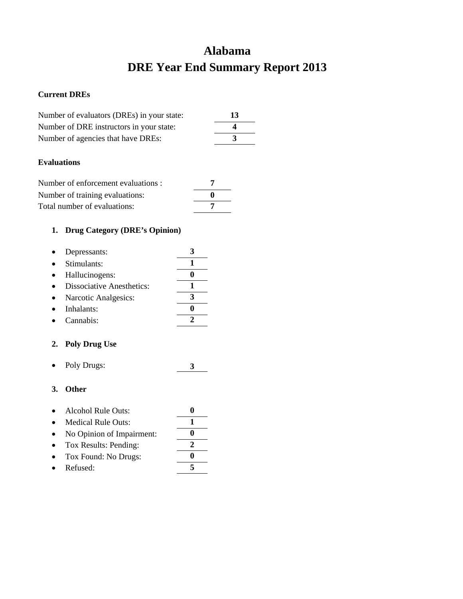## **Alabama DRE Year End Summary Report 2013**

### **Current DREs**

| Number of evaluators (DREs) in your state: | -13      |
|--------------------------------------------|----------|
| Number of DRE instructors in your state:   | $\Delta$ |
| Number of agencies that have DREs:         |          |
|                                            |          |

### **Evaluations**

| Number of enforcement evaluations : |  |
|-------------------------------------|--|
| Number of training evaluations:     |  |
| Total number of evaluations:        |  |

## **1. Drug Category (DRE's Opinion)**

| Depressants:                     |  |
|----------------------------------|--|
| Stimulants:                      |  |
| Hallucinogens:                   |  |
| <b>Dissociative Anesthetics:</b> |  |
| Narcotic Analgesics:             |  |
| Inhalants:                       |  |
|                                  |  |

# • Cannabis: **2**

## **2. Poly Drug Use**

• Poly Drugs: **3**

- Alcohol Rule Outs: **0**
- Medical Rule Outs: **1**
- No Opinion of Impairment: **0**
- Tox Results: Pending: **2** • Tox Found: No Drugs: **0**
- 
- Refused: **5**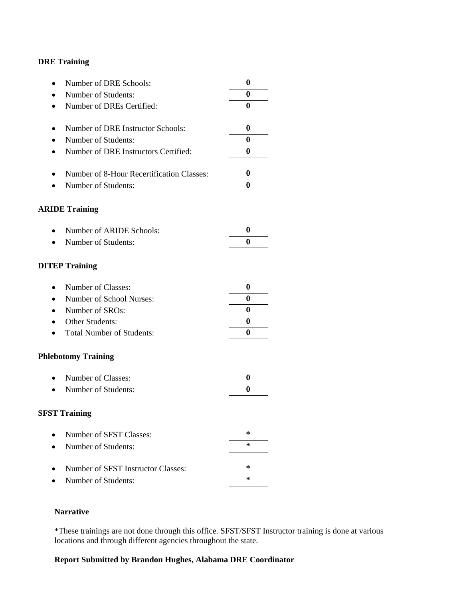| Number of DRE Schools:<br>$\bullet$                    | $\boldsymbol{0}$ |
|--------------------------------------------------------|------------------|
| Number of Students:                                    | 0                |
| Number of DREs Certified:<br>$\bullet$                 | $\bf{0}$         |
|                                                        |                  |
| Number of DRE Instructor Schools:<br>٠                 | 0                |
| Number of Students:                                    | 0                |
| Number of DRE Instructors Certified:<br>$\bullet$      | $\bf{0}$         |
| Number of 8-Hour Recertification Classes:<br>$\bullet$ | 0                |
| Number of Students:                                    | $\bf{0}$         |
| <b>ARIDE Training</b>                                  |                  |
| Number of ARIDE Schools:<br>$\bullet$                  | $\boldsymbol{0}$ |
| Number of Students:                                    | 0                |
| <b>DITEP Training</b>                                  |                  |
| Number of Classes:<br>$\bullet$                        | 0                |
| Number of School Nurses:                               | 0                |
| Number of SROs:<br>$\bullet$                           | 0                |
| <b>Other Students:</b>                                 | $\boldsymbol{0}$ |
| <b>Total Number of Students:</b>                       | 0                |
| <b>Phlebotomy Training</b>                             |                  |
| Number of Classes:<br>$\bullet$                        | $\boldsymbol{0}$ |
| Number of Students:                                    | 0                |
| <b>SFST Training</b>                                   |                  |
| Number of SFST Classes:                                | ∗                |
| Number of Students:                                    | *                |
| Number of SFST Instructor Classes:                     | ∗                |
| Number of Students:                                    | ∗                |

## **Narrative**

\*These trainings are not done through this office. SFST/SFST Instructor training is done at various locations and through different agencies throughout the state.

## **Report Submitted by Brandon Hughes, Alabama DRE Coordinator**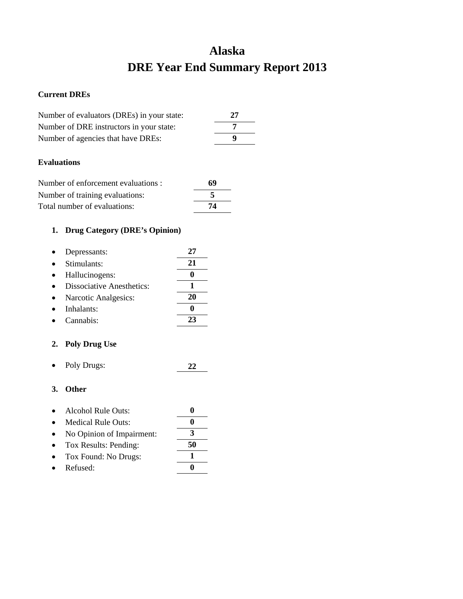## **Alaska DRE Year End Summary Report 2013**

### **Current DREs**

| Number of evaluators (DREs) in your state: | 27 |
|--------------------------------------------|----|
| Number of DRE instructors in your state:   |    |
| Number of agencies that have DREs:         | Ф  |
|                                            |    |

### **Evaluations**

| Number of enforcement evaluations : | 69 |
|-------------------------------------|----|
| Number of training evaluations:     |    |
| Total number of evaluations:        | 74 |

## **1. Drug Category (DRE's Opinion)**

| Depressants:                     | 27 |
|----------------------------------|----|
| Stimulants:                      | 21 |
| Hallucinogens:                   |    |
| <b>Dissociative Anesthetics:</b> |    |
| Narcotic Analgesics:             | 20 |
| Inhalants:                       |    |
| Cannabis:                        |    |

## **2. Poly Drug Use**

• Poly Drugs: **22**

| Alcohol Rule Outs: |  |
|--------------------|--|
|                    |  |

- Medical Rule Outs: **0** • No Opinion of Impairment: **3**
- Tox Results: Pending: **50**
- Tox Found: No Drugs: **1**
- Refused: **0**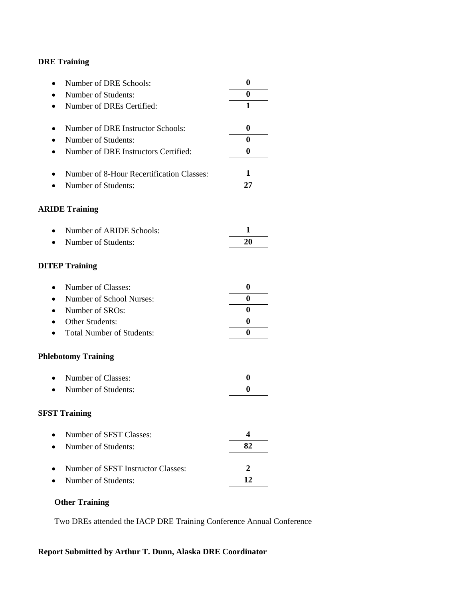| Number of DRE Schools:<br>$\bullet$               | $\boldsymbol{0}$        |
|---------------------------------------------------|-------------------------|
| Number of Students:                               | $\boldsymbol{0}$        |
| Number of DREs Certified:<br>$\bullet$            | 1                       |
|                                                   |                         |
| Number of DRE Instructor Schools:<br>٠            | 0                       |
| Number of Students:                               | 0                       |
| Number of DRE Instructors Certified:<br>$\bullet$ | $\boldsymbol{0}$        |
|                                                   |                         |
| Number of 8-Hour Recertification Classes:<br>٠    | 1                       |
| Number of Students:                               | 27                      |
| <b>ARIDE Training</b>                             |                         |
|                                                   |                         |
| Number of ARIDE Schools:<br>$\bullet$             | 1                       |
| Number of Students:<br>$\bullet$                  | 20                      |
|                                                   |                         |
| <b>DITEP Training</b>                             |                         |
|                                                   |                         |
| Number of Classes:<br>$\bullet$                   | $\boldsymbol{0}$        |
| Number of School Nurses:<br>$\bullet$             | 0                       |
| Number of SROs:<br>$\bullet$                      | $\boldsymbol{0}$        |
| Other Students:                                   | $\boldsymbol{0}$        |
| <b>Total Number of Students:</b><br>$\bullet$     | $\boldsymbol{0}$        |
| <b>Phlebotomy Training</b>                        |                         |
| Number of Classes:<br>$\bullet$                   | $\boldsymbol{0}$        |
| Number of Students:                               | 0                       |
|                                                   |                         |
| <b>SFST Training</b>                              |                         |
|                                                   |                         |
| Number of SFST Classes:                           | $\overline{\mathbf{4}}$ |
| Number of Students:                               | 82                      |
| Number of SFST Instructor Classes:                | $\mathbf 2$             |
| Number of Students:                               | 12                      |
|                                                   |                         |

## **Other Training**

Two DREs attended the IACP DRE Training Conference Annual Conference

## **Report Submitted by Arthur T. Dunn, Alaska DRE Coordinator**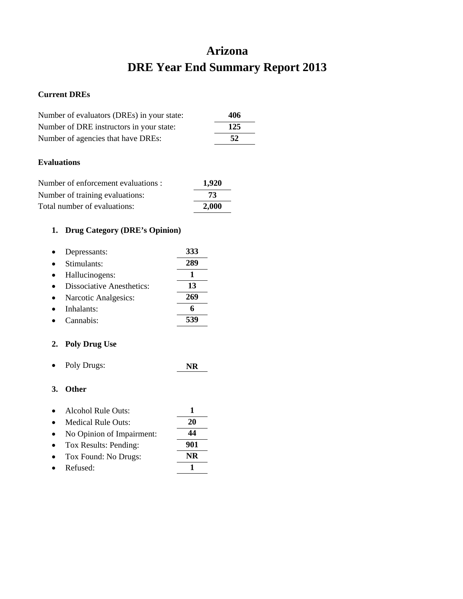## **Arizona DRE Year End Summary Report 2013**

### **Current DREs**

| Number of evaluators (DREs) in your state: | 406 |
|--------------------------------------------|-----|
| Number of DRE instructors in your state:   | 125 |
| Number of agencies that have DREs:         | -52 |
|                                            |     |

### **Evaluations**

| Number of enforcement evaluations : | 1,920 |
|-------------------------------------|-------|
| Number of training evaluations:     | 73    |
| Total number of evaluations:        | 2.000 |

## **1. Drug Category (DRE's Opinion)**

| Depressants:                     | 333 |
|----------------------------------|-----|
| Stimulants:                      | 289 |
| Hallucinogens:                   |     |
| <b>Dissociative Anesthetics:</b> | 13  |
| Narcotic Analgesics:             | 269 |
| Inhalants:                       | 6   |
| Cannabis <sup>.</sup>            |     |

## **2. Poly Drug Use**

• Poly Drugs: **NR**

| Alcohol Rule Outs: |  |
|--------------------|--|
|                    |  |

- Medical Rule Outs: **20** • No Opinion of Impairment: **44** • Tox Results: Pending: **901** • Tox Found: No Drugs: **NR**
- 
- Refused: **1**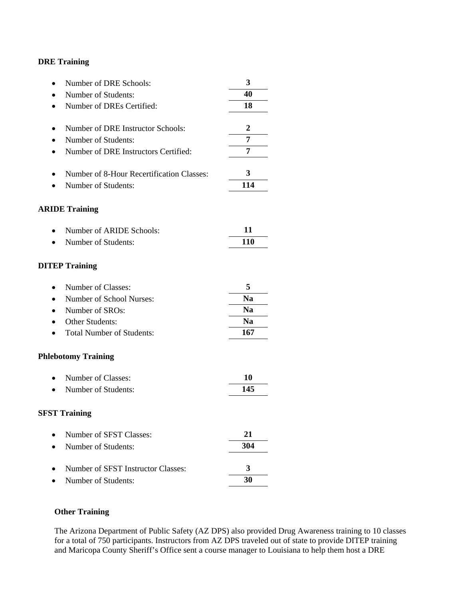| Number of DRE Schools:                    | 3              |
|-------------------------------------------|----------------|
| Number of Students:                       | 40             |
| Number of DREs Certified:                 | 18             |
|                                           |                |
| Number of DRE Instructor Schools:         | $\overline{2}$ |
| Number of Students:                       | 7              |
| Number of DRE Instructors Certified:      | 7              |
| Number of 8-Hour Recertification Classes: | 3              |
| Number of Students:                       | 114            |
| <b>ARIDE Training</b>                     |                |
| Number of ARIDE Schools:                  | 11             |
| Number of Students:                       | 110            |
| <b>DITEP Training</b>                     |                |
| Number of Classes:                        | 5              |
| Number of School Nurses:                  | <b>Na</b>      |
| Number of SROs:                           | <b>Na</b>      |
| Other Students:                           | <b>Na</b>      |
| <b>Total Number of Students:</b>          | 167            |
| <b>Phlebotomy Training</b>                |                |
| Number of Classes:                        | 10             |
| Number of Students:                       | 145            |
| <b>SFST Training</b>                      |                |
| Number of SFST Classes:                   | 21             |
| Number of Students:                       | 304            |
| Number of SFST Instructor Classes:        | 3              |
| Number of Students:                       | 30             |

## **Other Training**

The Arizona Department of Public Safety (AZ DPS) also provided Drug Awareness training to 10 classes for a total of 750 participants. Instructors from AZ DPS traveled out of state to provide DITEP training and Maricopa County Sheriff's Office sent a course manager to Louisiana to help them host a DRE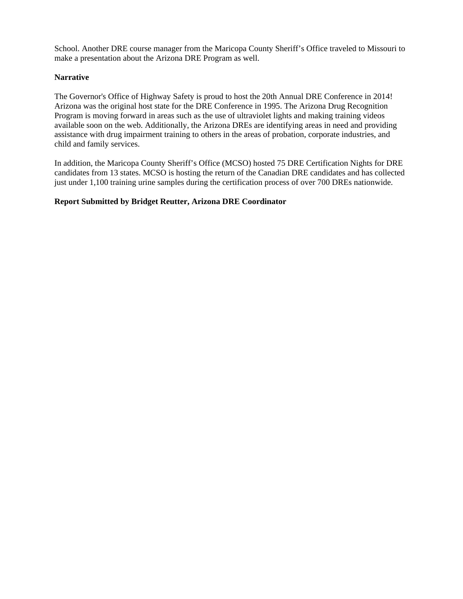School. Another DRE course manager from the Maricopa County Sheriff's Office traveled to Missouri to make a presentation about the Arizona DRE Program as well.

### **Narrative**

The Governor's Office of Highway Safety is proud to host the 20th Annual DRE Conference in 2014! Arizona was the original host state for the DRE Conference in 1995. The Arizona Drug Recognition Program is moving forward in areas such as the use of ultraviolet lights and making training videos available soon on the web. Additionally, the Arizona DREs are identifying areas in need and providing assistance with drug impairment training to others in the areas of probation, corporate industries, and child and family services.

In addition, the Maricopa County Sheriff's Office (MCSO) hosted 75 DRE Certification Nights for DRE candidates from 13 states. MCSO is hosting the return of the Canadian DRE candidates and has collected just under 1,100 training urine samples during the certification process of over 700 DREs nationwide.

### **Report Submitted by Bridget Reutter, Arizona DRE Coordinator**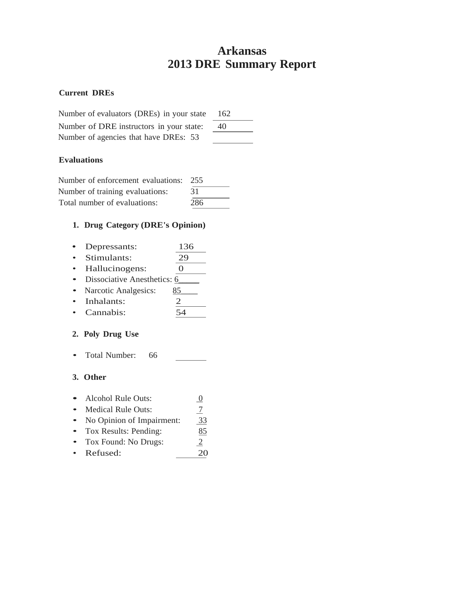## **Arkansas 2013 DRE Summary Report**

### **Current DREs**

| Number of evaluators (DREs) in your state | 162 |
|-------------------------------------------|-----|
| Number of DRE instructors in your state:  | 40  |
| Number of agencies that have DREs: 53     |     |

## **Evaluations**

| Number of enforcement evaluations: | 255 |
|------------------------------------|-----|
| Number of training evaluations:    | 31  |
| Total number of evaluations:       | 286 |

## **1. Drug Category (DRE's Opinion)**

| $\bullet$ | Depressants:                | 136 |
|-----------|-----------------------------|-----|
| $\bullet$ | Stimulants:                 | 29  |
| $\bullet$ | Hallucinogens:              |     |
| $\bullet$ | Dissociative Anesthetics: 6 |     |
|           | Narcotic Analgesics:        | 85  |
|           | Inhalonto                   |     |

Inhalants:  $\frac{2}{54}$ • Cannabis:

## **2. Poly Drug Use**

• Total Number: 66  $\frac{1}{2}$  and  $\frac{1}{2}$ 

| $\bullet$ | Alcohol Rule Outs:        |              |
|-----------|---------------------------|--------------|
| $\bullet$ | <b>Medical Rule Outs:</b> |              |
| $\bullet$ | No Opinion of Impairment: | 33           |
| $\bullet$ | Tox Results: Pending:     | 85           |
| $\bullet$ | Tox Found: No Drugs:      | $\mathbf{2}$ |
|           | • Refused:                |              |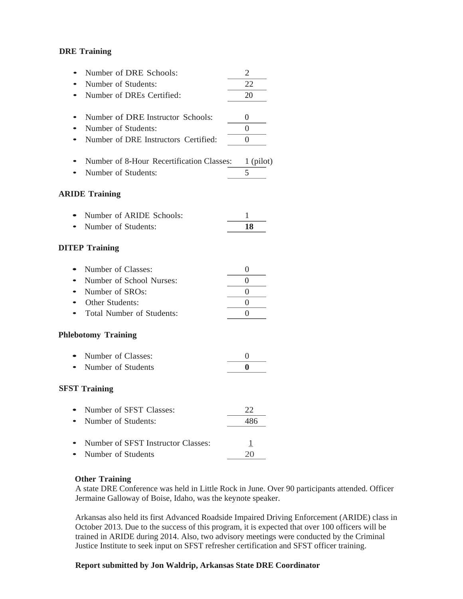| Number of DRE Schools:<br>Number of Students: | 2<br>22        |
|-----------------------------------------------|----------------|
| Number of DREs Certified:                     | 20             |
| Number of DRE Instructor Schools:             | 0              |
| Number of Students:                           | $\Omega$       |
| Number of DRE Instructors Certified:          | $\overline{0}$ |
| Number of 8-Hour Recertification Classes:     | 1 (pilot)      |
| Number of Students:                           | 5              |
| <b>ARIDE Training</b>                         |                |
| Number of ARIDE Schools:                      | 1              |
| Number of Students:                           | 18             |
| <b>DITEP Training</b>                         |                |
| Number of Classes:                            | 0              |
| Number of School Nurses:                      | $\overline{0}$ |
| Number of SROs:                               | 0              |
| Other Students:                               | 0              |
| <b>Total Number of Students:</b>              | 0              |
| <b>Phlebotomy Training</b>                    |                |
| Number of Classes:                            | 0              |
| Number of Students                            | 0              |
| <b>SFST Training</b>                          |                |
| Number of SFST Classes:                       | 22             |
| Number of Students:                           | 486            |
| Number of SFST Instructor Classes:            | $\overline{1}$ |
| Number of Students                            | 20             |

#### **Other Training**

A state DRE Conference was held in Little Rock in June. Over 90 participants attended. Officer Jermaine Galloway of Boise, Idaho, was the keynote speaker.

Arkansas also held its first Advanced Roadside Impaired Driving Enforcement (ARIDE) class in October 2013. Due to the success of this program, it is expected that over 100 officers will be trained in ARIDE during 2014. Also, two advisory meetings were conducted by the Criminal Justice Institute to seek input on SFST refresher certification and SFST officer training.

#### **Report submitted by Jon Waldrip, Arkansas State DRE Coordinator**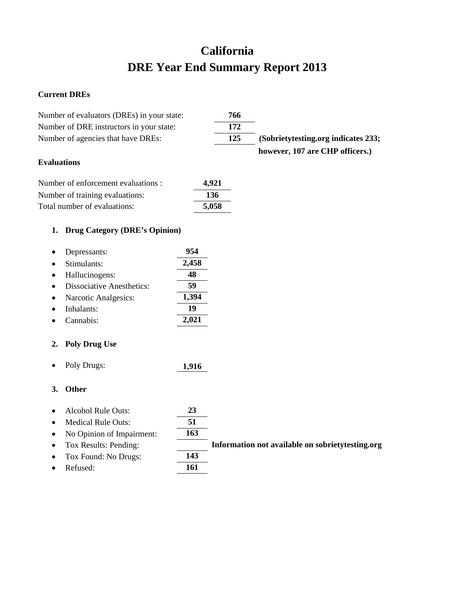# **California DRE Year End Summary Report 2013**

## **Current DREs**

| Number of evaluators (DREs) in your state:    |       | 766 |                                                   |
|-----------------------------------------------|-------|-----|---------------------------------------------------|
| Number of DRE instructors in your state:      |       | 172 |                                                   |
| Number of agencies that have DREs:            |       | 125 | (Sobrietytesting.org indicates 233;               |
|                                               |       |     | however, 107 are CHP officers.)                   |
| <b>Evaluations</b>                            |       |     |                                                   |
| Number of enforcement evaluations :           | 4,921 |     |                                                   |
| Number of training evaluations:               | 136   |     |                                                   |
| Total number of evaluations:                  | 5,058 |     |                                                   |
| <b>Drug Category (DRE's Opinion)</b><br>1.    |       |     |                                                   |
| Depressants:<br>٠                             | 954   |     |                                                   |
| Stimulants:                                   | 2,458 |     |                                                   |
| Hallucinogens:<br>$\bullet$                   | 48    |     |                                                   |
| <b>Dissociative Anesthetics:</b><br>$\bullet$ | 59    |     |                                                   |
| Narcotic Analgesics:<br>٠                     | 1,394 |     |                                                   |
| Inhalants:<br>$\bullet$                       | 19    |     |                                                   |
| Cannabis:                                     | 2,021 |     |                                                   |
| <b>Poly Drug Use</b><br>2.                    |       |     |                                                   |
| Poly Drugs:<br>٠                              | 1,916 |     |                                                   |
| <b>Other</b><br>3.                            |       |     |                                                   |
| <b>Alcohol Rule Outs:</b><br>$\bullet$        | 23    |     |                                                   |
| <b>Medical Rule Outs:</b><br>$\bullet$        | 51    |     |                                                   |
| No Opinion of Impairment:<br>$\bullet$        | 163   |     |                                                   |
| Tox Results: Pending:                         |       |     | Information not available on sobriety testing.org |
| Tox Found: No Drugs:                          | 143   |     |                                                   |
| Refused:<br>$\bullet$                         | 161   |     |                                                   |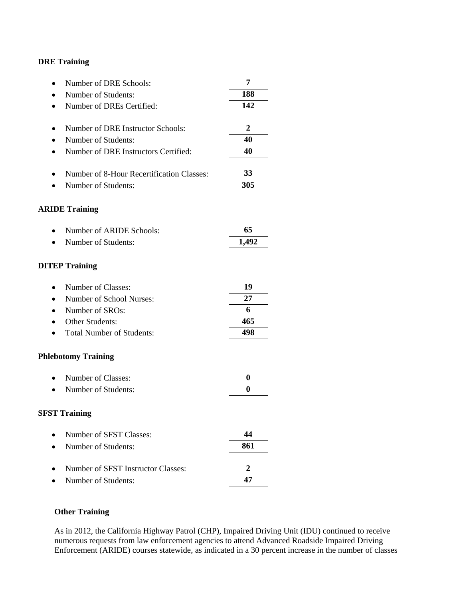| Number of DRE Schools:                    | 7              |
|-------------------------------------------|----------------|
| Number of Students:                       | 188            |
| Number of DREs Certified:                 | 142            |
| Number of DRE Instructor Schools:         | $\overline{2}$ |
| Number of Students:                       | 40             |
| Number of DRE Instructors Certified:      | 40             |
| Number of 8-Hour Recertification Classes: | 33             |
| Number of Students:                       | 305            |
| <b>ARIDE Training</b>                     |                |
| Number of ARIDE Schools:                  | 65             |
| Number of Students:                       | 1,492          |
| <b>DITEP Training</b>                     |                |
| Number of Classes:                        | 19             |
| Number of School Nurses:                  | 27             |
| Number of SROs:                           | 6              |
| Other Students:                           | 465            |
| <b>Total Number of Students:</b>          | 498            |
| <b>Phlebotomy Training</b>                |                |
| Number of Classes:                        | 0              |
| Number of Students:                       | $\bf{0}$       |
| <b>SFST Training</b>                      |                |
| Number of SFST Classes:                   | 44             |
| Number of Students:                       | 861            |
| Number of SFST Instructor Classes:        | $\overline{2}$ |
| Number of Students:                       | 47             |

## **Other Training**

As in 2012, the California Highway Patrol (CHP), Impaired Driving Unit (IDU) continued to receive numerous requests from law enforcement agencies to attend Advanced Roadside Impaired Driving Enforcement (ARIDE) courses statewide, as indicated in a 30 percent increase in the number of classes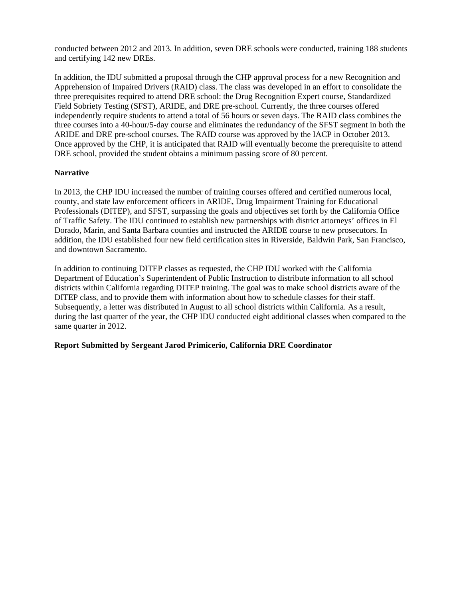conducted between 2012 and 2013. In addition, seven DRE schools were conducted, training 188 students and certifying 142 new DREs.

In addition, the IDU submitted a proposal through the CHP approval process for a new Recognition and Apprehension of Impaired Drivers (RAID) class. The class was developed in an effort to consolidate the three prerequisites required to attend DRE school: the Drug Recognition Expert course, Standardized Field Sobriety Testing (SFST), ARIDE, and DRE pre-school. Currently, the three courses offered independently require students to attend a total of 56 hours or seven days. The RAID class combines the three courses into a 40-hour/5-day course and eliminates the redundancy of the SFST segment in both the ARIDE and DRE pre-school courses. The RAID course was approved by the IACP in October 2013. Once approved by the CHP, it is anticipated that RAID will eventually become the prerequisite to attend DRE school, provided the student obtains a minimum passing score of 80 percent.

### **Narrative**

In 2013, the CHP IDU increased the number of training courses offered and certified numerous local, county, and state law enforcement officers in ARIDE, Drug Impairment Training for Educational Professionals (DITEP), and SFST, surpassing the goals and objectives set forth by the California Office of Traffic Safety. The IDU continued to establish new partnerships with district attorneys' offices in El Dorado, Marin, and Santa Barbara counties and instructed the ARIDE course to new prosecutors. In addition, the IDU established four new field certification sites in Riverside, Baldwin Park, San Francisco, and downtown Sacramento.

In addition to continuing DITEP classes as requested, the CHP IDU worked with the California Department of Education's Superintendent of Public Instruction to distribute information to all school districts within California regarding DITEP training. The goal was to make school districts aware of the DITEP class, and to provide them with information about how to schedule classes for their staff. Subsequently, a letter was distributed in August to all school districts within California. As a result, during the last quarter of the year, the CHP IDU conducted eight additional classes when compared to the same quarter in 2012.

### **Report Submitted by Sergeant Jarod Primicerio, California DRE Coordinator**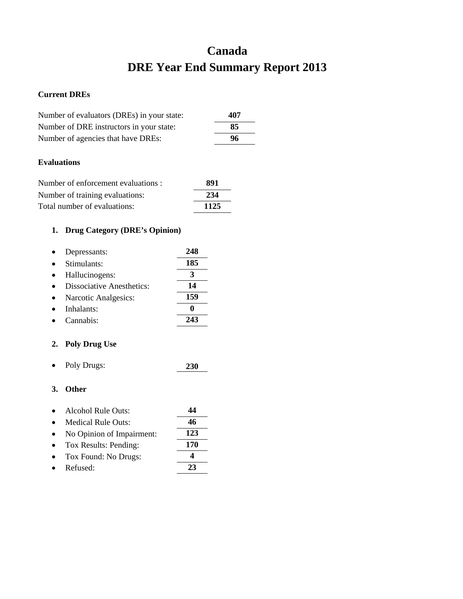# **Canada DRE Year End Summary Report 2013**

### **Current DREs**

| Number of evaluators (DREs) in your state: | 407 |
|--------------------------------------------|-----|
| Number of DRE instructors in your state:   | 85  |
| Number of agencies that have DREs:         | 96  |
|                                            |     |

## **Evaluations**

| Number of enforcement evaluations : | 891  |
|-------------------------------------|------|
| Number of training evaluations:     | 234  |
| Total number of evaluations:        | 1125 |

## **1. Drug Category (DRE's Opinion)**

| Depressants:                     | 248 |
|----------------------------------|-----|
| Stimulants:                      | 185 |
| Hallucinogens:                   | 3   |
| <b>Dissociative Anesthetics:</b> | 14  |
| Narcotic Analgesics:             | 159 |
| Inhalants:                       |     |
| Cannabis <sup>.</sup>            |     |

## **2. Poly Drug Use**

• Poly Drugs: **230**

| $\bullet$ | Alcohol Rule Outs:        | 44  |
|-----------|---------------------------|-----|
|           | Medical Rule Outs:        | 46  |
|           | No Opinion of Impairment: | 123 |
| $\bullet$ | Tox Results: Pending:     | 170 |
|           | Tox Found: No Drugs:      |     |
|           | Refused:                  | 23  |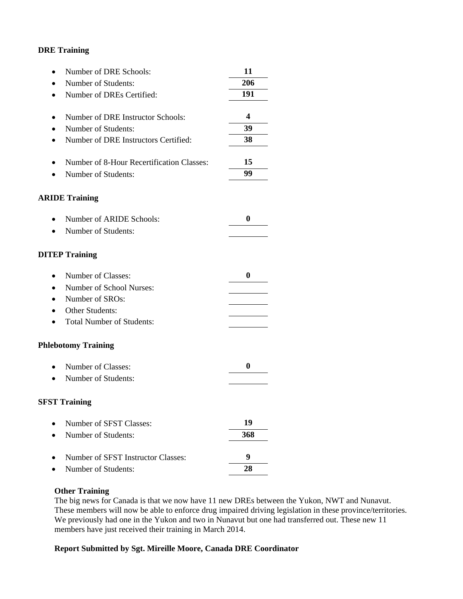| Number of DRE Schools:<br>٠                            | 11               |
|--------------------------------------------------------|------------------|
| Number of Students:                                    | 206              |
| Number of DREs Certified:<br>$\bullet$                 | 191              |
|                                                        |                  |
| Number of DRE Instructor Schools:<br>$\bullet$         | 4                |
| Number of Students:<br>$\bullet$                       | 39               |
| Number of DRE Instructors Certified:<br>$\bullet$      | 38               |
| Number of 8-Hour Recertification Classes:<br>$\bullet$ | 15               |
| Number of Students:                                    | 99               |
| <b>ARIDE Training</b>                                  |                  |
| Number of ARIDE Schools:<br>$\bullet$                  | 0                |
| Number of Students:<br>$\bullet$                       |                  |
| <b>DITEP Training</b>                                  |                  |
| Number of Classes:<br>$\bullet$                        | 0                |
| Number of School Nurses:<br>$\bullet$                  |                  |
| Number of SROs:<br>$\bullet$                           |                  |
| <b>Other Students:</b>                                 |                  |
| <b>Total Number of Students:</b><br>$\bullet$          |                  |
| <b>Phlebotomy Training</b>                             |                  |
| Number of Classes:<br>$\bullet$                        | $\boldsymbol{0}$ |
| Number of Students:                                    |                  |
| <b>SFST Training</b>                                   |                  |
| Number of SFST Classes:                                | 19               |
| Number of Students:                                    | 368              |
| Number of SFST Instructor Classes:                     | 9                |
| Number of Students:                                    | 28               |
|                                                        |                  |

### **Other Training**

The big news for Canada is that we now have 11 new DREs between the Yukon, NWT and Nunavut. These members will now be able to enforce drug impaired driving legislation in these province/territories. We previously had one in the Yukon and two in Nunavut but one had transferred out. These new 11 members have just received their training in March 2014.

### **Report Submitted by Sgt. Mireille Moore, Canada DRE Coordinator**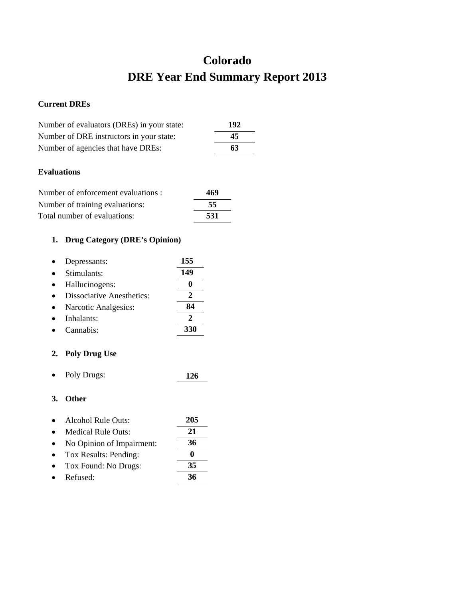## **Colorado DRE Year End Summary Report 2013**

## **Current DREs**

| Number of evaluators (DREs) in your state: | 192 |
|--------------------------------------------|-----|
| Number of DRE instructors in your state:   | 45  |
| Number of agencies that have DREs:         | 63  |

## **Evaluations**

| Number of enforcement evaluations : | 469 |
|-------------------------------------|-----|
| Number of training evaluations:     | -55 |
| Total number of evaluations:        | 531 |

## **1. Drug Category (DRE's Opinion)**

| Depressants:                     | 155 |
|----------------------------------|-----|
| Stimulants:                      | 149 |
| Hallucinogens:                   |     |
| <b>Dissociative Anesthetics:</b> |     |
| Narcotic Analgesics:             | 84  |
| Inhalants:                       |     |
| Cannabis:                        | 330 |
|                                  |     |

## **2. Poly Drug Use**

• Poly Drugs: **126**

- Alcohol Rule Outs: **205** • Medical Rule Outs: **21** • No Opinion of Impairment: **36**
- Tox Results: Pending: **0** • Tox Found: No Drugs: **35** • Refused: **36**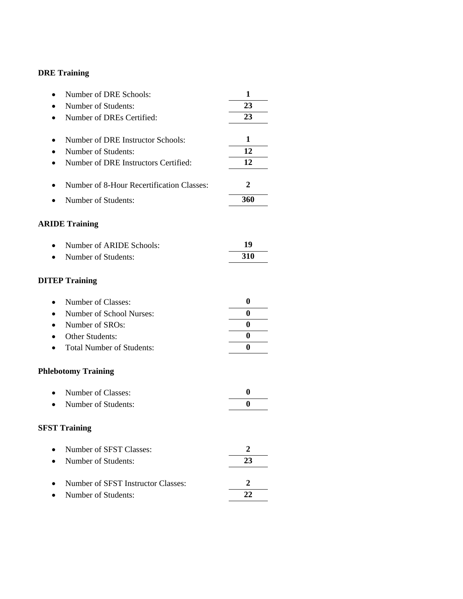| Number of DRE Schools:                    | 1        |
|-------------------------------------------|----------|
| Number of Students:                       | 23       |
| Number of DREs Certified:                 | 23       |
|                                           |          |
| Number of DRE Instructor Schools:         | 1        |
| Number of Students:                       | 12       |
| Number of DRE Instructors Certified:      | 12       |
| Number of 8-Hour Recertification Classes: | 2        |
| Number of Students:                       | 360      |
| <b>ARIDE Training</b>                     |          |
| Number of ARIDE Schools:<br>$\bullet$     | 19       |
| Number of Students:                       | 310      |
| <b>DITEP Training</b>                     |          |
| Number of Classes:                        | 0        |
| Number of School Nurses:<br>$\bullet$     | $\bf{0}$ |
| Number of SROs:<br>$\bullet$              | 0        |
| Other Students:                           | $\bf{0}$ |
| <b>Total Number of Students:</b>          | $\bf{0}$ |
| <b>Phlebotomy Training</b>                |          |
| Number of Classes:                        | $\bf{0}$ |
| Number of Students:                       | $\bf{0}$ |
| <b>SFST Training</b>                      |          |
| Number of SFST Classes:<br>$\bullet$      | 2        |
| Number of Students:                       | 23       |
| Number of SFST Instructor Classes:        | 2        |
| Number of Students:                       | 22       |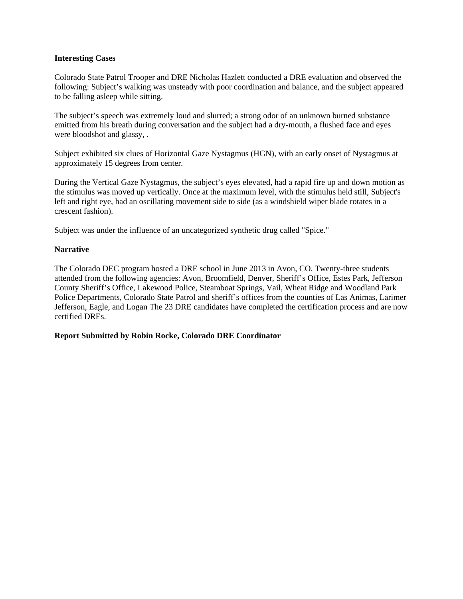### **Interesting Cases**

Colorado State Patrol Trooper and DRE Nicholas Hazlett conducted a DRE evaluation and observed the following: Subject's walking was unsteady with poor coordination and balance, and the subject appeared to be falling asleep while sitting.

The subject's speech was extremely loud and slurred; a strong odor of an unknown burned substance emitted from his breath during conversation and the subject had a dry-mouth, a flushed face and eyes were bloodshot and glassy, .

Subject exhibited six clues of Horizontal Gaze Nystagmus (HGN), with an early onset of Nystagmus at approximately 15 degrees from center.

During the Vertical Gaze Nystagmus, the subject's eyes elevated, had a rapid fire up and down motion as the stimulus was moved up vertically. Once at the maximum level, with the stimulus held still, Subject's left and right eye, had an oscillating movement side to side (as a windshield wiper blade rotates in a crescent fashion).

Subject was under the influence of an uncategorized synthetic drug called "Spice."

#### **Narrative**

The Colorado DEC program hosted a DRE school in June 2013 in Avon, CO. Twenty-three students attended from the following agencies: Avon, Broomfield, Denver, Sheriff's Office, Estes Park, Jefferson County Sheriff's Office, Lakewood Police, Steamboat Springs, Vail, Wheat Ridge and Woodland Park Police Departments, Colorado State Patrol and sheriff's offices from the counties of Las Animas, Larimer Jefferson, Eagle, and Logan The 23 DRE candidates have completed the certification process and are now certified DREs.

### **Report Submitted by Robin Rocke, Colorado DRE Coordinator**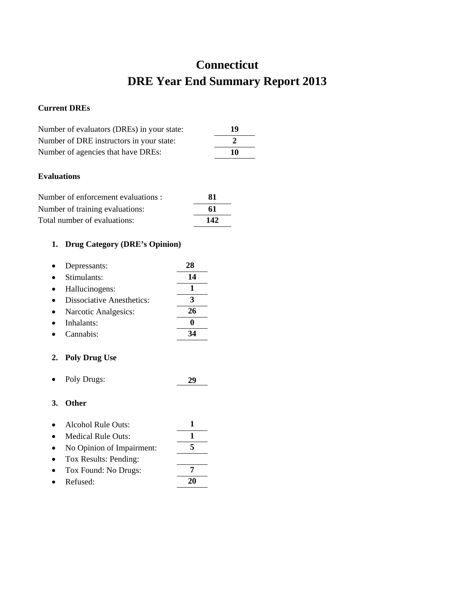# **Connecticut DRE Year End Summary Report 2013**

## **Current DREs**

| Number of evaluators (DREs) in your state: | 19 |
|--------------------------------------------|----|
| Number of DRE instructors in your state:   |    |
| Number of agencies that have DREs:         | 10 |

### **Evaluations**

| Number of enforcement evaluations : | 81  |
|-------------------------------------|-----|
| Number of training evaluations:     | 61  |
| Total number of evaluations:        | 142 |

## **1. Drug Category (DRE's Opinion)**

| Depressants:                     | 28 |
|----------------------------------|----|
| Stimulants:                      | 14 |
| Hallucinogens:                   |    |
| <b>Dissociative Anesthetics:</b> | З  |
| Narcotic Analgesics:             | 26 |
| Inhalants:                       |    |
| Cannabis <sup>.</sup>            |    |

## **2. Poly Drug Use**

• Poly Drugs: **29**

## **3. Other**

| $\bullet$ | Alcohol Rule Outs:        |  |
|-----------|---------------------------|--|
|           | Medical Rule Outs:        |  |
| $\bullet$ | No Opinion of Impairment: |  |
|           | Tox Results: Pending:     |  |
|           | Tox Found: No Drugs:      |  |

• Refused: **20**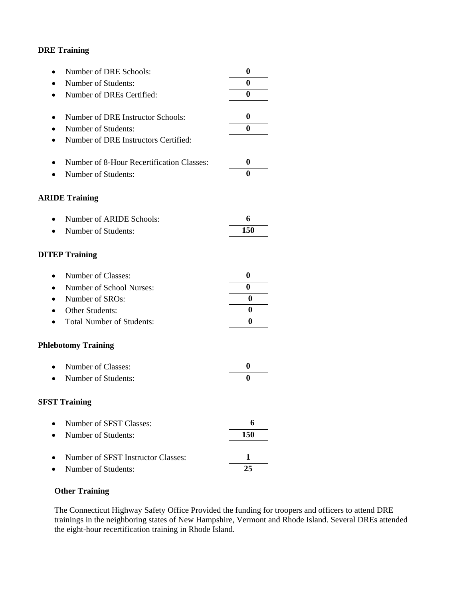| Number of DRE Schools:                        | 0                |
|-----------------------------------------------|------------------|
| Number of Students:<br>$\bullet$              | 0                |
| Number of DREs Certified:<br>$\bullet$        | $\boldsymbol{0}$ |
|                                               |                  |
| Number of DRE Instructor Schools:             | $\boldsymbol{0}$ |
| Number of Students:<br>٠                      | $\bf{0}$         |
| Number of DRE Instructors Certified:<br>٠     |                  |
| Number of 8-Hour Recertification Classes:     | $\boldsymbol{0}$ |
| Number of Students:                           | $\bf{0}$         |
| <b>ARIDE Training</b>                         |                  |
| Number of ARIDE Schools:                      | 6                |
| Number of Students:<br>$\bullet$              | <b>150</b>       |
| <b>DITEP Training</b>                         |                  |
| Number of Classes:<br>$\bullet$               | $\boldsymbol{0}$ |
| Number of School Nurses:<br>$\bullet$         | 0                |
| Number of SROs:<br>$\bullet$                  | $\bf{0}$         |
| Other Students:                               | 0                |
| <b>Total Number of Students:</b><br>$\bullet$ | 0                |
| <b>Phlebotomy Training</b>                    |                  |
| Number of Classes:<br>$\bullet$               | $\boldsymbol{0}$ |
| Number of Students:                           | 0                |
| <b>SFST Training</b>                          |                  |
| Number of SFST Classes:                       | 6                |
| Number of Students:                           | 150              |
| Number of SFST Instructor Classes:            | 1                |
| Number of Students:                           | 25               |
|                                               |                  |

## **Other Training**

The Connecticut Highway Safety Office Provided the funding for troopers and officers to attend DRE trainings in the neighboring states of New Hampshire, Vermont and Rhode Island. Several DREs attended the eight-hour recertification training in Rhode Island.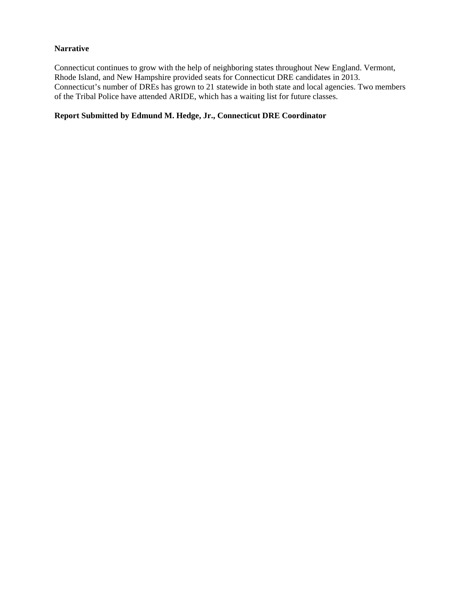### **Narrative**

Connecticut continues to grow with the help of neighboring states throughout New England. Vermont, Rhode Island, and New Hampshire provided seats for Connecticut DRE candidates in 2013. Connecticut's number of DREs has grown to 21 statewide in both state and local agencies. Two members of the Tribal Police have attended ARIDE, which has a waiting list for future classes.

## **Report Submitted by Edmund M. Hedge, Jr., Connecticut DRE Coordinator**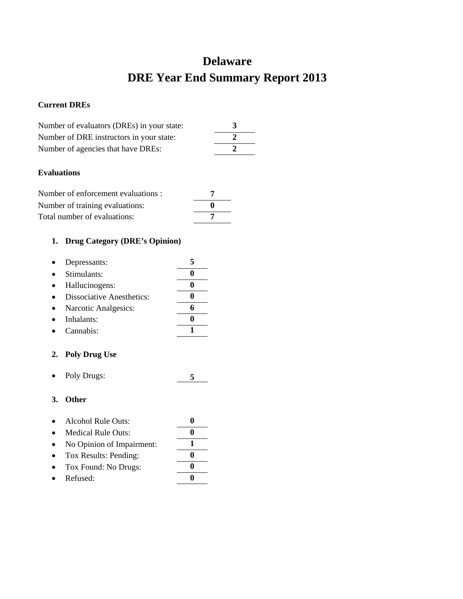## **Delaware DRE Year End Summary Report 2013**

### **Current DREs**

| Number of evaluators (DREs) in your state: |  |
|--------------------------------------------|--|
| Number of DRE instructors in your state:   |  |
| Number of agencies that have DREs:         |  |

### **Evaluations**

| Number of enforcement evaluations : |  |
|-------------------------------------|--|
| Number of training evaluations:     |  |
| Total number of evaluations:        |  |

## **1. Drug Category (DRE's Opinion)**

| Depressants:                     |  |
|----------------------------------|--|
| Stimulants:                      |  |
| Hallucinogens:                   |  |
| <b>Dissociative Anesthetics:</b> |  |
| Narcotic Analgesics:             |  |
| Inhalants:                       |  |
| Cannabis:                        |  |

## **2. Poly Drug Use**

• Poly Drugs: **5**

- Alcohol Rule Outs: **0**
- Medical Rule Outs: **0**
- No Opinion of Impairment: **1**
- Tox Results: Pending: **0**
- Tox Found: No Drugs: **0**
- Refused: **0**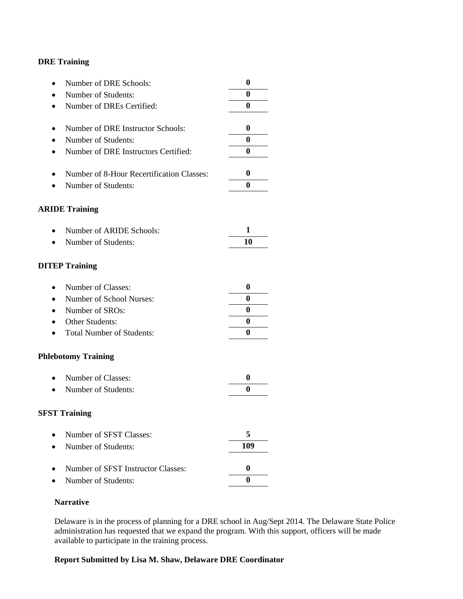| Number of DRE Schools:<br>$\bullet$               | 0                |
|---------------------------------------------------|------------------|
| Number of Students:                               | 0                |
| Number of DREs Certified:<br>$\bullet$            | $\bf{0}$         |
|                                                   |                  |
| Number of DRE Instructor Schools:<br>٠            | $\boldsymbol{0}$ |
| Number of Students:                               | $\bf{0}$         |
| Number of DRE Instructors Certified:<br>$\bullet$ | $\bf{0}$         |
|                                                   |                  |
| Number of 8-Hour Recertification Classes:<br>٠    | $\boldsymbol{0}$ |
| Number of Students:                               | $\bf{0}$         |
| <b>ARIDE Training</b>                             |                  |
|                                                   |                  |
| Number of ARIDE Schools:<br>$\bullet$             | 1                |
| Number of Students:<br>$\bullet$                  | 10               |
|                                                   |                  |
| <b>DITEP Training</b>                             |                  |
| Number of Classes:<br>$\bullet$                   | $\boldsymbol{0}$ |
| Number of School Nurses:<br>$\bullet$             | 0                |
| Number of SROs:<br>$\bullet$                      | 0                |
| Other Students:                                   | 0                |
|                                                   | 0                |
| <b>Total Number of Students:</b><br>$\bullet$     |                  |
| <b>Phlebotomy Training</b>                        |                  |
| Number of Classes:<br>$\bullet$                   | $\boldsymbol{0}$ |
| Number of Students:                               | 0                |
|                                                   |                  |
| <b>SFST Training</b>                              |                  |
| Number of SFST Classes:                           | 5                |
| Number of Students:                               | 109              |
|                                                   |                  |
| Number of SFST Instructor Classes:                | $\boldsymbol{0}$ |
| Number of Students:                               | 0                |

### **Narrative**

Delaware is in the process of planning for a DRE school in Aug/Sept 2014. The Delaware State Police administration has requested that we expand the program. With this support, officers will be made available to participate in the training process.

## **Report Submitted by Lisa M. Shaw, Delaware DRE Coordinator**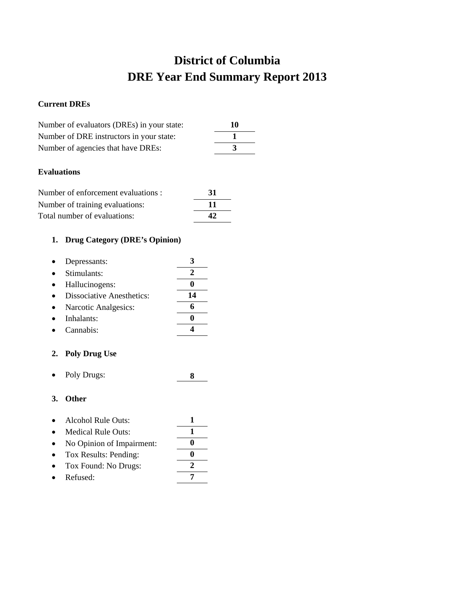## **District of Columbia DRE Year End Summary Report 2013**

## **Current DREs**

| Number of evaluators (DREs) in your state: | 10 |
|--------------------------------------------|----|
| Number of DRE instructors in your state:   |    |
| Number of agencies that have DREs:         |    |

### **Evaluations**

| Number of enforcement evaluations : | -31 |
|-------------------------------------|-----|
| Number of training evaluations:     | -11 |
| Total number of evaluations:        | 42  |

## **1. Drug Category (DRE's Opinion)**

| Depressants:                     |    |
|----------------------------------|----|
| Stimulants:                      |    |
| Hallucinogens:                   |    |
| <b>Dissociative Anesthetics:</b> | 14 |
| Narcotic Analgesics:             |    |
| Inhalants:                       |    |
| Cannabis:                        |    |

### **2. Poly Drug Use**

• Poly Drugs: **8**

- Alcohol Rule Outs: **1**
- Medical Rule Outs: 1
- No Opinion of Impairment: **0**
- Tox Results: Pending: **0** • Tox Found: No Drugs: **2**
- 
- Refused: **7**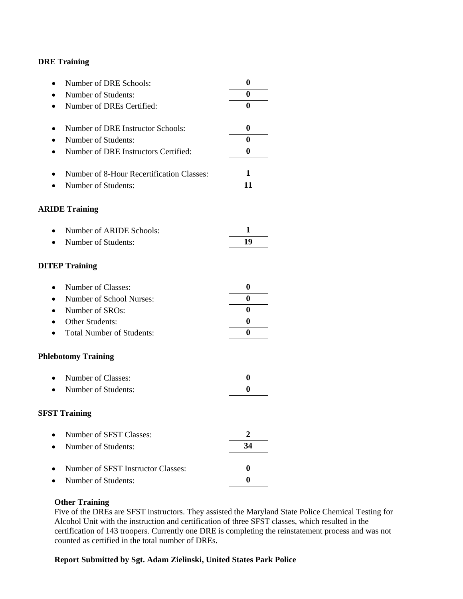| Number of DRE Schools:<br>$\bullet$               | 0                |
|---------------------------------------------------|------------------|
| Number of Students:                               | 0                |
| Number of DREs Certified:<br>$\bullet$            | $\bf{0}$         |
|                                                   |                  |
| Number of DRE Instructor Schools:<br>٠            | $\boldsymbol{0}$ |
| Number of Students:                               | $\bf{0}$         |
| Number of DRE Instructors Certified:<br>$\bullet$ | $\bf{0}$         |
| Number of 8-Hour Recertification Classes:<br>٠    | 1                |
| Number of Students:                               | 11               |
| <b>ARIDE Training</b>                             |                  |
| Number of ARIDE Schools:<br>$\bullet$             | 1                |
| Number of Students:<br>$\bullet$                  | 19               |
| <b>DITEP Training</b>                             |                  |
| Number of Classes:<br>$\bullet$                   | $\boldsymbol{0}$ |
| Number of School Nurses:<br>$\bullet$             | 0                |
| Number of SROs:<br>$\bullet$                      | 0                |
| Other Students:                                   | 0                |
| <b>Total Number of Students:</b><br>$\bullet$     | 0                |
| <b>Phlebotomy Training</b>                        |                  |
| Number of Classes:<br>$\bullet$                   | $\boldsymbol{0}$ |
| Number of Students:                               | 0                |
| <b>SFST Training</b>                              |                  |
| Number of SFST Classes:                           | $\mathbf{2}$     |
| Number of Students:                               | 34               |
| Number of SFST Instructor Classes:                | $\boldsymbol{0}$ |
| Number of Students:                               | $\bf{0}$         |

#### **Other Training**

Five of the DREs are SFST instructors. They assisted the Maryland State Police Chemical Testing for Alcohol Unit with the instruction and certification of three SFST classes, which resulted in the certification of 143 troopers. Currently one DRE is completing the reinstatement process and was not counted as certified in the total number of DREs.

### **Report Submitted by Sgt. Adam Zielinski, United States Park Police**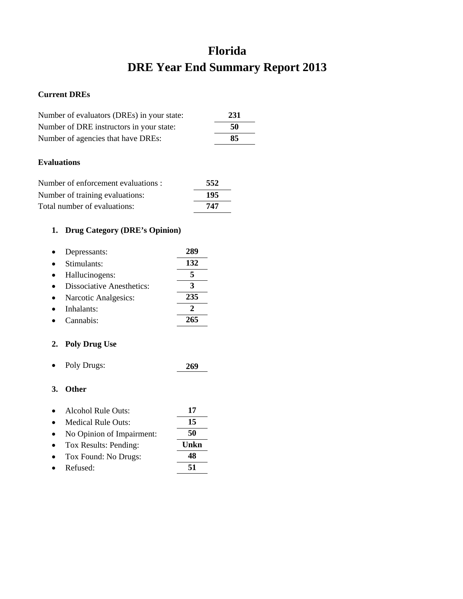## **Florida DRE Year End Summary Report 2013**

### **Current DREs**

| Number of evaluators (DREs) in your state: | 231 |
|--------------------------------------------|-----|
| Number of DRE instructors in your state:   | 50  |
| Number of agencies that have DREs:         | 85  |
|                                            |     |

## **Evaluations**

| Number of enforcement evaluations : | 552 |
|-------------------------------------|-----|
| Number of training evaluations:     | 195 |
| Total number of evaluations:        | 747 |

## **1. Drug Category (DRE's Opinion)**

| Depressants:                     | 289 |
|----------------------------------|-----|
| Stimulants:                      | 132 |
| Hallucinogens:                   |     |
| <b>Dissociative Anesthetics:</b> |     |
| Narcotic Analgesics:             | 235 |
| Inhalants:                       |     |
| Cannabis:                        | 265 |

## **2. Poly Drug Use**

• Poly Drugs: **269**

| $\bullet$ | Alcohol Rule Outs:        | 17 |
|-----------|---------------------------|----|
| $\bullet$ | <b>Medical Rule Outs:</b> | 15 |

- No Opinion of Impairment: **50**
- Tox Results: Pending: **Unkn** • Tox Found: No Drugs: **48**
- Refused: **51**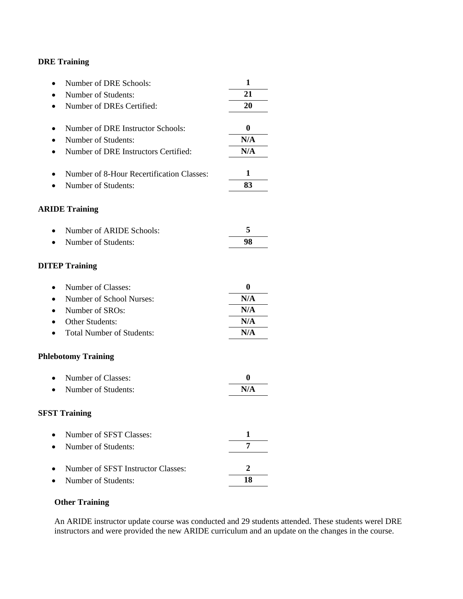| Number of DRE Schools:<br>$\bullet$               | 1                |
|---------------------------------------------------|------------------|
| Number of Students:                               | 21               |
| Number of DREs Certified:<br>$\bullet$            | 20               |
|                                                   |                  |
| Number of DRE Instructor Schools:                 | $\boldsymbol{0}$ |
| Number of Students:<br>$\bullet$                  | N/A              |
| Number of DRE Instructors Certified:<br>$\bullet$ | N/A              |
| Number of 8-Hour Recertification Classes:         | 1                |
| Number of Students:                               | 83               |
| <b>ARIDE Training</b>                             |                  |
| Number of ARIDE Schools:                          | 5                |
| Number of Students:<br>$\bullet$                  | 98               |
| <b>DITEP Training</b>                             |                  |
| Number of Classes:<br>$\bullet$                   | $\boldsymbol{0}$ |
| Number of School Nurses:<br>$\bullet$             | N/A              |
| Number of SROs:<br>$\bullet$                      | N/A              |
| Other Students:                                   | N/A              |
| <b>Total Number of Students:</b><br>$\bullet$     | N/A              |
| <b>Phlebotomy Training</b>                        |                  |
| Number of Classes:<br>$\bullet$                   | 0                |
| Number of Students:                               | N/A              |
| <b>SFST Training</b>                              |                  |
| Number of SFST Classes:                           | 1                |
| Number of Students:                               | 7                |
| Number of SFST Instructor Classes:                | $\overline{2}$   |
| Number of Students:                               | 18               |
|                                                   |                  |

## **Other Training**

An ARIDE instructor update course was conducted and 29 students attended. These students werel DRE instructors and were provided the new ARIDE curriculum and an update on the changes in the course.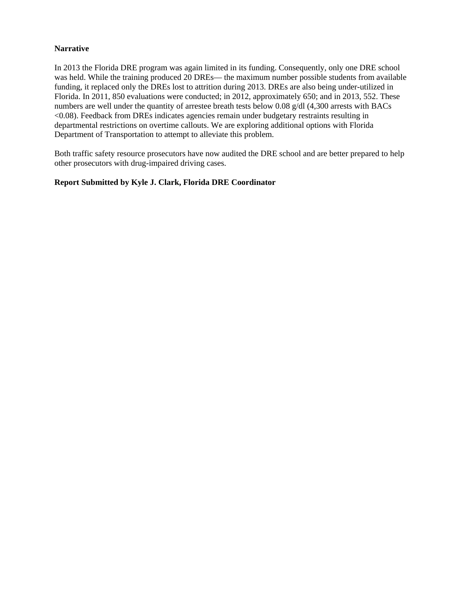### **Narrative**

In 2013 the Florida DRE program was again limited in its funding. Consequently, only one DRE school was held. While the training produced 20 DREs— the maximum number possible students from available funding, it replaced only the DREs lost to attrition during 2013. DREs are also being under-utilized in Florida. In 2011, 850 evaluations were conducted; in 2012, approximately 650; and in 2013, 552. These numbers are well under the quantity of arrestee breath tests below 0.08 g/dl (4,300 arrests with BACs <0.08). Feedback from DREs indicates agencies remain under budgetary restraints resulting in departmental restrictions on overtime callouts. We are exploring additional options with Florida Department of Transportation to attempt to alleviate this problem.

Both traffic safety resource prosecutors have now audited the DRE school and are better prepared to help other prosecutors with drug-impaired driving cases.

### **Report Submitted by Kyle J. Clark, Florida DRE Coordinator**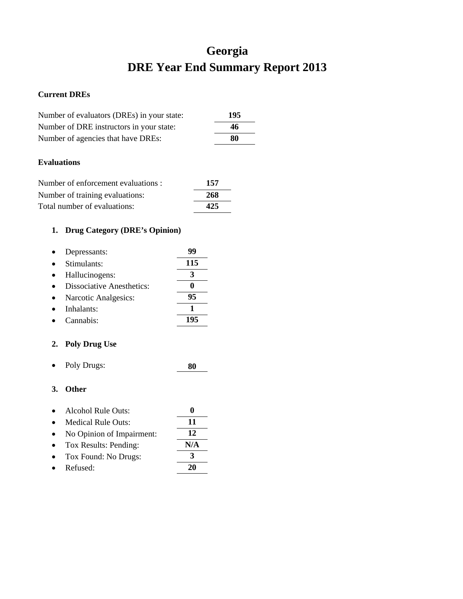## **Georgia DRE Year End Summary Report 2013**

### **Current DREs**

| Number of evaluators (DREs) in your state: | 195 |
|--------------------------------------------|-----|
| Number of DRE instructors in your state:   | 46  |
| Number of agencies that have DREs:         | 80  |
|                                            |     |
| <b>Evaluations</b>                         |     |

| Number of enforcement evaluations : | 157 |
|-------------------------------------|-----|
| Number of training evaluations:     | 268 |
| Total number of evaluations:        | 425 |

## **1. Drug Category (DRE's Opinion)**

| Depressants:                     |     |
|----------------------------------|-----|
| Stimulants:                      | 115 |
| Hallucinogens:                   |     |
| <b>Dissociative Anesthetics:</b> |     |
| Narcotic Analgesics:             | 95  |
| Inhalants:                       |     |
| Cannabis:                        |     |

## **2. Poly Drug Use**

• Poly Drugs: **80**

- Alcohol Rule Outs: **0**
- Medical Rule Outs: **11** • No Opinion of Impairment: **12**
- Tox Results: Pending: **N/A**
- Tox Found: No Drugs: **3**
- Refused: **20**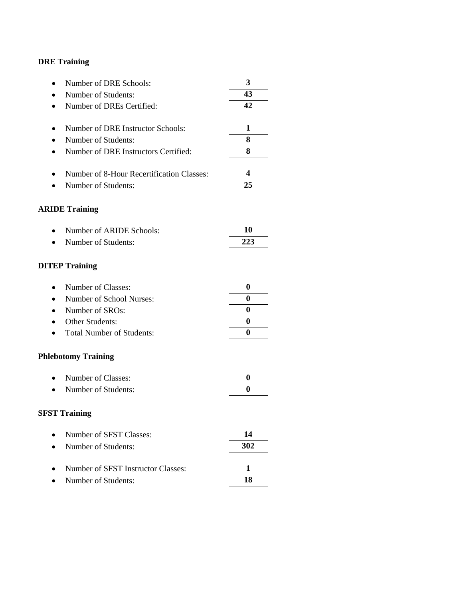| Number of DRE Schools:<br>$\bullet$            | 3                |
|------------------------------------------------|------------------|
| Number of Students:                            | 43               |
| Number of DREs Certified:                      | 42               |
|                                                |                  |
| Number of DRE Instructor Schools:<br>٠         | 1                |
| Number of Students:                            | 8                |
| Number of DRE Instructors Certified:           | 8                |
| Number of 8-Hour Recertification Classes:<br>٠ | 4                |
| Number of Students:                            | 25               |
| <b>ARIDE Training</b>                          |                  |
| Number of ARIDE Schools:                       | 10               |
| Number of Students:                            | 223              |
| <b>DITEP Training</b>                          |                  |
| Number of Classes:<br>$\bullet$                | $\boldsymbol{0}$ |
| Number of School Nurses:                       | 0                |
| Number of SROs:                                | 0                |
| <b>Other Students:</b>                         | $\boldsymbol{0}$ |
| <b>Total Number of Students:</b>               | 0                |
| <b>Phlebotomy Training</b>                     |                  |
| Number of Classes:<br>$\bullet$                | $\boldsymbol{0}$ |
| Number of Students:                            | 0                |
| <b>SFST Training</b>                           |                  |
| Number of SFST Classes:                        | 14               |
| Number of Students:                            | 302              |
| Number of SFST Instructor Classes:             | 1                |
| Number of Students:                            | 18               |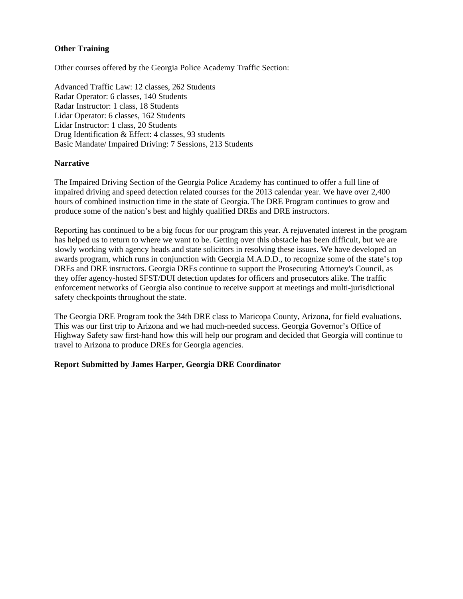### **Other Training**

Other courses offered by the Georgia Police Academy Traffic Section:

Advanced Traffic Law: 12 classes, 262 Students Radar Operator: 6 classes, 140 Students Radar Instructor: 1 class, 18 Students Lidar Operator: 6 classes, 162 Students Lidar Instructor: 1 class, 20 Students Drug Identification & Effect: 4 classes, 93 students Basic Mandate/ Impaired Driving: 7 Sessions, 213 Students

#### **Narrative**

The Impaired Driving Section of the Georgia Police Academy has continued to offer a full line of impaired driving and speed detection related courses for the 2013 calendar year. We have over 2,400 hours of combined instruction time in the state of Georgia. The DRE Program continues to grow and produce some of the nation's best and highly qualified DREs and DRE instructors.

Reporting has continued to be a big focus for our program this year. A rejuvenated interest in the program has helped us to return to where we want to be. Getting over this obstacle has been difficult, but we are slowly working with agency heads and state solicitors in resolving these issues. We have developed an awards program, which runs in conjunction with Georgia M.A.D.D., to recognize some of the state's top DREs and DRE instructors. Georgia DREs continue to support the Prosecuting Attorney's Council, as they offer agency-hosted SFST/DUI detection updates for officers and prosecutors alike. The traffic enforcement networks of Georgia also continue to receive support at meetings and multi-jurisdictional safety checkpoints throughout the state.

The Georgia DRE Program took the 34th DRE class to Maricopa County, Arizona, for field evaluations. This was our first trip to Arizona and we had much-needed success. Georgia Governor's Office of Highway Safety saw first-hand how this will help our program and decided that Georgia will continue to travel to Arizona to produce DREs for Georgia agencies.

### **Report Submitted by James Harper, Georgia DRE Coordinator**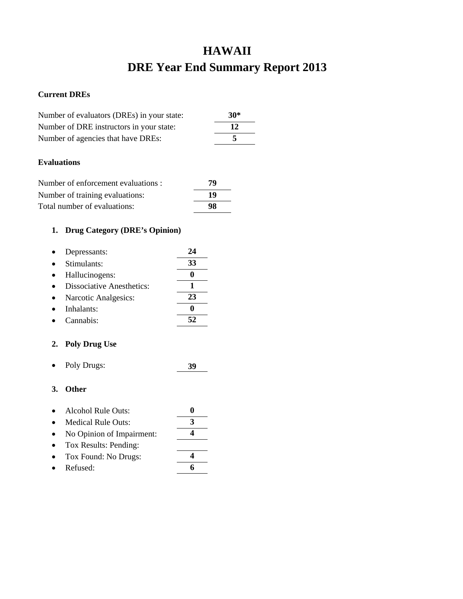## **HAWAII DRE Year End Summary Report 2013**

### **Current DREs**

| Number of evaluators (DREs) in your state: | $30*$ |
|--------------------------------------------|-------|
| Number of DRE instructors in your state:   | 12    |
| Number of agencies that have DREs:         |       |
|                                            |       |

### **Evaluations**

| Number of enforcement evaluations : | 79 |
|-------------------------------------|----|
| Number of training evaluations:     | 19 |
| Total number of evaluations:        | 98 |

## **1. Drug Category (DRE's Opinion)**

| Depressants:                     | 24 |
|----------------------------------|----|
| Stimulants:                      | 33 |
| Hallucinogens:                   |    |
| <b>Dissociative Anesthetics:</b> |    |
| Narcotic Analgesics:             | 23 |
| Inhalants:                       |    |
| Cannabis <sup>.</sup>            |    |

## **2. Poly Drug Use**

• Poly Drugs: **39**

- Alcohol Rule Outs: **0**
- Medical Rule Outs: **3**
- No Opinion of Impairment: **4**
- Tox Results: Pending:
- Tox Found: No Drugs: **4**
- Refused: **6**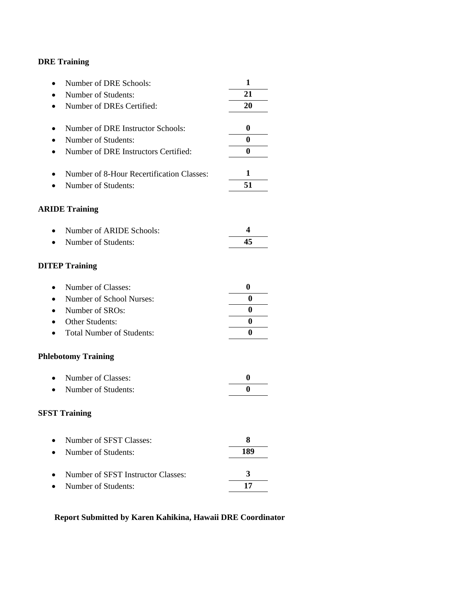| Number of DRE Schools:<br>٠                    | 1                |
|------------------------------------------------|------------------|
| Number of Students:                            | 21               |
| Number of DREs Certified:<br>٠                 | 20               |
| Number of DRE Instructor Schools:<br>٠         | 0                |
| Number of Students:                            | $\bf{0}$         |
| Number of DRE Instructors Certified:<br>٠      | $\bf{0}$         |
| Number of 8-Hour Recertification Classes:<br>٠ | 1                |
| Number of Students:                            | 51               |
| <b>ARIDE Training</b>                          |                  |
| Number of ARIDE Schools:<br>$\bullet$          | 4                |
| Number of Students:                            | 45               |
| <b>DITEP Training</b>                          |                  |
| Number of Classes:<br>$\bullet$                | $\bf{0}$         |
| Number of School Nurses:                       | 0                |
| Number of SROs:<br>$\bullet$                   | 0                |
| Other Students:                                | 0                |
| <b>Total Number of Students:</b>               | 0                |
| <b>Phlebotomy Training</b>                     |                  |
| Number of Classes:<br>$\bullet$                | $\boldsymbol{0}$ |
| Number of Students:                            | 0                |
| <b>SFST Training</b>                           |                  |
| Number of SFST Classes:                        | 8                |
| Number of Students:                            | 189              |
| Number of SFST Instructor Classes:             | 3                |
| Number of Students:                            | 17               |

## **Report Submitted by Karen Kahikina, Hawaii DRE Coordinator**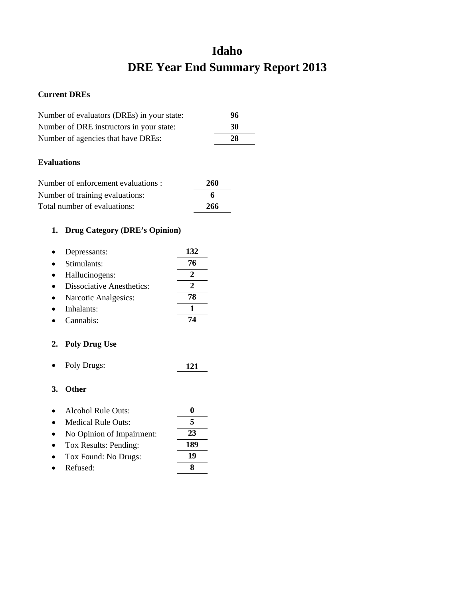## **Idaho DRE Year End Summary Report 2013**

### **Current DREs**

| Number of evaluators (DREs) in your state: | 96 |
|--------------------------------------------|----|
| Number of DRE instructors in your state:   | 30 |
| Number of agencies that have DREs:         | 28 |

### **Evaluations**

| Number of enforcement evaluations : | 260 |
|-------------------------------------|-----|
| Number of training evaluations:     | 6   |
| Total number of evaluations:        | 266 |

## **1. Drug Category (DRE's Opinion)**

| Depressants:                     | 132 |
|----------------------------------|-----|
| Stimulants:                      | 76  |
| Hallucinogens:                   | 2   |
| <b>Dissociative Anesthetics:</b> | 2   |
| Narcotic Analgesics:             | 78  |
| Inhalants:                       |     |
| Cannabis:                        |     |

## **2. Poly Drug Use**

• Poly Drugs: **121**

## **3. Other**

| $\bullet$ | Alcohol Rule Outs:        | o   |
|-----------|---------------------------|-----|
| $\bullet$ | <b>Medical Rule Outs:</b> | 5   |
| $\bullet$ | No Opinion of Impairment: | 23  |
| $\bullet$ | Tox Results: Pending:     | 189 |
| $\bullet$ | Tox Found: No Drugs:      | 19  |

• Tox Found: No Drugs: **19** • Refused: **8**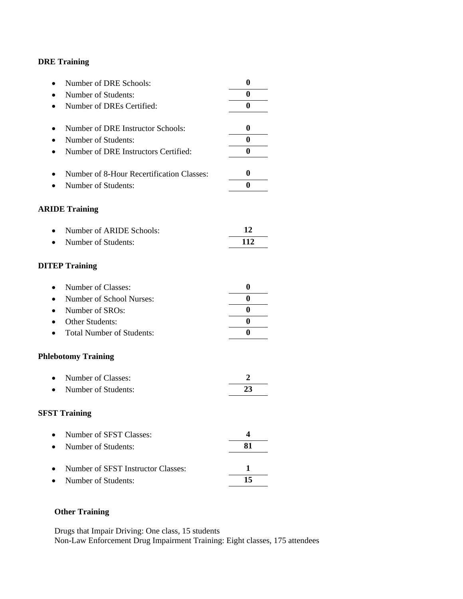| Number of DRE Schools:<br>$\bullet$           | $\boldsymbol{0}$ |
|-----------------------------------------------|------------------|
| Number of Students:                           | 0                |
| Number of DREs Certified:<br>$\bullet$        | 0                |
|                                               |                  |
| Number of DRE Instructor Schools:             | 0                |
| Number of Students:<br>$\bullet$              | 0                |
| Number of DRE Instructors Certified:<br>٠     | 0                |
| Number of 8-Hour Recertification Classes:     | 0                |
| Number of Students:                           | 0                |
| <b>ARIDE Training</b>                         |                  |
| Number of ARIDE Schools:                      | 12               |
| Number of Students:<br>$\bullet$              | 112              |
| <b>DITEP Training</b>                         |                  |
| Number of Classes:<br>$\bullet$               | $\boldsymbol{0}$ |
| Number of School Nurses:<br>$\bullet$         | 0                |
| Number of SROs:<br>$\bullet$                  | 0                |
| Other Students:                               | 0                |
| <b>Total Number of Students:</b><br>$\bullet$ | 0                |
| <b>Phlebotomy Training</b>                    |                  |
| Number of Classes:<br>$\bullet$               | 2                |
| Number of Students:                           | 23               |
| <b>SFST Training</b>                          |                  |
| Number of SFST Classes:                       | 4                |
| Number of Students:                           | 81               |
| Number of SFST Instructor Classes:            | 1                |
| Number of Students:                           | 15               |

## **Other Training**

Drugs that Impair Driving: One class, 15 students Non-Law Enforcement Drug Impairment Training: Eight classes, 175 attendees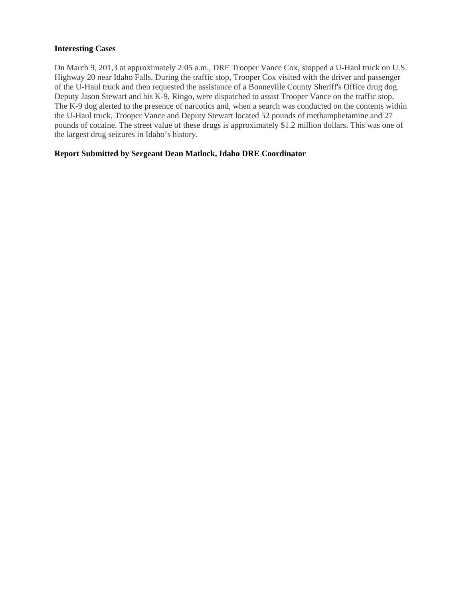### **Interesting Cases**

On March 9, 201,3 at approximately 2:05 a.m., DRE Trooper Vance Cox, stopped a U-Haul truck on U.S. Highway 20 near Idaho Falls. During the traffic stop, Trooper Cox visited with the driver and passenger of the U-Haul truck and then requested the assistance of a Bonneville County Sheriff's Office drug dog. Deputy Jason Stewart and his K-9, Ringo, were dispatched to assist Trooper Vance on the traffic stop. The K-9 dog alerted to the presence of narcotics and, when a search was conducted on the contents within the U-Haul truck, Trooper Vance and Deputy Stewart located 52 pounds of methamphetamine and 27 pounds of cocaine. The street value of these drugs is approximately \$1.2 million dollars. This was one of the largest drug seizures in Idaho's history.

### **Report Submitted by Sergeant Dean Matlock, Idaho DRE Coordinator**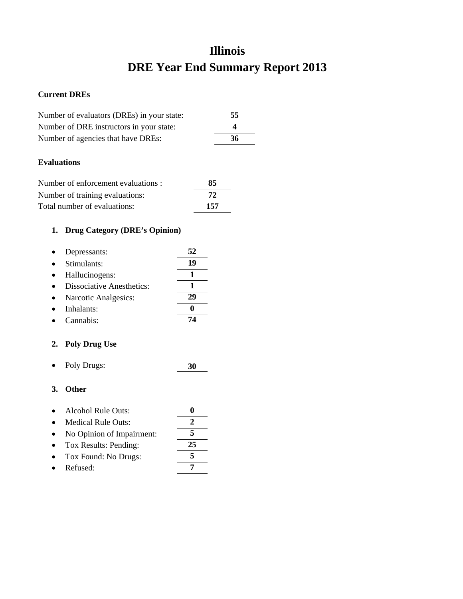## **Illinois DRE Year End Summary Report 2013**

### **Current DREs**

| Number of evaluators (DREs) in your state: | 55 |
|--------------------------------------------|----|
| Number of DRE instructors in your state:   | Δ  |
| Number of agencies that have DREs:         | 36 |
|                                            |    |

## **Evaluations**

| Number of enforcement evaluations : | 85  |
|-------------------------------------|-----|
| Number of training evaluations:     | 72  |
| Total number of evaluations:        | 157 |

## **1. Drug Category (DRE's Opinion)**

| Depressants:                     | 52 |
|----------------------------------|----|
| Stimulants:                      | 19 |
| Hallucinogens:                   |    |
| <b>Dissociative Anesthetics:</b> |    |
| Narcotic Analgesics:             | 29 |
| Inhalants:                       |    |
| Cannabis:                        |    |

## **2. Poly Drug Use**

• Poly Drugs: **30**

- Alcohol Rule Outs: **0**
- Medical Rule Outs: **2**
- No Opinion of Impairment: **5**
- Tox Results: Pending: **25** • Tox Found: No Drugs: **5**
- 
- Refused: **7**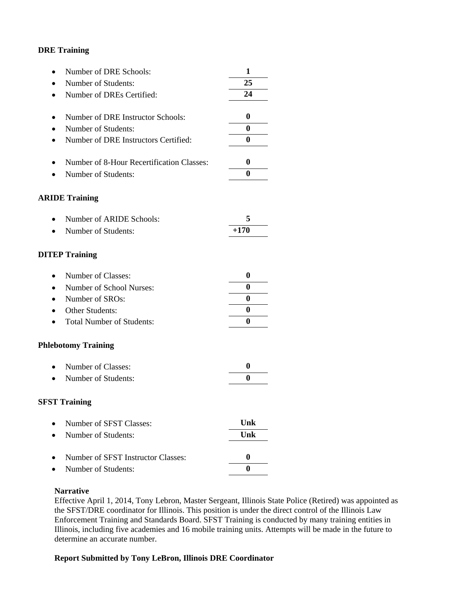| Number of DRE Schools:<br>٠                       | 1            |
|---------------------------------------------------|--------------|
| Number of Students:                               | 25           |
| Number of DREs Certified:<br>$\bullet$            | 24           |
|                                                   |              |
| Number of DRE Instructor Schools:<br>٠            | 0            |
| Number of Students:                               | $\bf{0}$     |
| Number of DRE Instructors Certified:<br>$\bullet$ | $\bf{0}$     |
| Number of 8-Hour Recertification Classes:<br>٠    | $\bf{0}$     |
| Number of Students:                               | $\bf{0}$     |
| <b>ARIDE Training</b>                             |              |
| Number of ARIDE Schools:<br>$\bullet$             | 5            |
| Number of Students:                               | $+170$       |
| <b>DITEP Training</b>                             |              |
| Number of Classes:<br>$\bullet$                   | $\mathbf{0}$ |
| Number of School Nurses:                          | 0            |
| Number of SROs:<br>$\bullet$                      | 0            |
| Other Students:                                   | 0            |
| <b>Total Number of Students:</b>                  | $\bf{0}$     |
| <b>Phlebotomy Training</b>                        |              |
| Number of Classes:<br>$\bullet$                   | $\bf{0}$     |
| Number of Students:                               | 0            |
| <b>SFST Training</b>                              |              |
| Number of SFST Classes:                           | Unk          |
| Number of Students:                               | Unk          |
| Number of SFST Instructor Classes:                | $\bf{0}$     |
| Number of Students:                               | $\bf{0}$     |
|                                                   |              |

#### **Narrative**

Effective April 1, 2014, Tony Lebron, Master Sergeant, Illinois State Police (Retired) was appointed as the SFST/DRE coordinator for Illinois. This position is under the direct control of the Illinois Law Enforcement Training and Standards Board. SFST Training is conducted by many training entities in Illinois, including five academies and 16 mobile training units. Attempts will be made in the future to determine an accurate number.

## **Report Submitted by Tony LeBron, Illinois DRE Coordinator**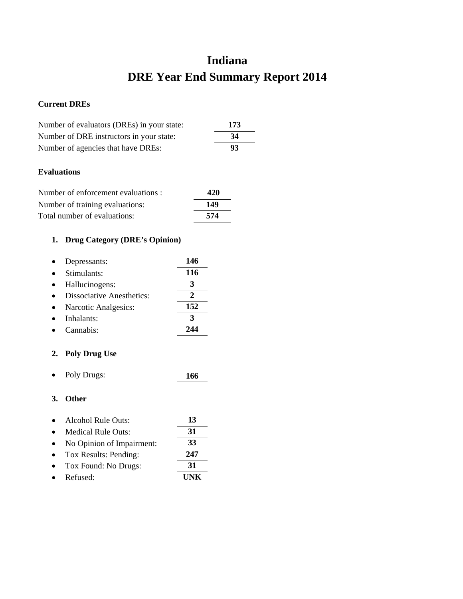# **Indiana DRE Year End Summary Report 2014**

## **Current DREs**

| Number of evaluators (DREs) in your state: | 173 |
|--------------------------------------------|-----|
| Number of DRE instructors in your state:   | 34  |
| Number of agencies that have DREs:         | 93  |

## **Evaluations**

| Number of enforcement evaluations : | 420 |
|-------------------------------------|-----|
| Number of training evaluations:     | 149 |
| Total number of evaluations:        | 574 |

# **1. Drug Category (DRE's Opinion)**

| Depressants:                     | 146 |
|----------------------------------|-----|
| Stimulants:                      | 116 |
| Hallucinogens:                   |     |
| <b>Dissociative Anesthetics:</b> |     |
| Narcotic Analgesics:             | 152 |
| Inhalants:                       |     |
| Cannabis:                        |     |

# **2. Poly Drug Use**

• Poly Drugs: **166**

| Alcohol Rule Outs:        | 13  |
|---------------------------|-----|
| <b>Medical Rule Outs:</b> | 31  |
| No Opinion of Impairment: | 33  |
| Tox Results: Pending:     | 247 |
| Tox Found: No Drugs:      | 31  |
| Refused:                  | HNK |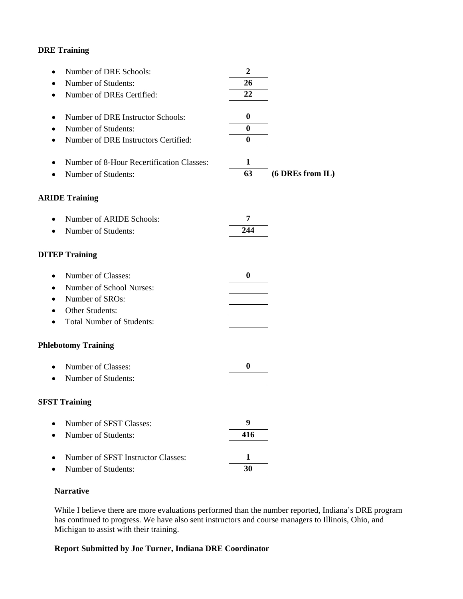| $\bullet$ | Number of DRE Schools:                    | $\boldsymbol{2}$ |                  |
|-----------|-------------------------------------------|------------------|------------------|
|           | Number of Students:                       | 26               |                  |
|           | Number of DREs Certified:                 | 22               |                  |
|           | Number of DRE Instructor Schools:         | $\boldsymbol{0}$ |                  |
|           | Number of Students:                       | $\bf{0}$         |                  |
|           | Number of DRE Instructors Certified:      | $\boldsymbol{0}$ |                  |
|           | Number of 8-Hour Recertification Classes: | 1                |                  |
|           | Number of Students:                       | 63               | (6 DREs from IL) |
|           | <b>ARIDE Training</b>                     |                  |                  |
|           | Number of ARIDE Schools:                  | 7                |                  |
|           | Number of Students:                       | 244              |                  |
|           | <b>DITEP Training</b>                     |                  |                  |
| $\bullet$ | Number of Classes:                        | $\bf{0}$         |                  |
|           | Number of School Nurses:                  |                  |                  |
| $\bullet$ | Number of SROs:                           |                  |                  |
|           | Other Students:                           |                  |                  |
| $\bullet$ | <b>Total Number of Students:</b>          |                  |                  |
|           | <b>Phlebotomy Training</b>                |                  |                  |
|           | Number of Classes:                        | $\bf{0}$         |                  |
|           | Number of Students:                       |                  |                  |
|           | <b>SFST Training</b>                      |                  |                  |
|           | Number of SFST Classes:                   | 9                |                  |
|           | Number of Students:                       | 416              |                  |
|           | Number of SFST Instructor Classes:        | 1                |                  |
|           | Number of Students:                       | 30               |                  |
|           |                                           |                  |                  |

#### **Narrative**

While I believe there are more evaluations performed than the number reported, Indiana's DRE program has continued to progress. We have also sent instructors and course managers to Illinois, Ohio, and Michigan to assist with their training.

## **Report Submitted by Joe Turner, Indiana DRE Coordinator**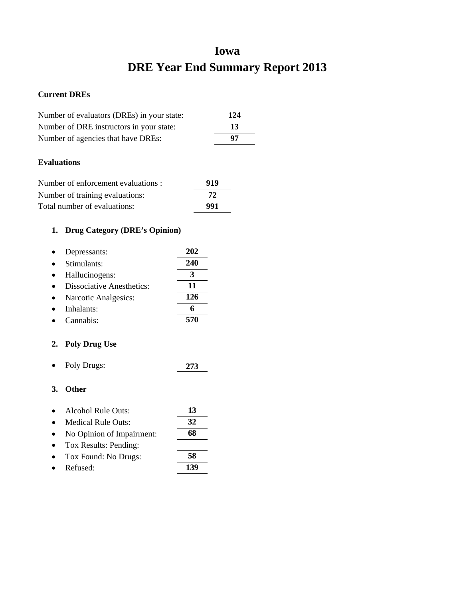# **Iowa DRE Year End Summary Report 2013**

## **Current DREs**

| Number of evaluators (DREs) in your state: | 124 |
|--------------------------------------------|-----|
| Number of DRE instructors in your state:   | 13  |
| Number of agencies that have DREs:         | 97  |
|                                            |     |

## **Evaluations**

| Number of enforcement evaluations : | 919 |
|-------------------------------------|-----|
| Number of training evaluations:     | 72. |
| Total number of evaluations:        | 991 |

# **1. Drug Category (DRE's Opinion)**

| Depressants:                     | 202 |
|----------------------------------|-----|
| Stimulants:                      | 240 |
| Hallucinogens:                   |     |
| <b>Dissociative Anesthetics:</b> | 11  |
| Narcotic Analgesics:             | 126 |
| Inhalants:                       | 6   |
| Cannabis:                        | 570 |

# **2. Poly Drug Use**

• Poly Drugs: **273**

| $\bullet$ | Alcohol Rule Outs:        | 13  |
|-----------|---------------------------|-----|
| $\bullet$ | Medical Rule Outs:        | 32  |
|           | No Opinion of Impairment: | 68  |
| $\bullet$ | Tox Results: Pending:     |     |
| $\bullet$ | Tox Found: No Drugs:      | 58  |
|           | Refused:                  | 139 |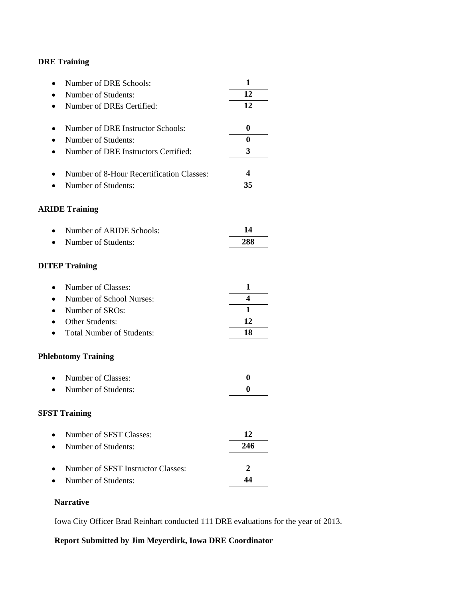| Number of DRE Schools:<br>$\bullet$           | 1              |
|-----------------------------------------------|----------------|
| Number of Students:                           | 12             |
| Number of DREs Certified:<br>$\bullet$        | 12             |
|                                               |                |
| Number of DRE Instructor Schools:             | 0              |
| Number of Students:                           | $\bf{0}$       |
| Number of DRE Instructors Certified:<br>٠     | 3              |
| Number of 8-Hour Recertification Classes:     | 4              |
| Number of Students:                           | 35             |
| <b>ARIDE Training</b>                         |                |
| Number of ARIDE Schools:                      | 14             |
| Number of Students:<br>$\bullet$              | 288            |
| <b>DITEP Training</b>                         |                |
| Number of Classes:<br>$\bullet$               | 1              |
| Number of School Nurses:<br>$\bullet$         | 4              |
| Number of SROs:<br>$\bullet$                  | 1              |
| Other Students:                               | 12             |
| <b>Total Number of Students:</b><br>$\bullet$ | 18             |
| <b>Phlebotomy Training</b>                    |                |
| Number of Classes:<br>$\bullet$               | 0              |
| Number of Students:                           | 0              |
| <b>SFST Training</b>                          |                |
| Number of SFST Classes:                       | 12             |
| Number of Students:                           | 246            |
| Number of SFST Instructor Classes:            | $\overline{2}$ |
| Number of Students:                           | 44             |
|                                               |                |

## **Narrative**

Iowa City Officer Brad Reinhart conducted 111 DRE evaluations for the year of 2013.

# **Report Submitted by Jim Meyerdirk, Iowa DRE Coordinator**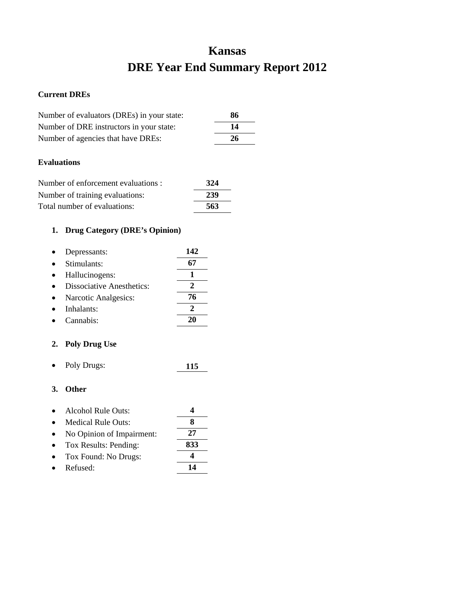# **Kansas DRE Year End Summary Report 2012**

#### **Current DREs**

| Number of evaluators (DREs) in your state: | 86 |
|--------------------------------------------|----|
| Number of DRE instructors in your state:   | 14 |
| Number of agencies that have DREs:         | 26 |

## **Evaluations**

| Number of enforcement evaluations : | 324 |
|-------------------------------------|-----|
| Number of training evaluations:     | 239 |
| Total number of evaluations:        | 563 |

# **1. Drug Category (DRE's Opinion)**

| Depressants:                     | 142 |
|----------------------------------|-----|
| Stimulants:                      |     |
| Hallucinogens:                   |     |
| <b>Dissociative Anesthetics:</b> |     |
| Narcotic Analgesics:             | 76  |
| Inhalants:                       |     |
| Cannabis <sup>.</sup>            |     |

## **2. Poly Drug Use**

• Poly Drugs: **115**

| $\bullet$ | <b>Alcohol Rule Outs:</b> |  |
|-----------|---------------------------|--|
| $\bullet$ | <b>Medical Rule Outs:</b> |  |

- No Opinion of Impairment: **27**
- Tox Results: Pending: **833**
- Tox Found: No Drugs: **4**
- Refused: **14**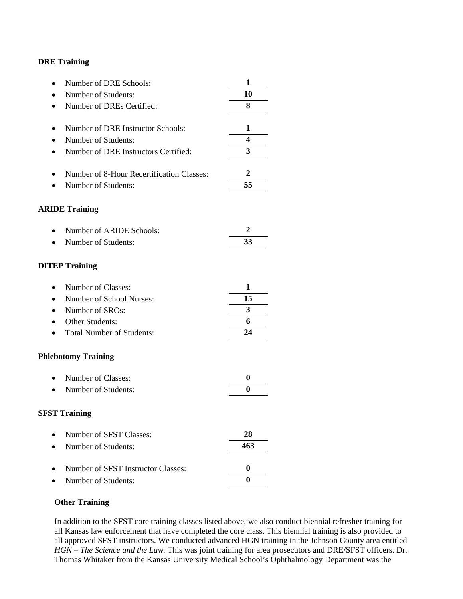| Number of DRE Schools:                    | 1        |
|-------------------------------------------|----------|
| Number of Students:                       | 10       |
| Number of DREs Certified:                 | 8        |
|                                           |          |
| Number of DRE Instructor Schools:         | 1        |
| Number of Students:                       | 4        |
| Number of DRE Instructors Certified:      | 3        |
| Number of 8-Hour Recertification Classes: | 2        |
| Number of Students:                       | 55       |
|                                           |          |
| <b>ARIDE Training</b>                     |          |
|                                           |          |
| Number of ARIDE Schools:                  | 2        |
| Number of Students:                       | 33       |
|                                           |          |
| <b>DITEP Training</b>                     |          |
| Number of Classes:                        | 1        |
|                                           | 15       |
| Number of School Nurses:                  | 3        |
| Number of SROs:                           |          |
| Other Students:                           | 6        |
| <b>Total Number of Students:</b>          | 24       |
| <b>Phlebotomy Training</b>                |          |
| Number of Classes:                        | 0        |
| Number of Students:                       | $\bf{0}$ |
|                                           |          |
| <b>SFST Training</b>                      |          |
|                                           |          |
| Number of SFST Classes:                   | 28       |
| Number of Students:                       | 463      |
| Number of SFST Instructor Classes:        | 0        |
| Number of Students:                       | $\bf{0}$ |

#### **Other Training**

In addition to the SFST core training classes listed above, we also conduct biennial refresher training for all Kansas law enforcement that have completed the core class. This biennial training is also provided to all approved SFST instructors. We conducted advanced HGN training in the Johnson County area entitled *HGN – The Science and the Law.* This was joint training for area prosecutors and DRE/SFST officers. Dr. Thomas Whitaker from the Kansas University Medical School's Ophthalmology Department was the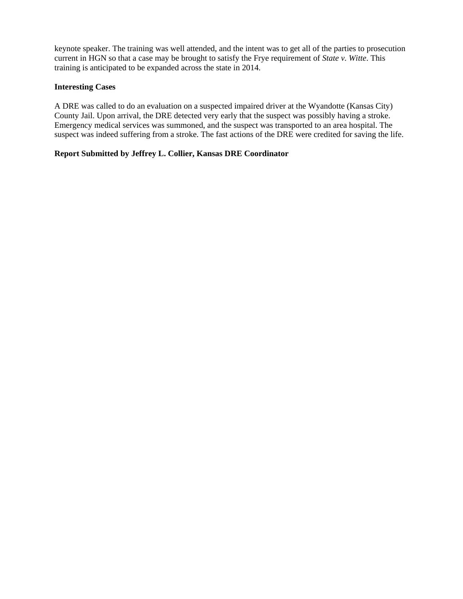keynote speaker. The training was well attended, and the intent was to get all of the parties to prosecution current in HGN so that a case may be brought to satisfy the Frye requirement of *State v. Witte*. This training is anticipated to be expanded across the state in 2014.

#### **Interesting Cases**

A DRE was called to do an evaluation on a suspected impaired driver at the Wyandotte (Kansas City) County Jail. Upon arrival, the DRE detected very early that the suspect was possibly having a stroke. Emergency medical services was summoned, and the suspect was transported to an area hospital. The suspect was indeed suffering from a stroke. The fast actions of the DRE were credited for saving the life.

## **Report Submitted by Jeffrey L. Collier, Kansas DRE Coordinator**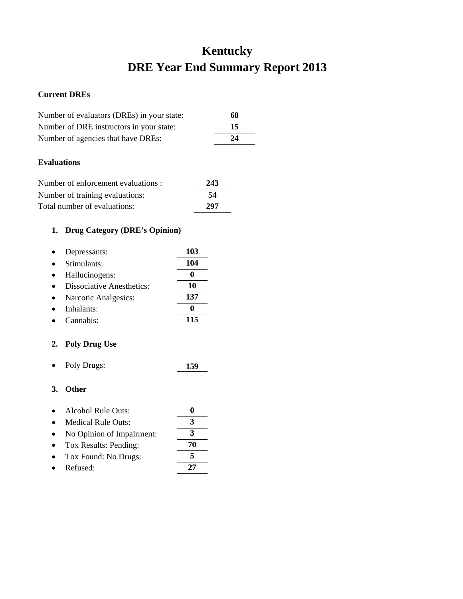# **Kentucky DRE Year End Summary Report 2013**

## **Current DREs**

| Number of evaluators (DREs) in your state: | 68 |
|--------------------------------------------|----|
| Number of DRE instructors in your state:   | 15 |
| Number of agencies that have DREs:         | 24 |

## **Evaluations**

| Number of enforcement evaluations : | 243 |
|-------------------------------------|-----|
| Number of training evaluations:     | 54  |
| Total number of evaluations:        | 297 |

# **1. Drug Category (DRE's Opinion)**

| Depressants:                     | 103 |
|----------------------------------|-----|
| Stimulants:                      | 104 |
| Hallucinogens:                   |     |
| <b>Dissociative Anesthetics:</b> | 10  |
| Narcotic Analgesics:             | 137 |
| Inhalants:                       |     |
| Cannabis:                        | 115 |

## **2. Poly Drug Use**

• Poly Drugs: **159**

| Alcohol Rule Outs: |  |
|--------------------|--|
|                    |  |

- Medical Rule Outs: **3** • No Opinion of Impairment: **3** • Tox Results: Pending: **70**
- Tox Found: No Drugs: **5**
- Refused: **27**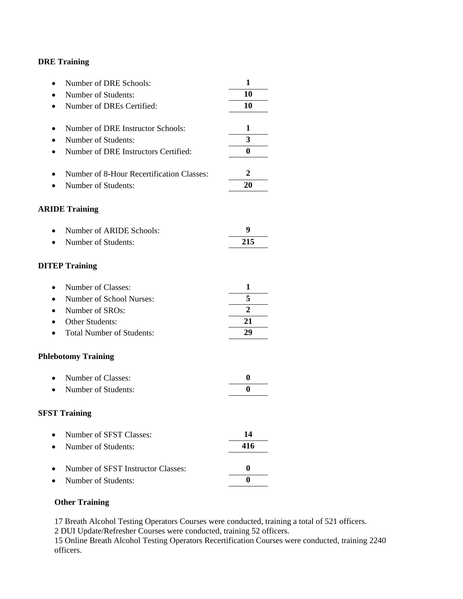| Number of DRE Schools:                    | 1                |
|-------------------------------------------|------------------|
| Number of Students:                       | 10               |
| Number of DREs Certified:                 | 10               |
|                                           |                  |
| Number of DRE Instructor Schools:         | 1                |
| Number of Students:                       | 3                |
| Number of DRE Instructors Certified:      | $\bf{0}$         |
| Number of 8-Hour Recertification Classes: | 2                |
| Number of Students:                       | 20               |
| <b>ARIDE Training</b>                     |                  |
| Number of ARIDE Schools:                  | 9                |
| Number of Students:                       | 215              |
| <b>DITEP Training</b>                     |                  |
| Number of Classes:                        | 1                |
| Number of School Nurses:                  | 5                |
| Number of SROs:                           | $\overline{2}$   |
| Other Students:                           | 21               |
| <b>Total Number of Students:</b>          | 29               |
| <b>Phlebotomy Training</b>                |                  |
| Number of Classes:                        | $\boldsymbol{0}$ |
| Number of Students:                       | $\bf{0}$         |
| <b>SFST Training</b>                      |                  |
| Number of SFST Classes:                   | 14               |
| Number of Students:                       | 416              |
| Number of SFST Instructor Classes:        | $\boldsymbol{0}$ |
| Number of Students:                       | $\bf{0}$         |

## **Other Training**

17 Breath Alcohol Testing Operators Courses were conducted, training a total of 521 officers.

2 DUI Update/Refresher Courses were conducted, training 52 officers.

15 Online Breath Alcohol Testing Operators Recertification Courses were conducted, training 2240 officers.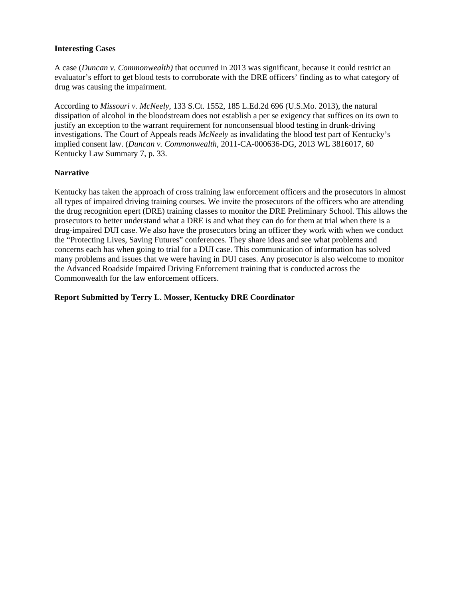#### **Interesting Cases**

A case (*Duncan v. Commonwealth)* that occurred in 2013 was significant*,* because it could restrict an evaluator's effort to get blood tests to corroborate with the DRE officers' finding as to what category of drug was causing the impairment.

According to *Missouri v. McNeely*, 133 S.Ct. 1552, 185 L.Ed.2d 696 (U.S.Mo. 2013), the natural dissipation of alcohol in the bloodstream does not establish a per se exigency that suffices on its own to justify an exception to the warrant requirement for nonconsensual blood testing in drunk-driving investigations. The Court of Appeals reads *McNeely* as invalidating the blood test part of Kentucky's implied consent law. (*Duncan v. Commonwealth*, 2011-CA-000636-DG, 2013 WL 3816017, 60 Kentucky Law Summary 7, p. 33.

## **Narrative**

Kentucky has taken the approach of cross training law enforcement officers and the prosecutors in almost all types of impaired driving training courses. We invite the prosecutors of the officers who are attending the drug recognition epert (DRE) training classes to monitor the DRE Preliminary School. This allows the prosecutors to better understand what a DRE is and what they can do for them at trial when there is a drug-impaired DUI case. We also have the prosecutors bring an officer they work with when we conduct the "Protecting Lives, Saving Futures" conferences. They share ideas and see what problems and concerns each has when going to trial for a DUI case. This communication of information has solved many problems and issues that we were having in DUI cases. Any prosecutor is also welcome to monitor the Advanced Roadside Impaired Driving Enforcement training that is conducted across the Commonwealth for the law enforcement officers.

**Report Submitted by Terry L. Mosser, Kentucky DRE Coordinator**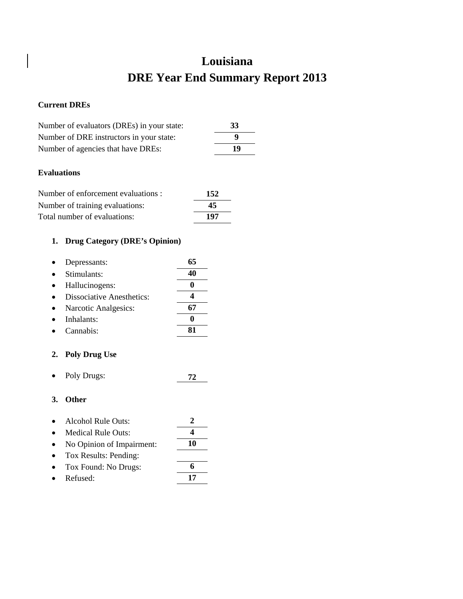# **Louisiana DRE Year End Summary Report 2013**

## **Current DREs**

| Number of evaluators (DREs) in your state: | 33 |
|--------------------------------------------|----|
| Number of DRE instructors in your state:   | Q  |
| Number of agencies that have DREs:         | 19 |

## **Evaluations**

| Number of enforcement evaluations : | 152 |
|-------------------------------------|-----|
| Number of training evaluations:     | 45  |
| Total number of evaluations:        | 197 |

# **1. Drug Category (DRE's Opinion)**

| Depressants:              | 65 |
|---------------------------|----|
| Stimulants:               | 40 |
| Hallucinogens:            |    |
| Dissociative Anesthetics: |    |
| Narcotic Analgesics:      |    |
| Inhalants:                |    |
| Cannabis:                 |    |
|                           |    |

# **2. Poly Drug Use**

• Poly Drugs: **72**

- Alcohol Rule Outs: **2**
- Medical Rule Outs: **4**
- No Opinion of Impairment: **10**
- Tox Results: Pending:
- Tox Found: No Drugs: **6**
- Refused: **17**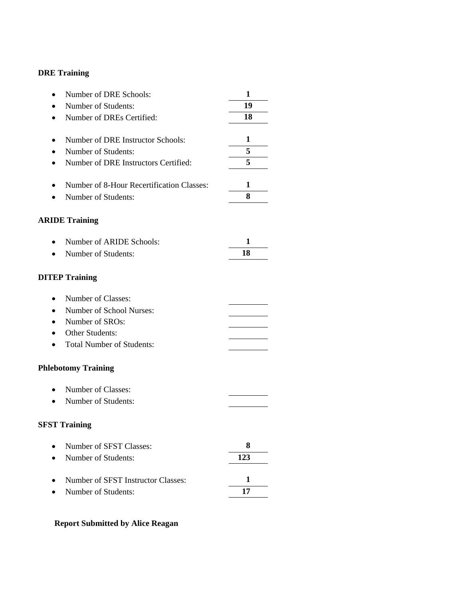| Number of DRE Schools:<br>$\bullet$                    | 1   |
|--------------------------------------------------------|-----|
| Number of Students:                                    | 19  |
| Number of DREs Certified:                              | 18  |
|                                                        |     |
| Number of DRE Instructor Schools:<br>$\bullet$         | 1   |
| Number of Students:                                    | 5   |
| Number of DRE Instructors Certified:                   | 5   |
| Number of 8-Hour Recertification Classes:<br>$\bullet$ | 1   |
| Number of Students:                                    | 8   |
| <b>ARIDE Training</b>                                  |     |
| Number of ARIDE Schools:<br>$\bullet$                  | 1   |
| Number of Students:                                    | 18  |
| <b>DITEP Training</b>                                  |     |
| Number of Classes:<br>$\bullet$                        |     |
| Number of School Nurses:                               |     |
| Number of SROs:                                        |     |
| Other Students:                                        |     |
| <b>Total Number of Students:</b>                       |     |
| <b>Phlebotomy Training</b>                             |     |
| Number of Classes:<br>$\bullet$                        |     |
| Number of Students:                                    |     |
| <b>SFST Training</b>                                   |     |
| Number of SFST Classes:                                | 8   |
| Number of Students:                                    | 123 |
| Number of SFST Instructor Classes:                     | 1   |
| Number of Students:                                    | 17  |

# **Report Submitted by Alice Reagan**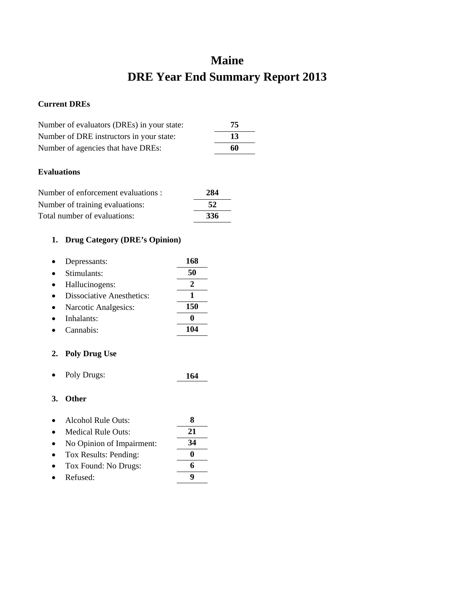# **Maine DRE Year End Summary Report 2013**

## **Current DREs**

| Number of evaluators (DREs) in your state: | 75 |
|--------------------------------------------|----|
| Number of DRE instructors in your state:   | 13 |
| Number of agencies that have DREs:         | 60 |

## **Evaluations**

| Number of enforcement evaluations : | 284 |
|-------------------------------------|-----|
| Number of training evaluations:     | -52 |
| Total number of evaluations:        | 336 |

# **1. Drug Category (DRE's Opinion)**

| Depressants:                     | 168 |
|----------------------------------|-----|
| Stimulants:                      | 50  |
| Hallucinogens:                   |     |
| <b>Dissociative Anesthetics:</b> |     |
| Narcotic Analgesics:             | 150 |
| Inhalants:                       |     |
| Cannabis:                        |     |

## **2. Poly Drug Use**

• Poly Drugs: **164**

- Alcohol Rule Outs: **8**
- Medical Rule Outs: **21**
- No Opinion of Impairment: **34**
- Tox Results: Pending: **0**
- Tox Found: No Drugs: **6**
- Refused: **9**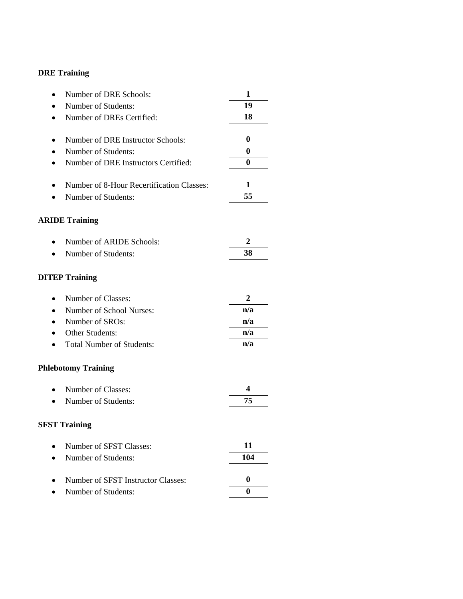| Number of DRE Schools:                    | 1        |
|-------------------------------------------|----------|
| Number of Students:                       | 19       |
| Number of DREs Certified:                 | 18       |
|                                           |          |
| Number of DRE Instructor Schools:         | 0        |
| Number of Students:                       | $\bf{0}$ |
| Number of DRE Instructors Certified:      | $\bf{0}$ |
| Number of 8-Hour Recertification Classes: | 1        |
| Number of Students:                       | 55       |
| <b>ARIDE Training</b>                     |          |
| Number of ARIDE Schools:                  | 2        |
| Number of Students:                       | 38       |
| <b>DITEP Training</b>                     |          |
| Number of Classes:<br>$\bullet$           | 2        |
| Number of School Nurses:                  | n/a      |
| Number of SROs:<br>$\bullet$              | n/a      |
| Other Students:                           | n/a      |
| <b>Total Number of Students:</b>          | n/a      |
| <b>Phlebotomy Training</b>                |          |
| Number of Classes:                        | 4        |
| Number of Students:                       | 75       |
| <b>SFST Training</b>                      |          |
| Number of SFST Classes:                   | 11       |
| Number of Students:                       | 104      |
| Number of SFST Instructor Classes:        | 0        |
| Number of Students:                       | $\bf{0}$ |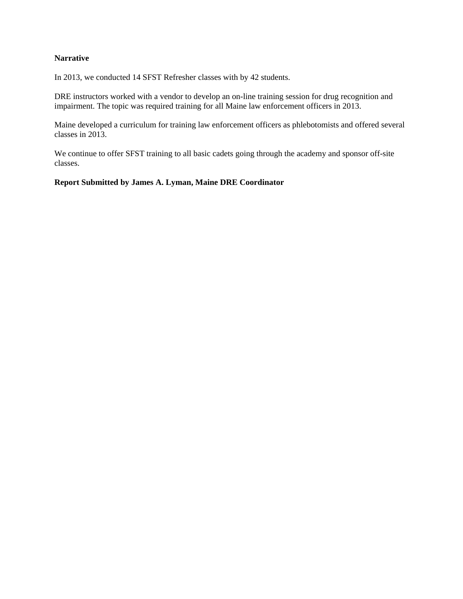## **Narrative**

In 2013, we conducted 14 SFST Refresher classes with by 42 students.

DRE instructors worked with a vendor to develop an on-line training session for drug recognition and impairment. The topic was required training for all Maine law enforcement officers in 2013.

Maine developed a curriculum for training law enforcement officers as phlebotomists and offered several classes in 2013.

We continue to offer SFST training to all basic cadets going through the academy and sponsor off-site classes.

#### **Report Submitted by James A. Lyman, Maine DRE Coordinator**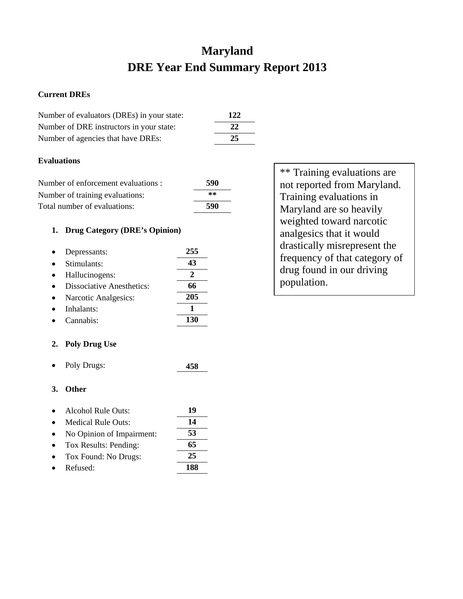# **Maryland DRE Year End Summary Report 2013**

## **Current DREs**

| Number of evaluators (DREs) in your state: | <b>122</b> |
|--------------------------------------------|------------|
| Number of DRE instructors in your state:   | 22         |
| Number of agencies that have DREs:         | 25         |

## **Evaluations**

| Number of enforcement evaluations : | 590 |
|-------------------------------------|-----|
| Number of training evaluations:     | **  |
| Total number of evaluations:        | 590 |

## **1. Drug Category (DRE's Opinion)**

| Depressants:                     | 255 |
|----------------------------------|-----|
| Stimulants:                      | 43  |
| Hallucinogens:                   |     |
| <b>Dissociative Anesthetics:</b> | 66  |
| Narcotic Analgesics:             | 205 |
| Inhalants:                       |     |
| Cannabis:                        |     |

# **2. Poly Drug Use**

• Poly Drugs: **458**

## **3. Other**

- Alcohol Rule Outs: **19**
- Medical Rule Outs: **14** • No Opinion of Impairment: **53** • Tox Results: Pending: **65**
- Tox Found: No Drugs: **25**
- Refused: **188**

\*\* Training evaluations are not reported from Maryland. Training evaluations in Maryland are so heavily weighted toward narcotic analgesics that it would drastically misrepresent the frequency of that category of drug found in our driving population.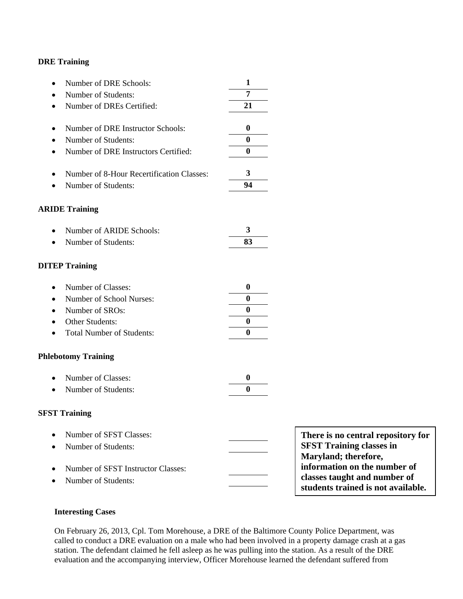| Number of DRE Schools:<br>$\bullet$                    | 1        |
|--------------------------------------------------------|----------|
| Number of Students:<br>$\bullet$                       | 7        |
| Number of DREs Certified:                              | 21       |
|                                                        |          |
| Number of DRE Instructor Schools:<br>$\bullet$         | 0        |
| Number of Students:<br>$\bullet$                       | $\bf{0}$ |
| Number of DRE Instructors Certified:<br>$\bullet$      | 0        |
|                                                        |          |
| Number of 8-Hour Recertification Classes:<br>$\bullet$ | 3        |
| Number of Students:                                    | 94       |
| <b>ARIDE Training</b>                                  |          |
| Number of ARIDE Schools:<br>$\bullet$                  | 3        |
| Number of Students:                                    | 83       |
|                                                        |          |
| <b>DITEP Training</b>                                  |          |
| Number of Classes:<br>$\bullet$                        | 0        |
| Number of School Nurses:<br>$\bullet$                  | 0        |
| Number of SROs:<br>$\bullet$                           | $\bf{0}$ |
| Other Students:<br>$\bullet$                           | 0        |
| <b>Total Number of Students:</b>                       | 0        |
| <b>Phlebotomy Training</b>                             |          |
| Number of Classes:                                     | $\bf{0}$ |
| Number of Students:<br>$\bullet$                       | 0        |
| <b>SFST Training</b>                                   |          |
| Number of SFST Classes:<br>Number of Students:         |          |

• Number of SFST Instructor Classes:

• Number of Students:

| There is no central repository for |
|------------------------------------|
| <b>SFST Training classes in</b>    |
| Maryland; therefore,               |
| information on the number of       |
| classes taught and number of       |
| students trained is not available. |

## **Interesting Cases**

On February 26, 2013, Cpl. Tom Morehouse, a DRE of the Baltimore County Police Department, was called to conduct a DRE evaluation on a male who had been involved in a property damage crash at a gas station. The defendant claimed he fell asleep as he was pulling into the station. As a result of the DRE evaluation and the accompanying interview, Officer Morehouse learned the defendant suffered from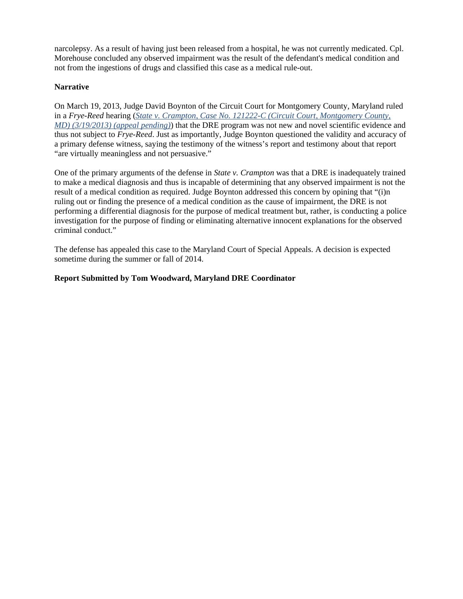narcolepsy. As a result of having just been released from a hospital, he was not currently medicated. Cpl. Morehouse concluded any observed impairment was the result of the defendant's medical condition and not from the ingestions of drugs and classified this case as a medical rule-out.

## **Narrative**

On March 19, 2013, Judge David Boynton of the Circuit Court for Montgomery County, Maryland ruled in a *Frye-Reed* hearing (*State v. Crampton, Case No. 121222-C (Circuit Court, Montgomery County, MD) (3/19/2013) (appeal pending)*) that the DRE program was not new and novel scientific evidence and thus not subject to *Frye-Reed*. Just as importantly, Judge Boynton questioned the validity and accuracy of a primary defense witness, saying the testimony of the witness's report and testimony about that report "are virtually meaningless and not persuasive."

One of the primary arguments of the defense in *State v. Crampton* was that a DRE is inadequately trained to make a medical diagnosis and thus is incapable of determining that any observed impairment is not the result of a medical condition as required. Judge Boynton addressed this concern by opining that "(i)n ruling out or finding the presence of a medical condition as the cause of impairment, the DRE is not performing a differential diagnosis for the purpose of medical treatment but, rather, is conducting a police investigation for the purpose of finding or eliminating alternative innocent explanations for the observed criminal conduct."

The defense has appealed this case to the Maryland Court of Special Appeals. A decision is expected sometime during the summer or fall of 2014.

#### **Report Submitted by Tom Woodward, Maryland DRE Coordinator**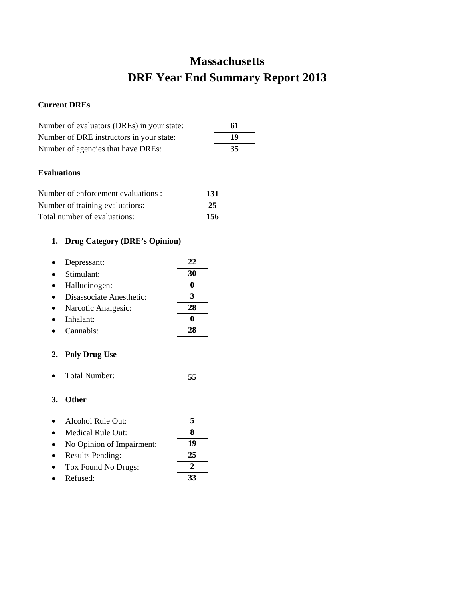# **Massachusetts DRE Year End Summary Report 2013**

## **Current DREs**

| Number of evaluators (DREs) in your state: | 61 |
|--------------------------------------------|----|
| Number of DRE instructors in your state:   | 19 |
| Number of agencies that have DREs:         | 35 |

## **Evaluations**

| Number of enforcement evaluations : | -131 |
|-------------------------------------|------|
| Number of training evaluations:     | 25   |
| Total number of evaluations:        | 156  |

# **1. Drug Category (DRE's Opinion)**

| Depressant:              | 22 |
|--------------------------|----|
| Stimulant:               | 30 |
| Hallucinogen:            |    |
| Disassociate Anesthetic: |    |
| Narcotic Analgesic:      | 28 |
| Inhalant:                |    |
| Cannabis:                |    |
|                          |    |

# **2. Poly Drug Use**

• Total Number: **55**

| $\bullet$ | Alcohol Rule Out:         |    |
|-----------|---------------------------|----|
| $\bullet$ | Medical Rule Out:         |    |
| $\bullet$ | No Opinion of Impairment: | 19 |

- Results Pending: **25**
- Tox Found No Drugs:  $\frac{2}{33}$ • Refused: **33**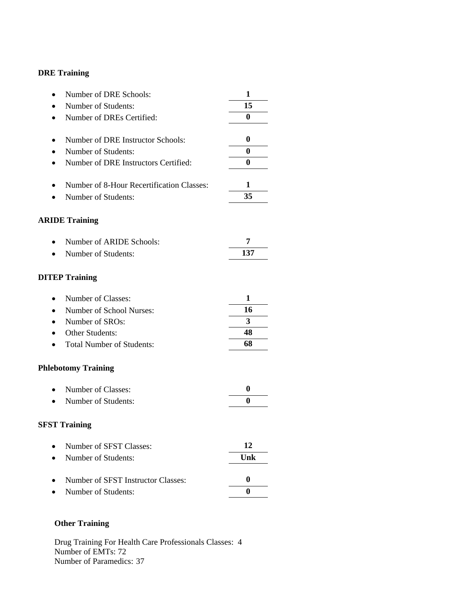| Number of DRE Schools:                    | 1                |
|-------------------------------------------|------------------|
| Number of Students:                       | 15               |
| Number of DREs Certified:                 | 0                |
|                                           |                  |
| Number of DRE Instructor Schools:         | 0                |
| Number of Students:                       | $\bf{0}$         |
| Number of DRE Instructors Certified:      | $\bf{0}$         |
| Number of 8-Hour Recertification Classes: | 1                |
| Number of Students:                       | 35               |
| <b>ARIDE Training</b>                     |                  |
| Number of ARIDE Schools:                  | 7                |
| Number of Students:                       | 137              |
| <b>DITEP Training</b>                     |                  |
| Number of Classes:                        | 1                |
| Number of School Nurses:                  | 16               |
| Number of SROs:                           | 3                |
| Other Students:                           | 48               |
| <b>Total Number of Students:</b>          | 68               |
| <b>Phlebotomy Training</b>                |                  |
| Number of Classes:                        | 0                |
| Number of Students:                       | $\bf{0}$         |
| <b>SFST Training</b>                      |                  |
| Number of SFST Classes:                   | 12               |
| Number of Students:                       | Unk              |
| Number of SFST Instructor Classes:        | $\boldsymbol{0}$ |
| Number of Students:                       | $\bf{0}$         |

# **Other Training**

Drug Training For Health Care Professionals Classes: 4 Number of EMTs: 72 Number of Paramedics: 37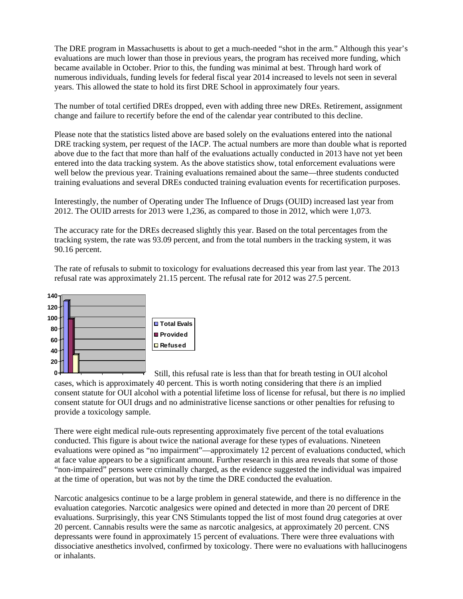The DRE program in Massachusetts is about to get a much-needed "shot in the arm." Although this year's evaluations are much lower than those in previous years, the program has received more funding, which became available in October. Prior to this, the funding was minimal at best. Through hard work of numerous individuals, funding levels for federal fiscal year 2014 increased to levels not seen in several years. This allowed the state to hold its first DRE School in approximately four years.

The number of total certified DREs dropped, even with adding three new DREs. Retirement, assignment change and failure to recertify before the end of the calendar year contributed to this decline.

Please note that the statistics listed above are based solely on the evaluations entered into the national DRE tracking system, per request of the IACP. The actual numbers are more than double what is reported above due to the fact that more than half of the evaluations actually conducted in 2013 have not yet been entered into the data tracking system. As the above statistics show, total enforcement evaluations were well below the previous year. Training evaluations remained about the same—three students conducted training evaluations and several DREs conducted training evaluation events for recertification purposes.

Interestingly, the number of Operating under The Influence of Drugs (OUID) increased last year from 2012. The OUID arrests for 2013 were 1,236, as compared to those in 2012, which were 1,073.

The accuracy rate for the DREs decreased slightly this year. Based on the total percentages from the tracking system, the rate was 93.09 percent, and from the total numbers in the tracking system, it was 90.16 percent.

The rate of refusals to submit to toxicology for evaluations decreased this year from last year. The 2013 refusal rate was approximately 21.15 percent. The refusal rate for 2012 was 27.5 percent.



Still, this refusal rate is less than that for breath testing in OUI alcohol cases, which is approximately 40 percent. This is worth noting considering that there *is* an implied consent statute for OUI alcohol with a potential lifetime loss of license for refusal, but there is *no* implied consent statute for OUI drugs and no administrative license sanctions or other penalties for refusing to provide a toxicology sample. **0**

There were eight medical rule-outs representing approximately five percent of the total evaluations conducted. This figure is about twice the national average for these types of evaluations. Nineteen evaluations were opined as "no impairment"—approximately 12 percent of evaluations conducted, which at face value appears to be a significant amount. Further research in this area reveals that some of those "non-impaired" persons were criminally charged, as the evidence suggested the individual was impaired at the time of operation, but was not by the time the DRE conducted the evaluation.

Narcotic analgesics continue to be a large problem in general statewide, and there is no difference in the evaluation categories. Narcotic analgesics were opined and detected in more than 20 percent of DRE evaluations. Surprisingly, this year CNS Stimulants topped the list of most found drug categories at over 20 percent. Cannabis results were the same as narcotic analgesics, at approximately 20 percent. CNS depressants were found in approximately 15 percent of evaluations. There were three evaluations with dissociative anesthetics involved, confirmed by toxicology. There were no evaluations with hallucinogens or inhalants.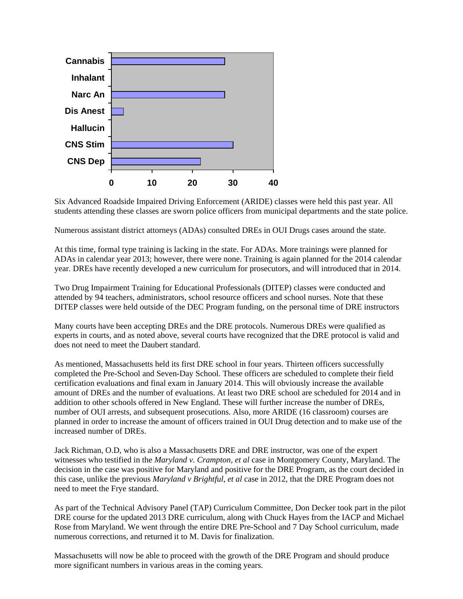

Six Advanced Roadside Impaired Driving Enforcement (ARIDE) classes were held this past year. All students attending these classes are sworn police officers from municipal departments and the state police.

Numerous assistant district attorneys (ADAs) consulted DREs in OUI Drugs cases around the state.

At this time, formal type training is lacking in the state. For ADAs. More trainings were planned for ADAs in calendar year 2013; however, there were none. Training is again planned for the 2014 calendar year. DREs have recently developed a new curriculum for prosecutors, and will introduced that in 2014.

Two Drug Impairment Training for Educational Professionals (DITEP) classes were conducted and attended by 94 teachers, administrators, school resource officers and school nurses. Note that these DITEP classes were held outside of the DEC Program funding, on the personal time of DRE instructors

Many courts have been accepting DREs and the DRE protocols. Numerous DREs were qualified as experts in courts, and as noted above, several courts have recognized that the DRE protocol is valid and does not need to meet the Daubert standard.

As mentioned, Massachusetts held its first DRE school in four years. Thirteen officers successfully completed the Pre-School and Seven-Day School. These officers are scheduled to complete their field certification evaluations and final exam in January 2014. This will obviously increase the available amount of DREs and the number of evaluations. At least two DRE school are scheduled for 2014 and in addition to other schools offered in New England. These will further increase the number of DREs, number of OUI arrests, and subsequent prosecutions. Also, more ARIDE (16 classroom) courses are planned in order to increase the amount of officers trained in OUI Drug detection and to make use of the increased number of DREs.

Jack Richman, O.D, who is also a Massachusetts DRE and DRE instructor, was one of the expert witnesses who testified in the *Maryland v. Crampton, et al* case in Montgomery County, Maryland. The decision in the case was positive for Maryland and positive for the DRE Program, as the court decided in this case, unlike the previous *Maryland v Brightful, et al* case in 2012, that the DRE Program does not need to meet the Frye standard.

As part of the Technical Advisory Panel (TAP) Curriculum Committee, Don Decker took part in the pilot DRE course for the updated 2013 DRE curriculum, along with Chuck Hayes from the IACP and Michael Rose from Maryland. We went through the entire DRE Pre-School and 7 Day School curriculum, made numerous corrections, and returned it to M. Davis for finalization.

Massachusetts will now be able to proceed with the growth of the DRE Program and should produce more significant numbers in various areas in the coming years.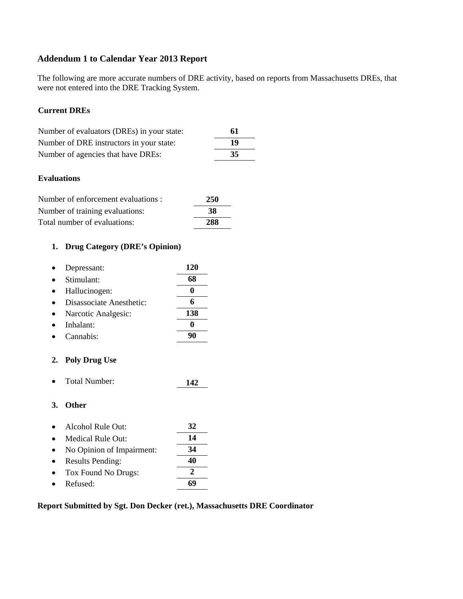# **Addendum 1 to Calendar Year 2013 Report**

The following are more accurate numbers of DRE activity, based on reports from Massachusetts DREs, that were not entered into the DRE Tracking System.

#### **Current DREs**

| Number of evaluators (DREs) in your state: | 61 |
|--------------------------------------------|----|
| Number of DRE instructors in your state:   | 19 |
| Number of agencies that have DREs:         | 35 |

#### **Evaluations**

| Number of enforcement evaluations : | 250 |
|-------------------------------------|-----|
| Number of training evaluations:     | -38 |
| Total number of evaluations:        | 288 |

# **1. Drug Category (DRE's Opinion)**

| Depressant:              | 120 |
|--------------------------|-----|
| Stimulant:               | 68  |
| Hallucinogen:            |     |
| Disassociate Anesthetic: |     |
| Narcotic Analgesic:      | 138 |
| Inhalant:                |     |
| Cannabis:                |     |

## **2. Poly Drug Use**

• Total Number: **142**

### **3. Other**

| $\bullet$ | Alcohol Rule Out:         | 32 |
|-----------|---------------------------|----|
|           | Medical Rule Out:         | 14 |
|           | No Opinion of Impairment: | 34 |
|           | <b>Results Pending:</b>   | 40 |
|           | Tox Found No Drugs:       |    |
|           | Refused:                  |    |

#### **Report Submitted by Sgt. Don Decker (ret.), Massachusetts DRE Coordinator**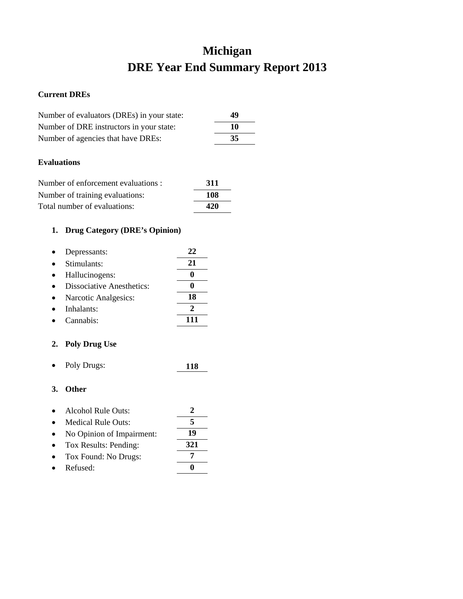# **Michigan DRE Year End Summary Report 2013**

## **Current DREs**

| Number of evaluators (DREs) in your state: | 49  |
|--------------------------------------------|-----|
| Number of DRE instructors in your state:   | 10  |
| Number of agencies that have DREs:         | -35 |

## **Evaluations**

| Number of enforcement evaluations : | 311 |
|-------------------------------------|-----|
| Number of training evaluations:     | 108 |
| Total number of evaluations:        | 420 |

# **1. Drug Category (DRE's Opinion)**

| Depressants:                     | 22 |
|----------------------------------|----|
| Stimulants:                      | 21 |
| Hallucinogens:                   |    |
| <b>Dissociative Anesthetics:</b> |    |
| Narcotic Analgesics:             | 18 |
| Inhalants:                       |    |
| Cannabis:                        |    |

## **2. Poly Drug Use**

• Poly Drugs: **118**

| $\bullet$ | Alcohol Rule Outs:        |  |
|-----------|---------------------------|--|
| $\bullet$ | <b>Medical Rule Outs:</b> |  |
|           |                           |  |

- No Opinion of Impairment: **19**
- Tox Results: Pending: **321**
- Tox Found: No Drugs: **7**
- Refused: **0**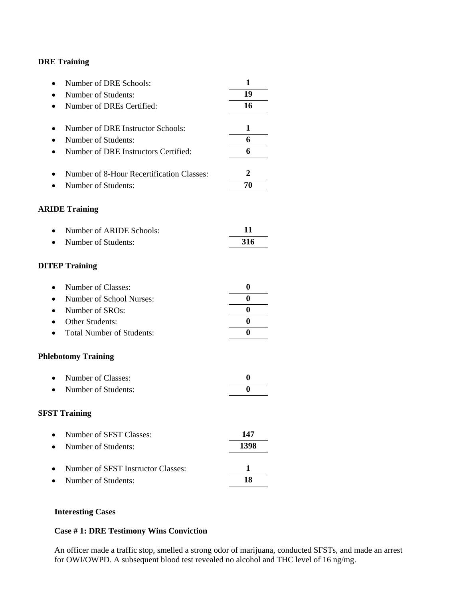| Number of DRE Schools:<br>$\bullet$           | 1        |
|-----------------------------------------------|----------|
| Number of Students:                           | 19       |
| Number of DREs Certified:<br>$\bullet$        | 16       |
|                                               |          |
| Number of DRE Instructor Schools:             | 1        |
| Number of Students:<br>$\bullet$              | 6        |
| Number of DRE Instructors Certified:<br>٠     | 6        |
| Number of 8-Hour Recertification Classes:     | 2        |
| Number of Students:                           | 70       |
| <b>ARIDE Training</b>                         |          |
| Number of ARIDE Schools:                      | 11       |
| Number of Students:<br>$\bullet$              | 316      |
| <b>DITEP Training</b>                         |          |
| Number of Classes:<br>$\bullet$               | 0        |
| Number of School Nurses:<br>$\bullet$         | 0        |
| Number of SROs:<br>$\bullet$                  | $\bf{0}$ |
| Other Students:                               | $\bf{0}$ |
| <b>Total Number of Students:</b><br>$\bullet$ | 0        |
| <b>Phlebotomy Training</b>                    |          |
| Number of Classes:<br>$\bullet$               | 0        |
| Number of Students:                           | 0        |
| <b>SFST Training</b>                          |          |
| Number of SFST Classes:                       | 147      |
| Number of Students:<br>$\bullet$              | 1398     |
| Number of SFST Instructor Classes:            | 1        |
| Number of Students:                           | 18       |
|                                               |          |

## **Interesting Cases**

# **Case # 1: DRE Testimony Wins Conviction**

An officer made a traffic stop, smelled a strong odor of marijuana, conducted SFSTs, and made an arrest for OWI/OWPD. A subsequent blood test revealed no alcohol and THC level of 16 ng/mg.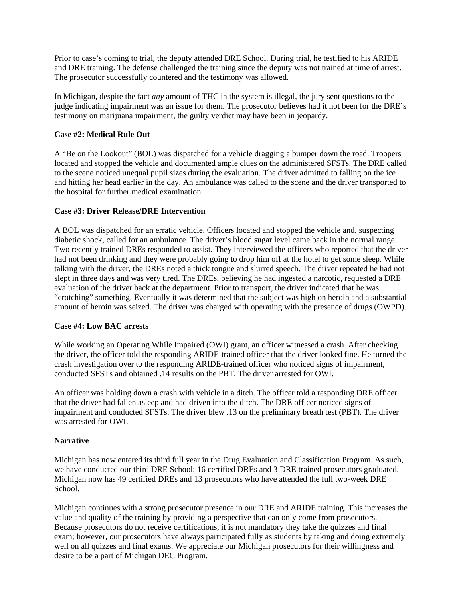Prior to case's coming to trial, the deputy attended DRE School. During trial, he testified to his ARIDE and DRE training. The defense challenged the training since the deputy was not trained at time of arrest. The prosecutor successfully countered and the testimony was allowed.

In Michigan, despite the fact *any* amount of THC in the system is illegal, the jury sent questions to the judge indicating impairment was an issue for them. The prosecutor believes had it not been for the DRE's testimony on marijuana impairment, the guilty verdict may have been in jeopardy.

#### **Case #2: Medical Rule Out**

A "Be on the Lookout" (BOL) was dispatched for a vehicle dragging a bumper down the road. Troopers located and stopped the vehicle and documented ample clues on the administered SFSTs. The DRE called to the scene noticed unequal pupil sizes during the evaluation. The driver admitted to falling on the ice and hitting her head earlier in the day. An ambulance was called to the scene and the driver transported to the hospital for further medical examination.

## **Case #3: Driver Release/DRE Intervention**

A BOL was dispatched for an erratic vehicle. Officers located and stopped the vehicle and, suspecting diabetic shock, called for an ambulance. The driver's blood sugar level came back in the normal range. Two recently trained DREs responded to assist. They interviewed the officers who reported that the driver had not been drinking and they were probably going to drop him off at the hotel to get some sleep. While talking with the driver, the DREs noted a thick tongue and slurred speech. The driver repeated he had not slept in three days and was very tired. The DREs, believing he had ingested a narcotic, requested a DRE evaluation of the driver back at the department. Prior to transport, the driver indicated that he was "crotching" something. Eventually it was determined that the subject was high on heroin and a substantial amount of heroin was seized. The driver was charged with operating with the presence of drugs (OWPD).

#### **Case #4: Low BAC arrests**

While working an Operating While Impaired (OWI) grant, an officer witnessed a crash. After checking the driver, the officer told the responding ARIDE-trained officer that the driver looked fine. He turned the crash investigation over to the responding ARIDE-trained officer who noticed signs of impairment, conducted SFSTs and obtained .14 results on the PBT. The driver arrested for OWI.

An officer was holding down a crash with vehicle in a ditch. The officer told a responding DRE officer that the driver had fallen asleep and had driven into the ditch. The DRE officer noticed signs of impairment and conducted SFSTs. The driver blew .13 on the preliminary breath test (PBT). The driver was arrested for OWI.

#### **Narrative**

Michigan has now entered its third full year in the Drug Evaluation and Classification Program. As such, we have conducted our third DRE School; 16 certified DREs and 3 DRE trained prosecutors graduated. Michigan now has 49 certified DREs and 13 prosecutors who have attended the full two-week DRE School.

Michigan continues with a strong prosecutor presence in our DRE and ARIDE training. This increases the value and quality of the training by providing a perspective that can only come from prosecutors. Because prosecutors do not receive certifications, it is not mandatory they take the quizzes and final exam; however, our prosecutors have always participated fully as students by taking and doing extremely well on all quizzes and final exams. We appreciate our Michigan prosecutors for their willingness and desire to be a part of Michigan DEC Program.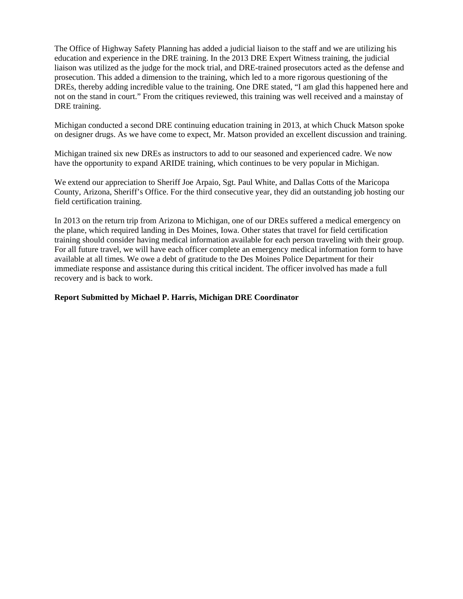The Office of Highway Safety Planning has added a judicial liaison to the staff and we are utilizing his education and experience in the DRE training. In the 2013 DRE Expert Witness training, the judicial liaison was utilized as the judge for the mock trial, and DRE-trained prosecutors acted as the defense and prosecution. This added a dimension to the training, which led to a more rigorous questioning of the DREs, thereby adding incredible value to the training. One DRE stated, "I am glad this happened here and not on the stand in court." From the critiques reviewed, this training was well received and a mainstay of DRE training.

Michigan conducted a second DRE continuing education training in 2013, at which Chuck Matson spoke on designer drugs. As we have come to expect, Mr. Matson provided an excellent discussion and training.

Michigan trained six new DREs as instructors to add to our seasoned and experienced cadre. We now have the opportunity to expand ARIDE training, which continues to be very popular in Michigan.

We extend our appreciation to Sheriff Joe Arpaio, Sgt. Paul White, and Dallas Cotts of the Maricopa County, Arizona, Sheriff's Office. For the third consecutive year, they did an outstanding job hosting our field certification training.

In 2013 on the return trip from Arizona to Michigan, one of our DREs suffered a medical emergency on the plane, which required landing in Des Moines, Iowa. Other states that travel for field certification training should consider having medical information available for each person traveling with their group. For all future travel, we will have each officer complete an emergency medical information form to have available at all times. We owe a debt of gratitude to the Des Moines Police Department for their immediate response and assistance during this critical incident. The officer involved has made a full recovery and is back to work.

#### **Report Submitted by Michael P. Harris, Michigan DRE Coordinator**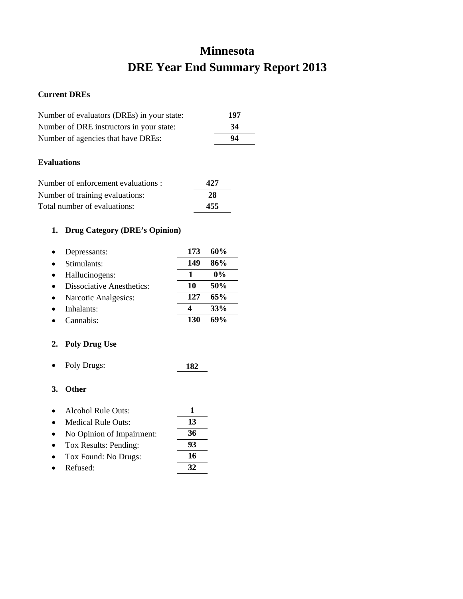# **Minnesota DRE Year End Summary Report 2013**

#### **Current DREs**

| Number of evaluators (DREs) in your state: | 197 |
|--------------------------------------------|-----|
| Number of DRE instructors in your state:   | 34  |
| Number of agencies that have DREs:         | 94  |
|                                            |     |

## **Evaluations**

| Number of enforcement evaluations : | 427 |
|-------------------------------------|-----|
| Number of training evaluations:     | 28  |
| Total number of evaluations:        | 455 |

# **1. Drug Category (DRE's Opinion)**

| Depressants:                     | 173 | 60%   |
|----------------------------------|-----|-------|
| Stimulants:                      | 149 | 86%   |
| Hallucinogens:                   | 1   | $0\%$ |
| <b>Dissociative Anesthetics:</b> | 10  | 50%   |
| Narcotic Analgesics:             | 127 | 65%   |
| Inhalants:                       |     | 33%   |
| Cannabis <sup>.</sup>            | 130 | 69%   |

## **2. Poly Drug Use**

• Poly Drugs: **182**

- Alcohol Rule Outs: **1**
- Medical Rule Outs: **13** • No Opinion of Impairment: **36**
- Tox Results: Pending: **93** • Tox Found: No Drugs: **16**
- Refused: **32**
-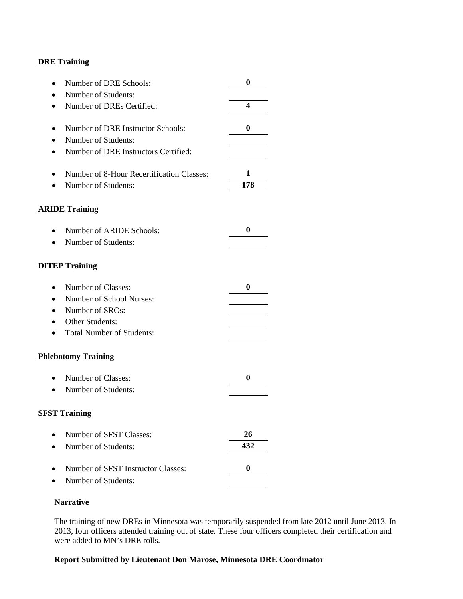| Number of DRE Schools:                    | $\bf{0}$ |
|-------------------------------------------|----------|
| Number of Students:                       |          |
| Number of DREs Certified:                 | 4        |
| Number of DRE Instructor Schools:         | $\bf{0}$ |
| Number of Students:                       |          |
| Number of DRE Instructors Certified:      |          |
| Number of 8-Hour Recertification Classes: | 1        |
| Number of Students:                       | 178      |
| <b>ARIDE Training</b>                     |          |
| Number of ARIDE Schools:                  | $\bf{0}$ |
| Number of Students:                       |          |
| <b>DITEP Training</b>                     |          |
| Number of Classes:<br>$\bullet$           | $\bf{0}$ |
| Number of School Nurses:                  |          |
| Number of SROs:                           |          |
| Other Students:                           |          |
| <b>Total Number of Students:</b>          |          |
| <b>Phlebotomy Training</b>                |          |
| Number of Classes:                        | $\bf{0}$ |
| Number of Students:                       |          |
| <b>SFST Training</b>                      |          |
| Number of SFST Classes:                   | 26       |
| Number of Students:                       | 432      |
| Number of SFST Instructor Classes:        | $\bf{0}$ |
| Number of Students:                       |          |

#### **Narrative**

The training of new DREs in Minnesota was temporarily suspended from late 2012 until June 2013. In 2013, four officers attended training out of state. These four officers completed their certification and were added to MN's DRE rolls.

## **Report Submitted by Lieutenant Don Marose, Minnesota DRE Coordinator**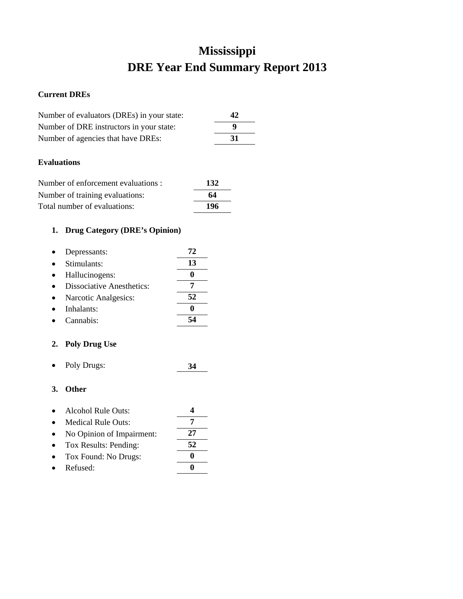# **Mississippi DRE Year End Summary Report 2013**

## **Current DREs**

| Number of evaluators (DREs) in your state: | 42  |
|--------------------------------------------|-----|
| Number of DRE instructors in your state:   | 9   |
| Number of agencies that have DREs:         | -31 |
|                                            |     |

## **Evaluations**

| Number of enforcement evaluations : | 132 |
|-------------------------------------|-----|
| Number of training evaluations:     | 64  |
| Total number of evaluations:        | 196 |

# **1. Drug Category (DRE's Opinion)**

| Depressants:                     | 72 |
|----------------------------------|----|
| Stimulants:                      | 13 |
| Hallucinogens:                   |    |
| <b>Dissociative Anesthetics:</b> |    |
| Narcotic Analgesics:             | 52 |
| Inhalants:                       |    |
| Cannabis:                        |    |

## **2. Poly Drug Use**

• Poly Drugs: **34**

- Alcohol Rule Outs: **4**
- Medical Rule Outs: **7** • No Opinion of Impairment: **27** • Tox Results: Pending: **52**
- Tox Found: No Drugs: **0**
- Refused: **0**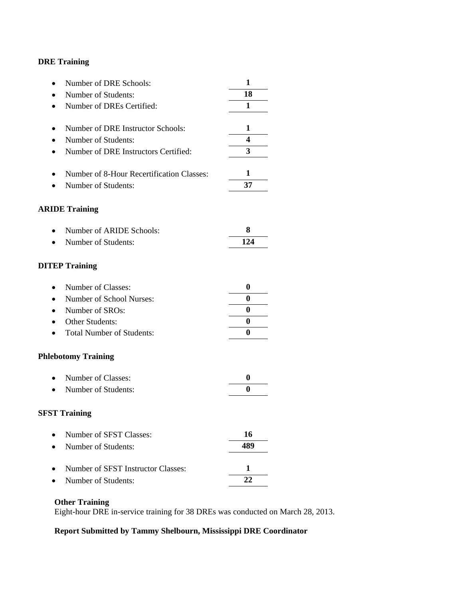| Number of DRE Schools:<br>$\bullet$            | 1        |
|------------------------------------------------|----------|
| Number of Students:                            | 18       |
| Number of DREs Certified:<br>$\bullet$         | 1        |
|                                                |          |
| Number of DRE Instructor Schools:              | 1        |
| Number of Students:                            | 4        |
| Number of DRE Instructors Certified:<br>٠      | 3        |
| Number of 8-Hour Recertification Classes:<br>٠ | 1        |
| Number of Students:                            | 37       |
|                                                |          |
| <b>ARIDE Training</b>                          |          |
|                                                |          |
| Number of ARIDE Schools:                       | 8        |
| Number of Students:<br>$\bullet$               | 124      |
| <b>DITEP Training</b>                          |          |
| Number of Classes:<br>$\bullet$                | 0        |
| Number of School Nurses:                       | 0        |
| Number of SROs:<br>$\bullet$                   | 0        |
| Other Students:                                | $\bf{0}$ |
| <b>Total Number of Students:</b>               | 0        |
| <b>Phlebotomy Training</b>                     |          |
| Number of Classes:<br>$\bullet$                | 0        |
| Number of Students:                            | 0        |
| <b>SFST Training</b>                           |          |
| Number of SFST Classes:                        | 16       |
| Number of Students:                            | 489      |
| Number of SFST Instructor Classes:             | 1        |
| Number of Students:                            | 22       |

# **Other Training**

Eight-hour DRE in-service training for 38 DREs was conducted on March 28, 2013.

# **Report Submitted by Tammy Shelbourn, Mississippi DRE Coordinator**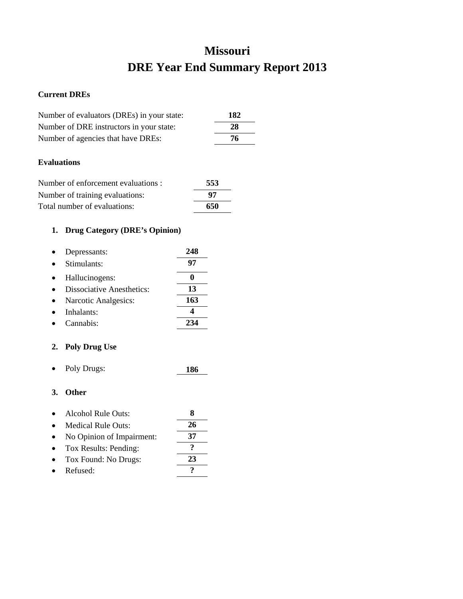# **Missouri DRE Year End Summary Report 2013**

## **Current DREs**

| Number of evaluators (DREs) in your state: | 182 |
|--------------------------------------------|-----|
| Number of DRE instructors in your state:   | 28  |
| Number of agencies that have DREs:         | 76  |
|                                            |     |
| <b>Evaluations</b>                         |     |

| Number of enforcement evaluations : | 553 |
|-------------------------------------|-----|
| Number of training evaluations:     | 97  |
| Total number of evaluations:        | 650 |

# **1. Drug Category (DRE's Opinion)**

| Depressants:                     | 248 |
|----------------------------------|-----|
| Stimulants:                      | 97  |
| Hallucinogens:                   |     |
| <b>Dissociative Anesthetics:</b> | 13  |
| Narcotic Analgesics:             | 163 |
| Inhalants:                       |     |
| Cannabis <sup>.</sup>            |     |

## **2. Poly Drug Use**

• Poly Drugs: **186**

- Alcohol Rule Outs: **8**
- Medical Rule Outs: **26**
- No Opinion of Impairment: **37**
- Tox Results: Pending: **?**
- Tox Found: No Drugs: **23** • Refused: **?**
-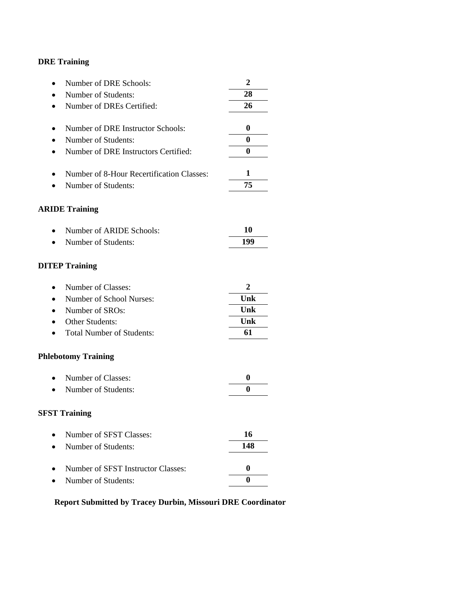| Number of DRE Schools:<br>$\bullet$               | $\overline{2}$ |
|---------------------------------------------------|----------------|
| Number of Students:                               | 28             |
| Number of DREs Certified:<br>$\bullet$            | 26             |
| Number of DRE Instructor Schools:                 | 0              |
|                                                   |                |
| Number of Students:                               | $\bf{0}$       |
| Number of DRE Instructors Certified:<br>$\bullet$ | $\bf{0}$       |
| Number of 8-Hour Recertification Classes:<br>٠    | 1              |
| Number of Students:                               | 75             |
| <b>ARIDE Training</b>                             |                |
| Number of ARIDE Schools:                          | 10             |
| Number of Students:                               | 199            |
| <b>DITEP Training</b>                             |                |
| Number of Classes:<br>$\bullet$                   | 2              |
| Number of School Nurses:                          | Unk            |
| Number of SROs:<br>$\bullet$                      | Unk            |
| Other Students:                                   | Unk            |
| <b>Total Number of Students:</b>                  | 61             |
| <b>Phlebotomy Training</b>                        |                |
| Number of Classes:<br>$\bullet$                   | $\bf{0}$       |
| Number of Students:                               | $\bf{0}$       |
| <b>SFST Training</b>                              |                |
| Number of SFST Classes:                           | 16             |
| Number of Students:                               | 148            |
| Number of SFST Instructor Classes:                | $\bf{0}$       |
| Number of Students:                               | $\bf{0}$       |

# **Report Submitted by Tracey Durbin, Missouri DRE Coordinator**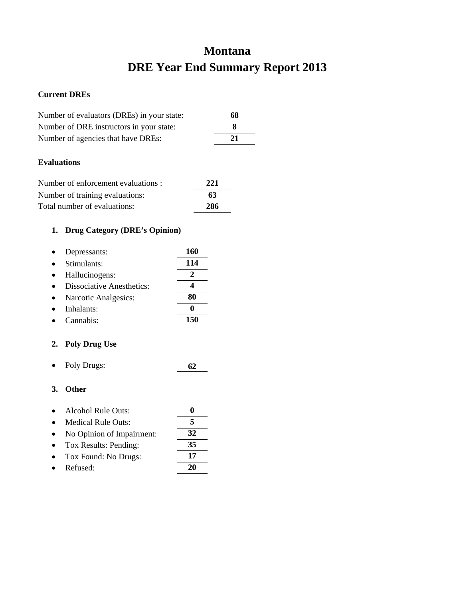# **Montana DRE Year End Summary Report 2013**

#### **Current DREs**

| Number of evaluators (DREs) in your state: | 68 |
|--------------------------------------------|----|
| Number of DRE instructors in your state:   |    |
| Number of agencies that have DREs:         | 21 |
|                                            |    |

## **Evaluations**

| Number of enforcement evaluations : | 221 |
|-------------------------------------|-----|
| Number of training evaluations:     | 63  |
| Total number of evaluations:        | 286 |

# **1. Drug Category (DRE's Opinion)**

| Depressants:                     | 160 |
|----------------------------------|-----|
| Stimulants:                      | 114 |
| Hallucinogens:                   |     |
| <b>Dissociative Anesthetics:</b> |     |
| Narcotic Analgesics:             | 80  |
| Inhalants:                       |     |
| Cannabis:                        | 150 |

## **2. Poly Drug Use**

• Poly Drugs: **62**

| $\bullet$ | Alcohol Rule Outs:        |  |
|-----------|---------------------------|--|
| $\bullet$ | <b>Medical Rule Outs:</b> |  |
|           | $\cdots$ $\cdots$         |  |

- No Opinion of Impairment: **32**
- Tox Results: Pending: **35** • Tox Found: No Drugs: **17**
- Refused: **20**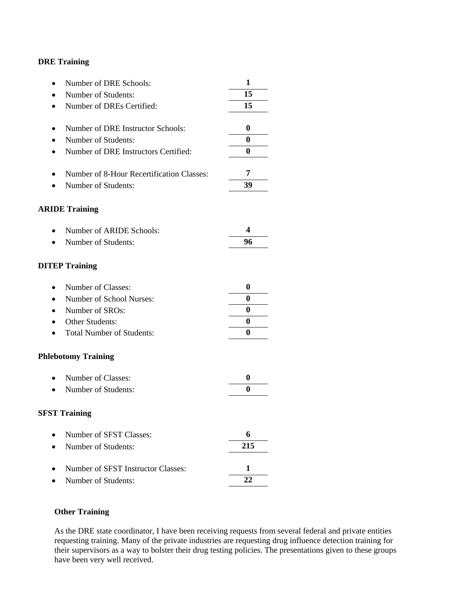| Number of DRE Schools:                    | 1        |
|-------------------------------------------|----------|
| Number of Students:                       | 15       |
| Number of DREs Certified:                 | 15       |
|                                           |          |
| Number of DRE Instructor Schools:         | 0        |
| Number of Students:                       | $\bf{0}$ |
| Number of DRE Instructors Certified:      | $\bf{0}$ |
| Number of 8-Hour Recertification Classes: | 7        |
| Number of Students:                       | 39       |
| <b>ARIDE Training</b>                     |          |
| Number of ARIDE Schools:                  | 4        |
| Number of Students:                       | 96       |
| <b>DITEP Training</b>                     |          |
| Number of Classes:                        | 0        |
| Number of School Nurses:                  | $\bf{0}$ |
| Number of SROs:                           | 0        |
| Other Students:                           | $\bf{0}$ |
| <b>Total Number of Students:</b>          | 0        |
| <b>Phlebotomy Training</b>                |          |
| Number of Classes:                        | 0        |
| Number of Students:                       | $\bf{0}$ |
| <b>SFST Training</b>                      |          |
| Number of SFST Classes:                   | 6        |
| Number of Students:                       | 215      |
| Number of SFST Instructor Classes:        | 1        |
| Number of Students:                       | 22       |

## **Other Training**

As the DRE state coordinator, I have been receiving requests from several federal and private entities requesting training. Many of the private industries are requesting drug influence detection training for their supervisors as a way to bolster their drug testing policies. The presentations given to these groups have been very well received.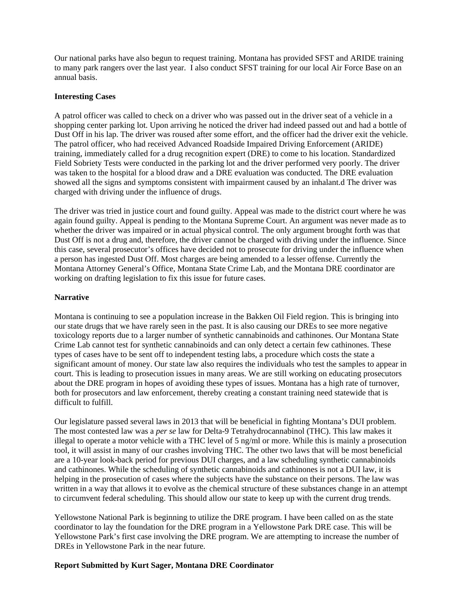Our national parks have also begun to request training. Montana has provided SFST and ARIDE training to many park rangers over the last year. I also conduct SFST training for our local Air Force Base on an annual basis.

#### **Interesting Cases**

A patrol officer was called to check on a driver who was passed out in the driver seat of a vehicle in a shopping center parking lot. Upon arriving he noticed the driver had indeed passed out and had a bottle of Dust Off in his lap. The driver was roused after some effort, and the officer had the driver exit the vehicle. The patrol officer, who had received Advanced Roadside Impaired Driving Enforcement (ARIDE) training, immediately called for a drug recognition expert (DRE) to come to his location. Standardized Field Sobriety Tests were conducted in the parking lot and the driver performed very poorly. The driver was taken to the hospital for a blood draw and a DRE evaluation was conducted. The DRE evaluation showed all the signs and symptoms consistent with impairment caused by an inhalant.d The driver was charged with driving under the influence of drugs.

The driver was tried in justice court and found guilty. Appeal was made to the district court where he was again found guilty. Appeal is pending to the Montana Supreme Court. An argument was never made as to whether the driver was impaired or in actual physical control. The only argument brought forth was that Dust Off is not a drug and, therefore, the driver cannot be charged with driving under the influence. Since this case, several prosecutor's offices have decided not to prosecute for driving under the influence when a person has ingested Dust Off. Most charges are being amended to a lesser offense. Currently the Montana Attorney General's Office, Montana State Crime Lab, and the Montana DRE coordinator are working on drafting legislation to fix this issue for future cases.

#### **Narrative**

Montana is continuing to see a population increase in the Bakken Oil Field region. This is bringing into our state drugs that we have rarely seen in the past. It is also causing our DREs to see more negative toxicology reports due to a larger number of synthetic cannabinoids and cathinones. Our Montana State Crime Lab cannot test for synthetic cannabinoids and can only detect a certain few cathinones. These types of cases have to be sent off to independent testing labs, a procedure which costs the state a significant amount of money. Our state law also requires the individuals who test the samples to appear in court. This is leading to prosecution issues in many areas. We are still working on educating prosecutors about the DRE program in hopes of avoiding these types of issues. Montana has a high rate of turnover, both for prosecutors and law enforcement, thereby creating a constant training need statewide that is difficult to fulfill.

Our legislature passed several laws in 2013 that will be beneficial in fighting Montana's DUI problem. The most contested law was a *per se* law for Delta-9 Tetrahydrocannabinol (THC). This law makes it illegal to operate a motor vehicle with a THC level of 5  $\frac{ng}{m}$  or more. While this is mainly a prosecution tool, it will assist in many of our crashes involving THC. The other two laws that will be most beneficial are a 10-year look-back period for previous DUI charges, and a law scheduling synthetic cannabinoids and cathinones. While the scheduling of synthetic cannabinoids and cathinones is not a DUI law, it is helping in the prosecution of cases where the subjects have the substance on their persons. The law was written in a way that allows it to evolve as the chemical structure of these substances change in an attempt to circumvent federal scheduling. This should allow our state to keep up with the current drug trends.

Yellowstone National Park is beginning to utilize the DRE program. I have been called on as the state coordinator to lay the foundation for the DRE program in a Yellowstone Park DRE case. This will be Yellowstone Park's first case involving the DRE program. We are attempting to increase the number of DREs in Yellowstone Park in the near future.

#### **Report Submitted by Kurt Sager, Montana DRE Coordinator**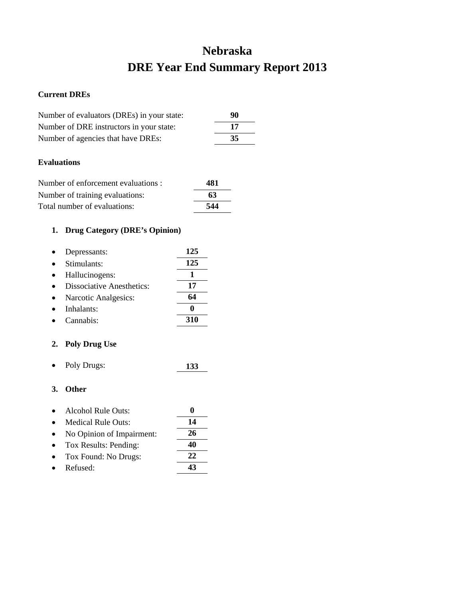# **Nebraska DRE Year End Summary Report 2013**

## **Current DREs**

| Number of evaluators (DREs) in your state: | 90 |
|--------------------------------------------|----|
| Number of DRE instructors in your state:   | 17 |
| Number of agencies that have DREs:         | 35 |

## **Evaluations**

| Number of enforcement evaluations : | 481 |
|-------------------------------------|-----|
| Number of training evaluations:     | 63  |
| Total number of evaluations:        | 544 |

## **1. Drug Category (DRE's Opinion)**

| Depressants:                     | 125 |
|----------------------------------|-----|
| Stimulants:                      | 125 |
| Hallucinogens:                   |     |
| <b>Dissociative Anesthetics:</b> | 17  |
| Narcotic Analgesics:             | 64  |
| Inhalants:                       |     |
| Cannabis <sup>.</sup>            | 310 |

## **2. Poly Drug Use**

• Poly Drugs: **133**

| $\bullet$ | Alcohol Rule Outs:        |     |
|-----------|---------------------------|-----|
|           | <b>Medical Rule Outs:</b> | 14  |
|           | No Opinion of Impairment: | 26  |
| $\bullet$ | Tox Results: Pending:     | 40  |
|           | Tox Found: No Drugs:      | 22. |
|           | Refused:                  |     |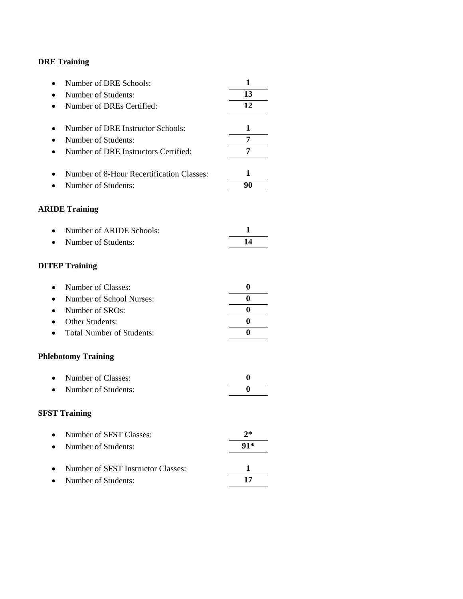| Number of DRE Schools:<br>$\bullet$                    | 1        |
|--------------------------------------------------------|----------|
| Number of Students:<br>$\bullet$                       | 13       |
| Number of DREs Certified:<br>$\bullet$                 | 12       |
|                                                        |          |
| Number of DRE Instructor Schools:<br>$\bullet$         | 1        |
| Number of Students:<br>$\bullet$                       | 7        |
| Number of DRE Instructors Certified:<br>$\bullet$      | 7        |
| Number of 8-Hour Recertification Classes:<br>$\bullet$ | 1        |
| Number of Students:<br>$\bullet$                       | 90       |
| <b>ARIDE Training</b>                                  |          |
| Number of ARIDE Schools:<br>$\bullet$                  | 1        |
| Number of Students:                                    | 14       |
| <b>DITEP Training</b>                                  |          |
| Number of Classes:<br>$\bullet$                        | $\bf{0}$ |
| Number of School Nurses:<br>$\bullet$                  | 0        |
| Number of SROs:<br>$\bullet$                           | 0        |
| Other Students:<br>$\bullet$                           | 0        |
| <b>Total Number of Students:</b>                       | 0        |
| <b>Phlebotomy Training</b>                             |          |
| Number of Classes:<br>$\bullet$                        | $\bf{0}$ |
| Number of Students:<br>$\bullet$                       | 0        |
| <b>SFST Training</b>                                   |          |
| Number of SFST Classes:                                | $2*$     |
| Number of Students:                                    | 91*      |
| Number of SFST Instructor Classes:                     | 1        |
| Number of Students:                                    | 17       |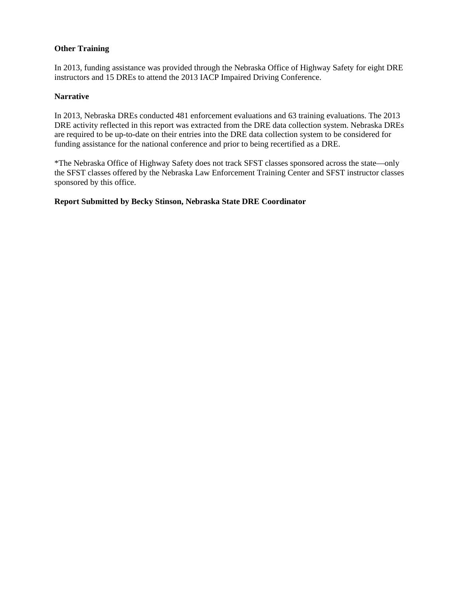### **Other Training**

In 2013, funding assistance was provided through the Nebraska Office of Highway Safety for eight DRE instructors and 15 DREs to attend the 2013 IACP Impaired Driving Conference.

#### **Narrative**

In 2013, Nebraska DREs conducted 481 enforcement evaluations and 63 training evaluations. The 2013 DRE activity reflected in this report was extracted from the DRE data collection system. Nebraska DREs are required to be up-to-date on their entries into the DRE data collection system to be considered for funding assistance for the national conference and prior to being recertified as a DRE.

\*The Nebraska Office of Highway Safety does not track SFST classes sponsored across the state—only the SFST classes offered by the Nebraska Law Enforcement Training Center and SFST instructor classes sponsored by this office.

#### **Report Submitted by Becky Stinson, Nebraska State DRE Coordinator**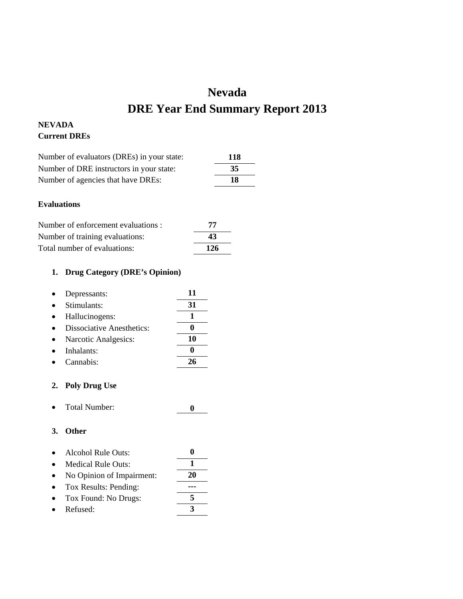# **Nevada DRE Year End Summary Report 2013**

## **NEVADA Current DREs**

| Number of evaluators (DREs) in your state: | 118 |
|--------------------------------------------|-----|
| Number of DRE instructors in your state:   | 35  |
| Number of agencies that have DREs:         | 18  |

## **Evaluations**

| Number of enforcement evaluations : | 77  |
|-------------------------------------|-----|
| Number of training evaluations:     | 43  |
| Total number of evaluations:        | 126 |

## **1. Drug Category (DRE's Opinion)**

| Depressants:                     | 11 |
|----------------------------------|----|
| Stimulants:                      | 31 |
| Hallucinogens:                   |    |
| <b>Dissociative Anesthetics:</b> |    |
| Narcotic Analgesics:             | 10 |
| Inhalants:                       |    |
| Cannabis <sup>.</sup>            |    |

#### **2. Poly Drug Use**

|  | Total Number: |  |
|--|---------------|--|
|--|---------------|--|

| $\bullet$ | Alcohol Rule Outs:        |  |
|-----------|---------------------------|--|
| $\bullet$ | <b>Medical Rule Outs:</b> |  |
|           |                           |  |

- No Opinion of Impairment: **20**
- Tox Results: Pending: **---** • Tox Found: No Drugs: **5**
- Refused: **3**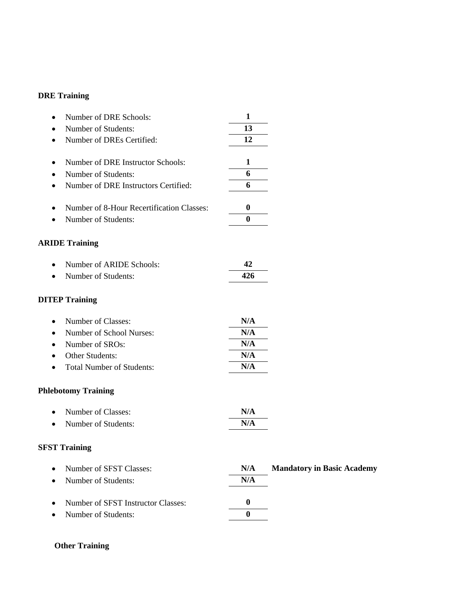| Number of DRE Schools:<br>٠               | $\mathbf{1}$     |                                   |
|-------------------------------------------|------------------|-----------------------------------|
| Number of Students:                       | 13               |                                   |
| Number of DREs Certified:                 | 12               |                                   |
| Number of DRE Instructor Schools:<br>٠    | $\mathbf{1}$     |                                   |
| Number of Students:                       | 6                |                                   |
| Number of DRE Instructors Certified:      | 6                |                                   |
| Number of 8-Hour Recertification Classes: | $\boldsymbol{0}$ |                                   |
| Number of Students:                       | $\bf{0}$         |                                   |
| <b>ARIDE Training</b>                     |                  |                                   |
| Number of ARIDE Schools:                  | 42               |                                   |
| Number of Students:                       | 426              |                                   |
| <b>DITEP Training</b>                     |                  |                                   |
| Number of Classes:<br>٠                   | N/A              |                                   |
| Number of School Nurses:                  | N/A              |                                   |
| Number of SROs:                           | N/A              |                                   |
| Other Students:                           | N/A              |                                   |
| <b>Total Number of Students:</b>          | N/A              |                                   |
| <b>Phlebotomy Training</b>                |                  |                                   |
| Number of Classes:                        | N/A              |                                   |
| Number of Students:                       | N/A              |                                   |
| <b>SFST Training</b>                      |                  |                                   |
| Number of SFST Classes:                   | N/A              | <b>Mandatory in Basic Academy</b> |
| Number of Students:                       | N/A              |                                   |
| Number of SFST Instructor Classes:        | $\bf{0}$         |                                   |
| Number of Students:                       | $\bf{0}$         |                                   |

## **Other Training**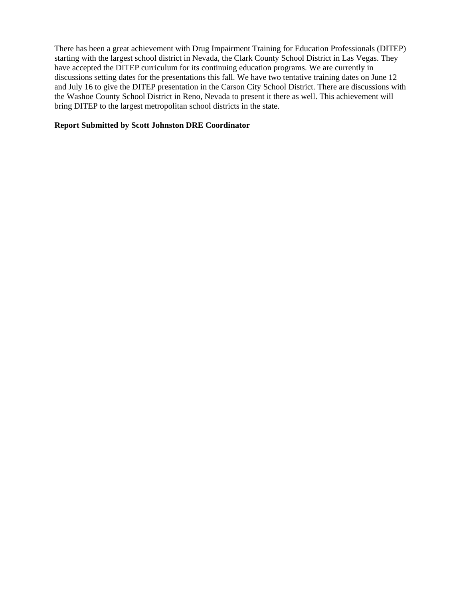There has been a great achievement with Drug Impairment Training for Education Professionals (DITEP) starting with the largest school district in Nevada, the Clark County School District in Las Vegas. They have accepted the DITEP curriculum for its continuing education programs. We are currently in discussions setting dates for the presentations this fall. We have two tentative training dates on June 12 and July 16 to give the DITEP presentation in the Carson City School District. There are discussions with the Washoe County School District in Reno, Nevada to present it there as well. This achievement will bring DITEP to the largest metropolitan school districts in the state.

### **Report Submitted by Scott Johnston DRE Coordinator**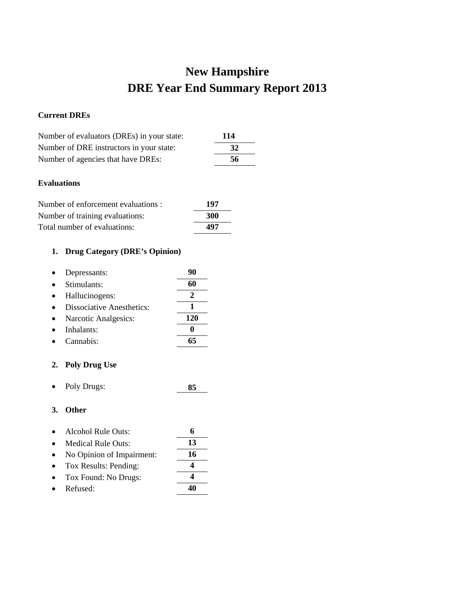# **New Hampshire DRE Year End Summary Report 2013**

## **Current DREs**

| Number of evaluators (DREs) in your state: | 114 |
|--------------------------------------------|-----|
| Number of DRE instructors in your state:   | 32  |
| Number of agencies that have DREs:         | 56  |
|                                            |     |

## **Evaluations**

| Number of enforcement evaluations : | 197        |
|-------------------------------------|------------|
| Number of training evaluations:     | <b>300</b> |
| Total number of evaluations:        | 497        |

# **1. Drug Category (DRE's Opinion)**

| Depressants:                     |     |
|----------------------------------|-----|
| Stimulants:                      | 60  |
| Hallucinogens:                   | 2   |
| <b>Dissociative Anesthetics:</b> |     |
| Narcotic Analgesics:             | 120 |
| Inhalants:                       |     |
| Cannabis:                        | 65  |
|                                  |     |

## **2. Poly Drug Use**

• Poly Drugs: **85**

| $\bullet$ | <b>Alcohol Rule Outs:</b> |    |
|-----------|---------------------------|----|
| $\bullet$ | Medical Rule Outs:        | 13 |
| $\bullet$ | No Opinion of Impairment: | 16 |
| $\bullet$ | Tox Results: Pending:     |    |
| $\bullet$ | Tox Found: No Drugs:      |    |
|           | Refused:                  |    |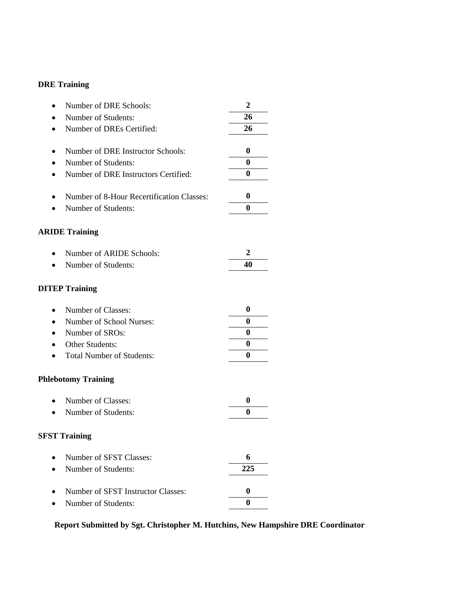| Number of DRE Schools:<br>$\bullet$                    | $\boldsymbol{2}$ |
|--------------------------------------------------------|------------------|
| Number of Students:<br>$\bullet$                       | 26               |
| Number of DREs Certified:                              | 26               |
| Number of DRE Instructor Schools:<br>٠                 | $\boldsymbol{0}$ |
| Number of Students:<br>٠                               | 0                |
| Number of DRE Instructors Certified:                   | $\bf{0}$         |
| Number of 8-Hour Recertification Classes:<br>$\bullet$ | $\boldsymbol{0}$ |
| Number of Students:<br>$\bullet$                       | 0                |
| <b>ARIDE Training</b>                                  |                  |
| Number of ARIDE Schools:<br>$\bullet$                  | 2                |
| Number of Students:                                    | 40               |
| <b>DITEP Training</b>                                  |                  |
| Number of Classes:<br>٠                                | $\boldsymbol{0}$ |
| Number of School Nurses:<br>$\bullet$                  | 0                |
| Number of SROs:                                        | $\bf{0}$         |
| Other Students:<br>$\bullet$                           | 0                |
| <b>Total Number of Students:</b>                       | $\bf{0}$         |
| <b>Phlebotomy Training</b>                             |                  |
| Number of Classes:<br>$\bullet$                        | 0                |
| Number of Students:<br>$\bullet$                       | 0                |
| <b>SFST Training</b>                                   |                  |
| Number of SFST Classes:                                | 6                |
| Number of Students:                                    | 225              |
| Number of SFST Instructor Classes:                     | 0                |
| Number of Students:                                    | 0                |
|                                                        |                  |

**Report Submitted by Sgt. Christopher M. Hutchins, New Hampshire DRE Coordinator**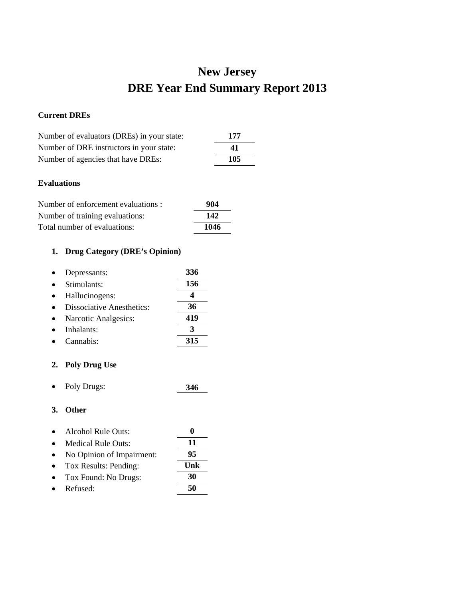# **New Jersey DRE Year End Summary Report 2013**

## **Current DREs**

| Number of evaluators (DREs) in your state: | 177 |
|--------------------------------------------|-----|
| Number of DRE instructors in your state:   | 41  |
| Number of agencies that have DREs:         | 105 |

## **Evaluations**

| Number of enforcement evaluations : | 904  |
|-------------------------------------|------|
| Number of training evaluations:     | 142  |
| Total number of evaluations:        | 1046 |

# **1. Drug Category (DRE's Opinion)**

| Depressants:                     | 336 |
|----------------------------------|-----|
| Stimulants:                      | 156 |
| Hallucinogens:                   |     |
| <b>Dissociative Anesthetics:</b> | 36  |
| Narcotic Analgesics:             | 419 |
| Inhalants:                       | 3   |
| Cannabis:                        | 315 |
|                                  |     |

## **2. Poly Drug Use**

• Poly Drugs: **346**

| $\bullet$ | Alcohol Rule Outs:        |     |
|-----------|---------------------------|-----|
| $\bullet$ | Medical Rule Outs:        | 11  |
| $\bullet$ | No Opinion of Impairment: | 95  |
| $\bullet$ | Tox Results: Pending:     | Unk |
|           | Tox Found: No Drugs:      | 30  |
|           | Refused:                  | 50  |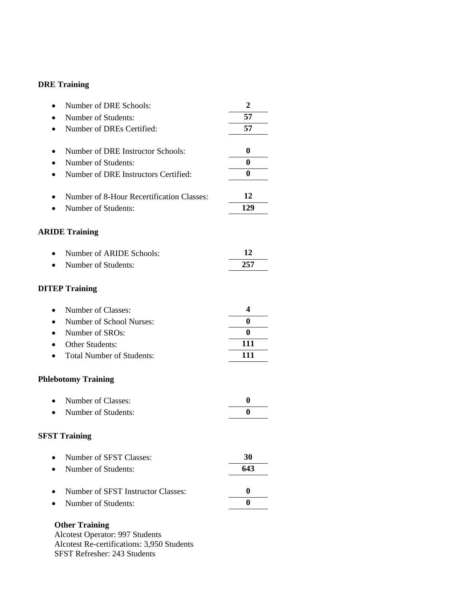| Number of DRE Schools:                    | $\overline{2}$   |
|-------------------------------------------|------------------|
| Number of Students:                       | 57               |
| Number of DREs Certified:                 | 57               |
| Number of DRE Instructor Schools:         | $\boldsymbol{0}$ |
| Number of Students:                       | $\bf{0}$         |
| Number of DRE Instructors Certified:      | $\bf{0}$         |
| Number of 8-Hour Recertification Classes: | 12               |
| Number of Students:                       | 129              |
| <b>ARIDE Training</b>                     |                  |
| Number of ARIDE Schools:<br>$\bullet$     | 12               |
| Number of Students:                       | 257              |
| <b>DITEP Training</b>                     |                  |
| Number of Classes:                        | 4                |
| Number of School Nurses:<br>$\bullet$     | $\bf{0}$         |
| Number of SROs:                           | $\bf{0}$         |
| Other Students:<br>$\bullet$              | 111              |
| <b>Total Number of Students:</b>          | 111              |
| <b>Phlebotomy Training</b>                |                  |
| Number of Classes:                        | $\boldsymbol{0}$ |
| Number of Students:                       | 0                |
| <b>SFST Training</b>                      |                  |
| Number of SFST Classes:                   | 30               |
| Number of Students:                       | 643              |
| Number of SFST Instructor Classes:        | $\boldsymbol{0}$ |
| Number of Students:                       | $\bf{0}$         |
| <b>Other Training</b>                     |                  |

Alcotest Operator: 997 Students Alcotest Re-certifications: 3,950 Students SFST Refresher: 243 Students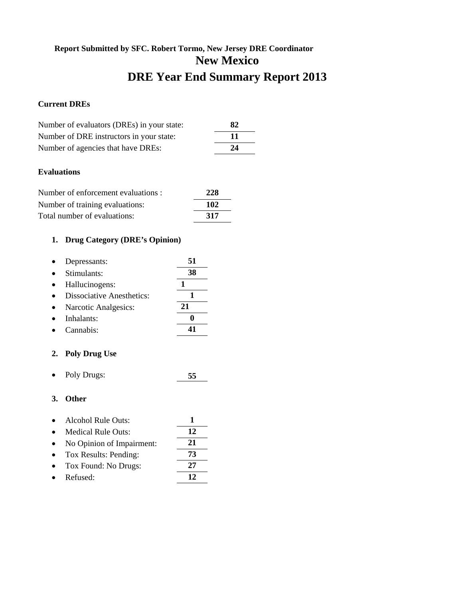# **Report Submitted by SFC. Robert Tormo, New Jersey DRE Coordinator New Mexico DRE Year End Summary Report 2013**

## **Current DREs**

| Number of evaluators (DREs) in your state: | 82  |
|--------------------------------------------|-----|
| Number of DRE instructors in your state:   | -11 |
| Number of agencies that have DREs:         | 24  |

## **Evaluations**

| Number of enforcement evaluations : | 228 |
|-------------------------------------|-----|
| Number of training evaluations:     | 102 |
| Total number of evaluations:        | 317 |

## **1. Drug Category (DRE's Opinion)**

| Depressants:                     | 51 |
|----------------------------------|----|
| Stimulants:                      | 38 |
| Hallucinogens:                   |    |
| <b>Dissociative Anesthetics:</b> |    |
| Narcotic Analgesics:             | 21 |
| Inhalants:                       |    |
| Cannabis:                        |    |
|                                  |    |

#### **2. Poly Drug Use**

• Poly Drugs: **55**

- Alcohol Rule Outs: **1**
- Medical Rule Outs: **12**
- No Opinion of Impairment: **21**
- Tox Results: Pending: **73** • Tox Found: No Drugs: **27**
- Refused: **12**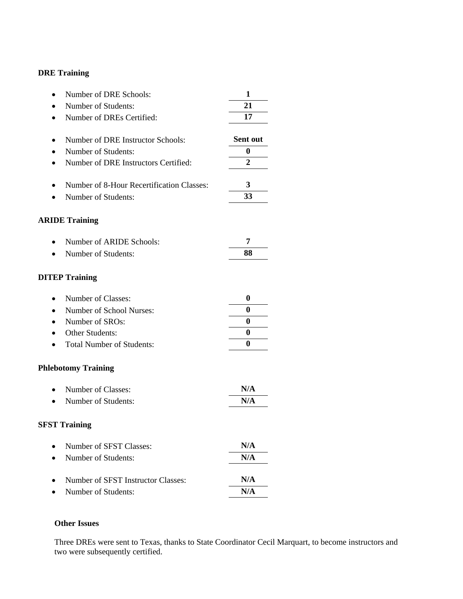| Number of DRE Schools:                    | 1                |
|-------------------------------------------|------------------|
| Number of Students:                       | 21               |
| Number of DREs Certified:                 | 17               |
|                                           | Sent out         |
| Number of DRE Instructor Schools:         | $\bf{0}$         |
| Number of Students:                       |                  |
| Number of DRE Instructors Certified:      | $\overline{2}$   |
| Number of 8-Hour Recertification Classes: | 3                |
| Number of Students:                       | 33               |
| <b>ARIDE Training</b>                     |                  |
| Number of ARIDE Schools:                  | 7                |
| Number of Students:                       | 88               |
| <b>DITEP Training</b>                     |                  |
| Number of Classes:<br>$\bullet$           | $\boldsymbol{0}$ |
| Number of School Nurses:                  | $\bf{0}$         |
| Number of SROs:                           | 0                |
| Other Students:                           | $\bf{0}$         |
| <b>Total Number of Students:</b>          | 0                |
| <b>Phlebotomy Training</b>                |                  |
| Number of Classes:                        | N/A              |
| Number of Students:                       | N/A              |
| <b>SFST Training</b>                      |                  |
| Number of SFST Classes:                   | N/A              |
| Number of Students:                       | N/A              |
| Number of SFST Instructor Classes:        | N/A              |
| Number of Students:                       | N/A              |

## **Other Issues**

Three DREs were sent to Texas, thanks to State Coordinator Cecil Marquart, to become instructors and two were subsequently certified.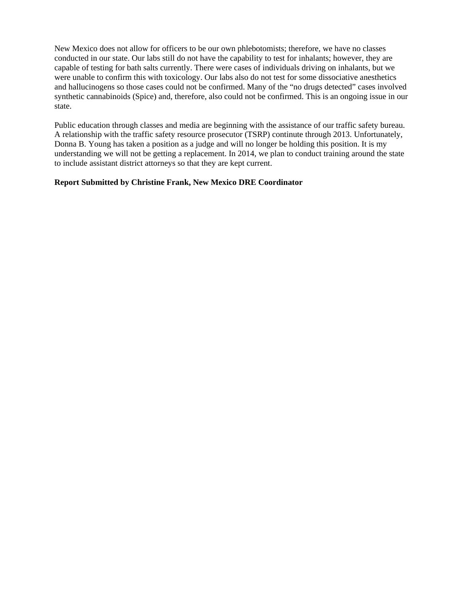New Mexico does not allow for officers to be our own phlebotomists; therefore, we have no classes conducted in our state. Our labs still do not have the capability to test for inhalants; however, they are capable of testing for bath salts currently. There were cases of individuals driving on inhalants, but we were unable to confirm this with toxicology. Our labs also do not test for some dissociative anesthetics and hallucinogens so those cases could not be confirmed. Many of the "no drugs detected" cases involved synthetic cannabinoids (Spice) and, therefore, also could not be confirmed. This is an ongoing issue in our state.

Public education through classes and media are beginning with the assistance of our traffic safety bureau. A relationship with the traffic safety resource prosecutor (TSRP) continute through 2013. Unfortunately, Donna B. Young has taken a position as a judge and will no longer be holding this position. It is my understanding we will not be getting a replacement. In 2014, we plan to conduct training around the state to include assistant district attorneys so that they are kept current.

#### **Report Submitted by Christine Frank, New Mexico DRE Coordinator**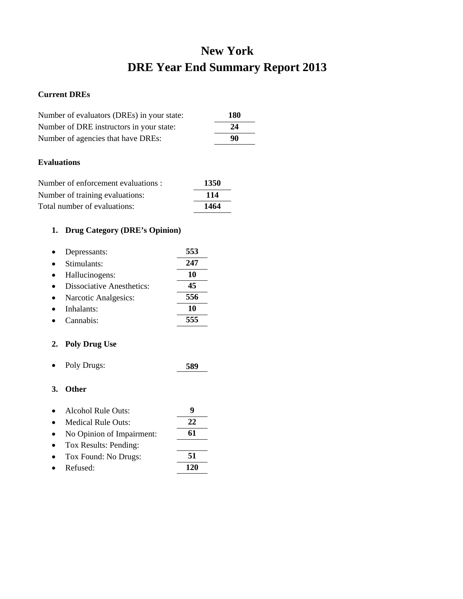# **New York DRE Year End Summary Report 2013**

### **Current DREs**

| Number of evaluators (DREs) in your state: | 180 |
|--------------------------------------------|-----|
| Number of DRE instructors in your state:   | 24  |
| Number of agencies that have DREs:         | 90  |

## **Evaluations**

| Number of enforcement evaluations : | 1350 |
|-------------------------------------|------|
| Number of training evaluations:     | 114  |
| Total number of evaluations:        | 1464 |

## **1. Drug Category (DRE's Opinion)**

| Depressants:                     | 553 |
|----------------------------------|-----|
| Stimulants:                      | 247 |
| Hallucinogens:                   | 10  |
| <b>Dissociative Anesthetics:</b> | 45  |
| Narcotic Analgesics:             | 556 |
| Inhalants:                       | 10  |
| Cannabis:                        | 555 |

## **2. Poly Drug Use**

• Poly Drugs: **589**

- Alcohol Rule Outs: **9**
- Medical Rule Outs: **22** • No Opinion of Impairment: **61**
- Tox Results: Pending: • Tox Found: No Drugs: **51**
- Refused: **120**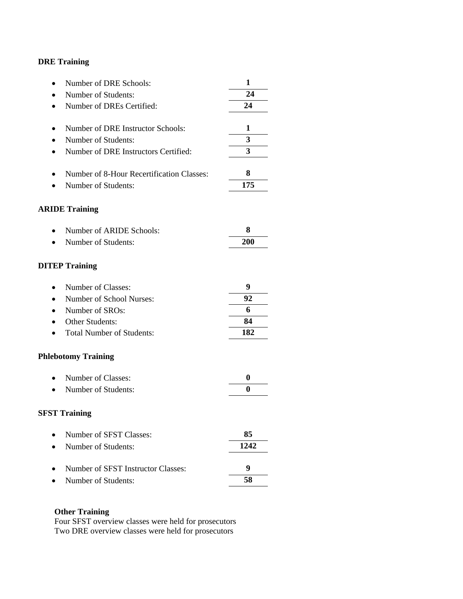| Number of DRE Schools:                        | 1                |
|-----------------------------------------------|------------------|
| Number of Students:<br>$\bullet$              | 24               |
| Number of DREs Certified:<br>٠                | 24               |
|                                               |                  |
| Number of DRE Instructor Schools:             | 1                |
| Number of Students:<br>٠                      | 3                |
| Number of DRE Instructors Certified:<br>٠     | 3                |
| Number of 8-Hour Recertification Classes:     | 8                |
| Number of Students:                           | 175              |
| <b>ARIDE Training</b>                         |                  |
| Number of ARIDE Schools:                      | 8                |
| Number of Students:<br>$\bullet$              | <b>200</b>       |
| <b>DITEP Training</b>                         |                  |
| Number of Classes:<br>$\bullet$               | 9                |
| Number of School Nurses:<br>$\bullet$         | 92               |
| Number of SROs:<br>$\bullet$                  | 6                |
| Other Students:                               | 84               |
| <b>Total Number of Students:</b><br>$\bullet$ | 182              |
| <b>Phlebotomy Training</b>                    |                  |
| Number of Classes:<br>$\bullet$               | $\boldsymbol{0}$ |
| Number of Students:                           | $\bf{0}$         |
| <b>SFST Training</b>                          |                  |
| Number of SFST Classes:                       | 85               |
| Number of Students:<br>$\bullet$              | 1242             |
| Number of SFST Instructor Classes:            | 9                |
| Number of Students:                           | 58               |

## **Other Training**

Four SFST overview classes were held for prosecutors Two DRE overview classes were held for prosecutors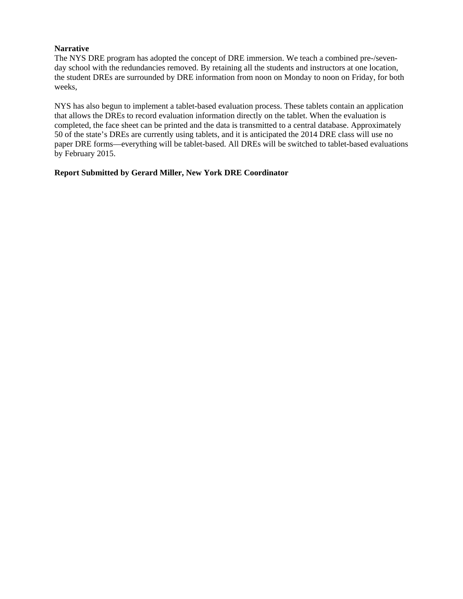### **Narrative**

The NYS DRE program has adopted the concept of DRE immersion. We teach a combined pre-/sevenday school with the redundancies removed. By retaining all the students and instructors at one location, the student DREs are surrounded by DRE information from noon on Monday to noon on Friday, for both weeks,

NYS has also begun to implement a tablet-based evaluation process. These tablets contain an application that allows the DREs to record evaluation information directly on the tablet. When the evaluation is completed, the face sheet can be printed and the data is transmitted to a central database. Approximately 50 of the state's DREs are currently using tablets, and it is anticipated the 2014 DRE class will use no paper DRE forms—everything will be tablet-based. All DREs will be switched to tablet-based evaluations by February 2015.

### **Report Submitted by Gerard Miller, New York DRE Coordinator**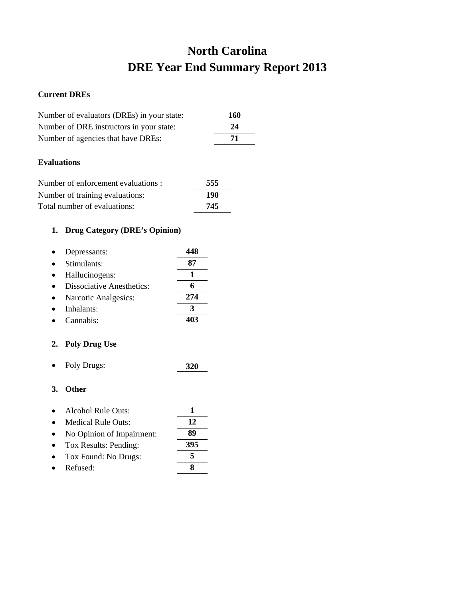# **North Carolina DRE Year End Summary Report 2013**

### **Current DREs**

| Number of evaluators (DREs) in your state: | 160 |
|--------------------------------------------|-----|
| Number of DRE instructors in your state:   | 24  |
| Number of agencies that have DREs:         | 71  |

## **Evaluations**

| Number of enforcement evaluations : | 555 |
|-------------------------------------|-----|
| Number of training evaluations:     | 190 |
| Total number of evaluations:        | 745 |

## **1. Drug Category (DRE's Opinion)**

| Depressants:                     |     |
|----------------------------------|-----|
| Stimulants:                      | 87  |
| Hallucinogens:                   |     |
| <b>Dissociative Anesthetics:</b> |     |
| Narcotic Analgesics:             | 274 |
| Inhalants:                       | З   |
| Cannabis <sup>.</sup>            |     |

## **2. Poly Drug Use**

• Poly Drugs: **320**

| Alcohol Rule Outs: |  |
|--------------------|--|
|                    |  |

- Medical Rule Outs: **12** • No Opinion of Impairment: **89** • Tox Results: Pending: **395** • Tox Found: No Drugs: **5**
- Refused: **8**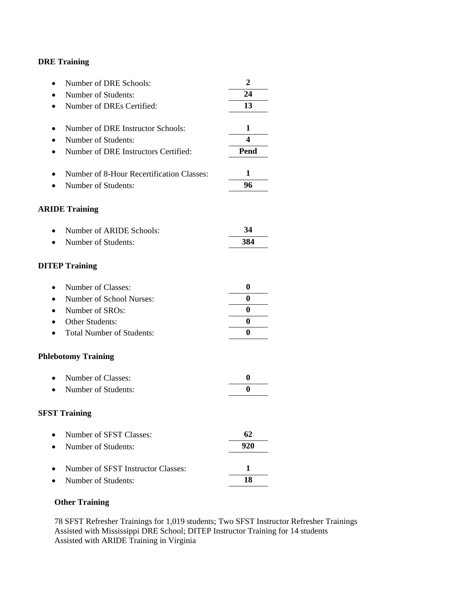| Number of DRE Schools:<br>$\bullet$           | $\overline{2}$   |
|-----------------------------------------------|------------------|
| Number of Students:                           | 24               |
| Number of DREs Certified:<br>$\bullet$        | 13               |
|                                               |                  |
| Number of DRE Instructor Schools:             | 1                |
| Number of Students:                           | 4                |
| Number of DRE Instructors Certified:<br>٠     | Pend             |
|                                               |                  |
| Number of 8-Hour Recertification Classes:     | 1                |
| Number of Students:                           | 96               |
| <b>ARIDE Training</b>                         |                  |
|                                               |                  |
| Number of ARIDE Schools:                      | 34               |
| Number of Students:<br>$\bullet$              | 384              |
|                                               |                  |
| <b>DITEP Training</b>                         |                  |
|                                               |                  |
| Number of Classes:<br>$\bullet$               | $\boldsymbol{0}$ |
| Number of School Nurses:<br>$\bullet$         | 0                |
| Number of SROs:<br>$\bullet$                  | 0                |
| Other Students:                               | 0                |
| <b>Total Number of Students:</b><br>$\bullet$ | 0                |
| <b>Phlebotomy Training</b>                    |                  |
| Number of Classes:<br>$\bullet$               | $\boldsymbol{0}$ |
| Number of Students:                           | 0                |
|                                               |                  |
| <b>SFST Training</b>                          |                  |
|                                               |                  |
| Number of SFST Classes:                       | 62               |
| Number of Students:                           | 920              |
| Number of SFST Instructor Classes:            | 1                |
| Number of Students:                           | 18               |
|                                               |                  |

# **Other Training**

78 SFST Refresher Trainings for 1,019 students; Two SFST Instructor Refresher Trainings Assisted with Mississippi DRE School; DITEP Instructor Training for 14 students Assisted with ARIDE Training in Virginia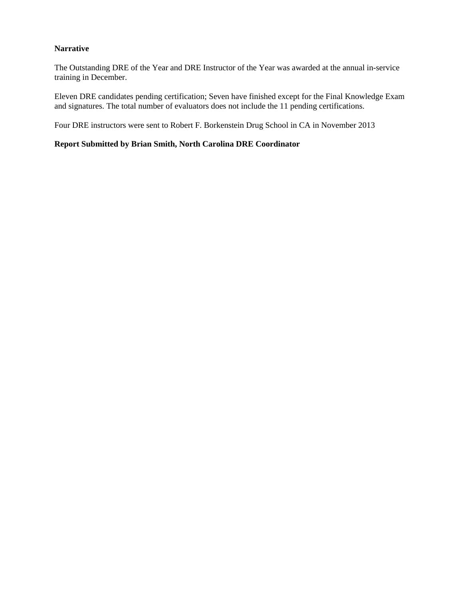### **Narrative**

The Outstanding DRE of the Year and DRE Instructor of the Year was awarded at the annual in-service training in December.

Eleven DRE candidates pending certification; Seven have finished except for the Final Knowledge Exam and signatures. The total number of evaluators does not include the 11 pending certifications.

Four DRE instructors were sent to Robert F. Borkenstein Drug School in CA in November 2013

## **Report Submitted by Brian Smith, North Carolina DRE Coordinator**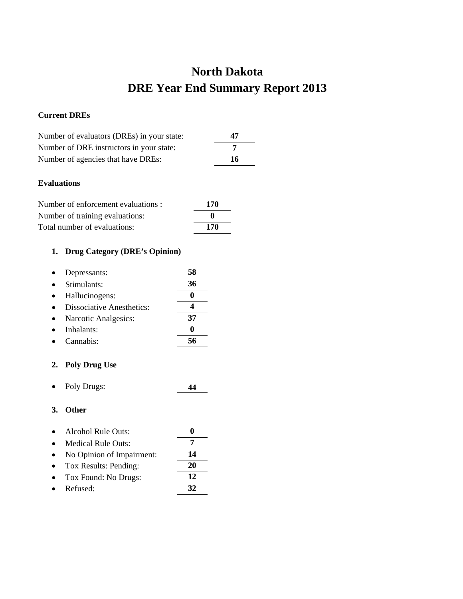# **North Dakota DRE Year End Summary Report 2013**

## **Current DREs**

| Number of evaluators (DREs) in your state: | 47  |
|--------------------------------------------|-----|
| Number of DRE instructors in your state:   |     |
| Number of agencies that have DREs:         | -16 |

## **Evaluations**

| Number of enforcement evaluations : | 170 |
|-------------------------------------|-----|
| Number of training evaluations:     | o   |
| Total number of evaluations:        | 170 |

## **1. Drug Category (DRE's Opinion)**

| Depressants:              | 58 |
|---------------------------|----|
| Stimulants:               | 36 |
| Hallucinogens:            |    |
| Dissociative Anesthetics: |    |
| Narcotic Analgesics:      | 37 |
| Inhalants:                |    |
| Cannabis:                 |    |

## **2. Poly Drug Use**

• Poly Drugs: **44**

| $\bullet$ | Alcohol Rule Outs: |  |
|-----------|--------------------|--|
| $\bullet$ | Medical Rule Outs: |  |

- No Opinion of Impairment: **14**
- Tox Results: Pending: **20** • Tox Found: No Drugs: **12**
- Refused: **32**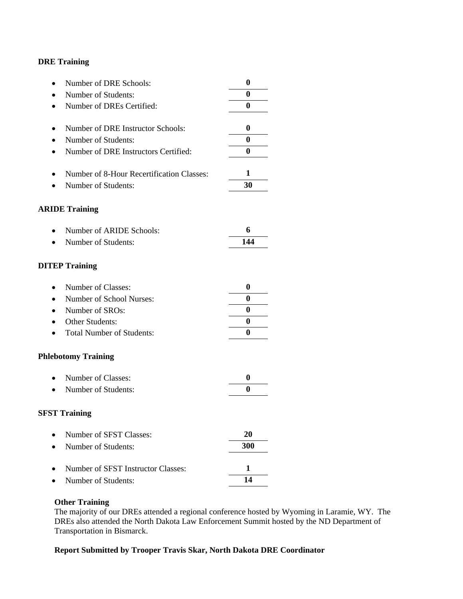| Number of DRE Schools:<br>$\bullet$            | 0        |
|------------------------------------------------|----------|
| Number of Students:                            | 0        |
| Number of DREs Certified:<br>$\bullet$         | 0        |
| Number of DRE Instructor Schools:              | 0        |
| Number of Students:                            | 0        |
| Number of DRE Instructors Certified:<br>٠      | 0        |
| Number of 8-Hour Recertification Classes:<br>٠ | 1        |
| Number of Students:                            | 30       |
| <b>ARIDE Training</b>                          |          |
| Number of ARIDE Schools:                       | 6        |
| Number of Students:<br>$\bullet$               | 144      |
| <b>DITEP Training</b>                          |          |
| Number of Classes:<br>$\bullet$                | 0        |
| Number of School Nurses:<br>$\bullet$          | 0        |
| Number of SROs:<br>$\bullet$                   | 0        |
| Other Students:                                | $\bf{0}$ |
| <b>Total Number of Students:</b><br>$\bullet$  | 0        |
| <b>Phlebotomy Training</b>                     |          |
| Number of Classes:<br>$\bullet$                | 0        |
| Number of Students:                            | 0        |
| <b>SFST Training</b>                           |          |
| Number of SFST Classes:                        | 20       |
| Number of Students:<br>$\bullet$               | 300      |
| Number of SFST Instructor Classes:             | 1        |
| Number of Students:                            | 14       |

#### **Other Training**

The majority of our DREs attended a regional conference hosted by Wyoming in Laramie, WY. The DREs also attended the North Dakota Law Enforcement Summit hosted by the ND Department of Transportation in Bismarck.

## **Report Submitted by Trooper Travis Skar, North Dakota DRE Coordinator**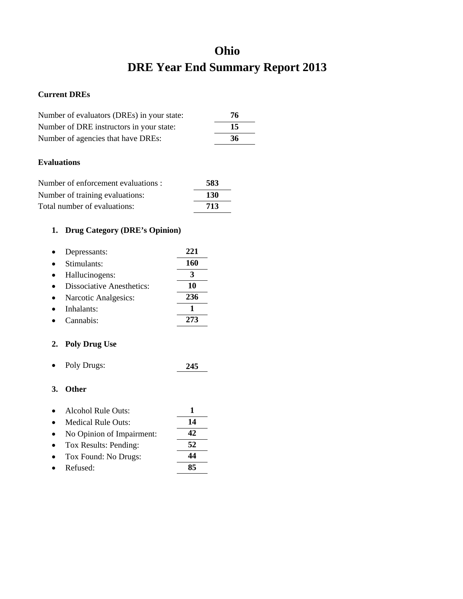# **Ohio DRE Year End Summary Report 2013**

## **Current DREs**

| Number of evaluators (DREs) in your state: | 76 |
|--------------------------------------------|----|
| Number of DRE instructors in your state:   | 15 |
| Number of agencies that have DREs:         | 36 |

## **Evaluations**

| Number of enforcement evaluations : | 583        |
|-------------------------------------|------------|
| Number of training evaluations:     | <b>130</b> |
| Total number of evaluations:        | 713        |

## **1. Drug Category (DRE's Opinion)**

| Depressants:                     | 221 |
|----------------------------------|-----|
| Stimulants:                      | 160 |
| Hallucinogens:                   | 3   |
| <b>Dissociative Anesthetics:</b> | 10  |
| Narcotic Analgesics:             | 236 |
| Inhalants:                       |     |
| Cannabis <sup>.</sup>            | 273 |

# **2. Poly Drug Use**

• Poly Drugs: **245**

| $\bullet$ | Alcohol Rule Outs:        |     |
|-----------|---------------------------|-----|
|           | Medical Rule Outs:        | 14  |
|           | No Opinion of Impairment: | 42. |
|           | Tox Results: Pending:     | 52  |
|           | Tox Found: No Drugs:      | 44  |
|           | Refused:                  | 85  |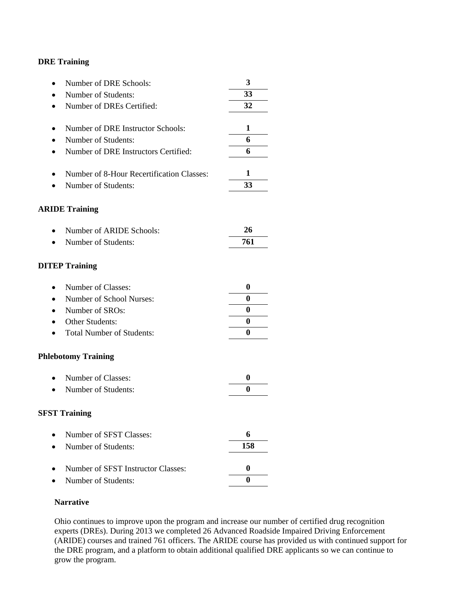| Number of DRE Schools:<br>$\bullet$               | 3                |
|---------------------------------------------------|------------------|
| Number of Students:                               | 33               |
| Number of DREs Certified:<br>$\bullet$            | 32               |
|                                                   |                  |
| Number of DRE Instructor Schools:                 | 1                |
| Number of Students:                               | 6                |
| Number of DRE Instructors Certified:<br>$\bullet$ | 6                |
| Number of 8-Hour Recertification Classes:         | 1                |
| Number of Students:                               | 33               |
| <b>ARIDE Training</b>                             |                  |
| Number of ARIDE Schools:                          | 26               |
| Number of Students:<br>$\bullet$                  | 761              |
| <b>DITEP Training</b>                             |                  |
| Number of Classes:<br>$\bullet$                   | $\boldsymbol{0}$ |
| Number of School Nurses:<br>$\bullet$             | $\boldsymbol{0}$ |
| Number of SROs:<br>$\bullet$                      | $\boldsymbol{0}$ |
| Other Students:                                   | $\boldsymbol{0}$ |
| <b>Total Number of Students:</b><br>$\bullet$     | 0                |
| <b>Phlebotomy Training</b>                        |                  |
| Number of Classes:<br>$\bullet$                   | $\boldsymbol{0}$ |
| Number of Students:                               | 0                |
| <b>SFST Training</b>                              |                  |
| Number of SFST Classes:                           | 6                |
| Number of Students:                               | 158              |
| Number of SFST Instructor Classes:                | $\bf{0}$         |
| Number of Students:                               | $\boldsymbol{0}$ |

## **Narrative**

Ohio continues to improve upon the program and increase our number of certified drug recognition experts (DREs). During 2013 we completed 26 Advanced Roadside Impaired Driving Enforcement (ARIDE) courses and trained 761 officers. The ARIDE course has provided us with continued support for the DRE program, and a platform to obtain additional qualified DRE applicants so we can continue to grow the program.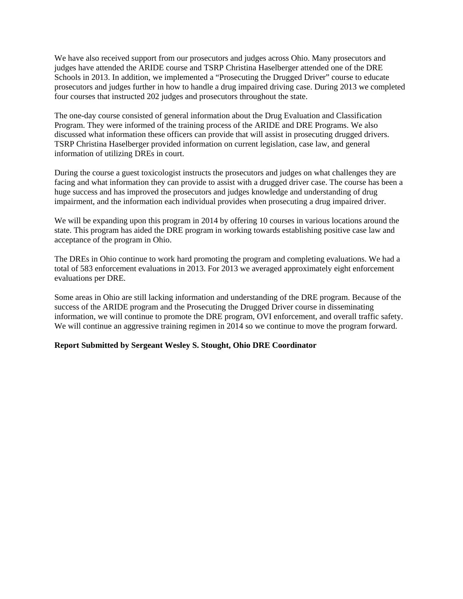We have also received support from our prosecutors and judges across Ohio. Many prosecutors and judges have attended the ARIDE course and TSRP Christina Haselberger attended one of the DRE Schools in 2013. In addition, we implemented a "Prosecuting the Drugged Driver" course to educate prosecutors and judges further in how to handle a drug impaired driving case. During 2013 we completed four courses that instructed 202 judges and prosecutors throughout the state.

The one-day course consisted of general information about the Drug Evaluation and Classification Program. They were informed of the training process of the ARIDE and DRE Programs. We also discussed what information these officers can provide that will assist in prosecuting drugged drivers. TSRP Christina Haselberger provided information on current legislation, case law, and general information of utilizing DREs in court.

During the course a guest toxicologist instructs the prosecutors and judges on what challenges they are facing and what information they can provide to assist with a drugged driver case. The course has been a huge success and has improved the prosecutors and judges knowledge and understanding of drug impairment, and the information each individual provides when prosecuting a drug impaired driver.

We will be expanding upon this program in 2014 by offering 10 courses in various locations around the state. This program has aided the DRE program in working towards establishing positive case law and acceptance of the program in Ohio.

The DREs in Ohio continue to work hard promoting the program and completing evaluations. We had a total of 583 enforcement evaluations in 2013. For 2013 we averaged approximately eight enforcement evaluations per DRE.

Some areas in Ohio are still lacking information and understanding of the DRE program. Because of the success of the ARIDE program and the Prosecuting the Drugged Driver course in disseminating information, we will continue to promote the DRE program, OVI enforcement, and overall traffic safety. We will continue an aggressive training regimen in 2014 so we continue to move the program forward.

#### **Report Submitted by Sergeant Wesley S. Stought, Ohio DRE Coordinator**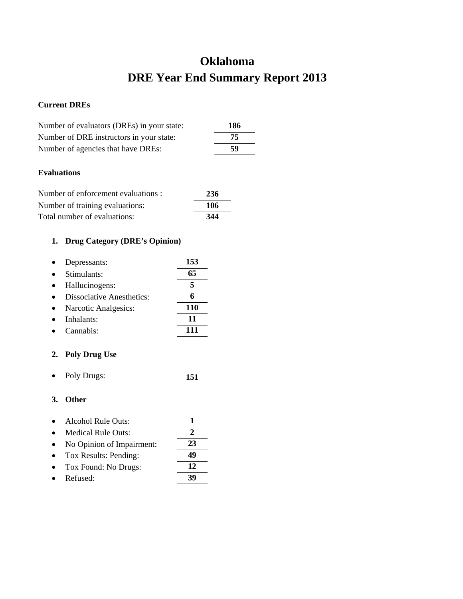# **Oklahoma DRE Year End Summary Report 2013**

## **Current DREs**

| Number of evaluators (DREs) in your state: | 186 |
|--------------------------------------------|-----|
| Number of DRE instructors in your state:   | 75  |
| Number of agencies that have DREs:         | 59  |

## **Evaluations**

| Number of enforcement evaluations : | 236 |
|-------------------------------------|-----|
| Number of training evaluations:     | 106 |
| Total number of evaluations:        | 344 |

## **1. Drug Category (DRE's Opinion)**

| Depressants:                     | 153 |
|----------------------------------|-----|
| Stimulants:                      | 65  |
| Hallucinogens:                   |     |
| <b>Dissociative Anesthetics:</b> |     |
| Narcotic Analgesics:             | 110 |
| Inhalants:                       | 11  |
| Cannabis <sup>.</sup>            |     |

## **2. Poly Drug Use**

• Poly Drugs: **151**

- Alcohol Rule Outs: **1**
- Medical Rule Outs: **2**
- No Opinion of Impairment: **23**
- Tox Results: Pending: **49**
- Tox Found: No Drugs: **12**
- Refused: **39**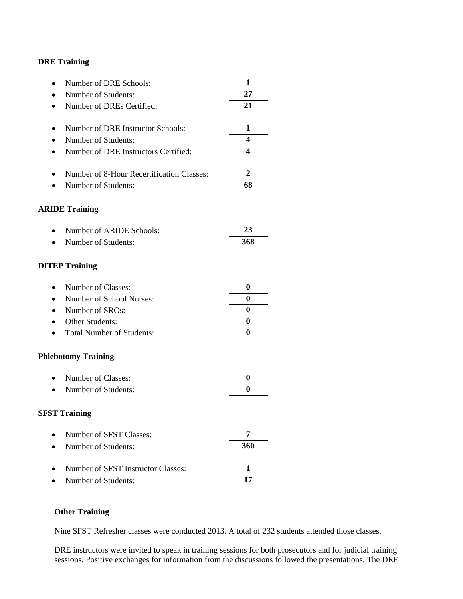| Number of DRE Schools:                    | 1        |
|-------------------------------------------|----------|
| Number of Students:                       | 27       |
| Number of DREs Certified:                 | 21       |
|                                           |          |
| Number of DRE Instructor Schools:         | 1        |
| Number of Students:                       | 4        |
| Number of DRE Instructors Certified:      | 4        |
| Number of 8-Hour Recertification Classes: | 2        |
| Number of Students:                       | 68       |
|                                           |          |
| <b>ARIDE Training</b>                     |          |
| Number of ARIDE Schools:                  | 23       |
| Number of Students:                       | 368      |
|                                           |          |
| <b>DITEP Training</b>                     |          |
| Number of Classes:                        | 0        |
| Number of School Nurses:                  | $\bf{0}$ |
| Number of SROs:                           | 0        |
| Other Students:                           | $\bf{0}$ |
| <b>Total Number of Students:</b>          | 0        |
| <b>Phlebotomy Training</b>                |          |
| Number of Classes:                        | 0        |
| Number of Students:                       | $\bf{0}$ |
| <b>SFST Training</b>                      |          |
| Number of SFST Classes:                   | 7        |
| Number of Students:                       | 360      |
|                                           |          |
| Number of SFST Instructor Classes:        | 1        |
| Number of Students:                       | 17       |

## **Other Training**

Nine SFST Refresher classes were conducted 2013. A total of 232 students attended those classes.

DRE instructors were invited to speak in training sessions for both prosecutors and for judicial training sessions. Positive exchanges for information from the discussions followed the presentations. The DRE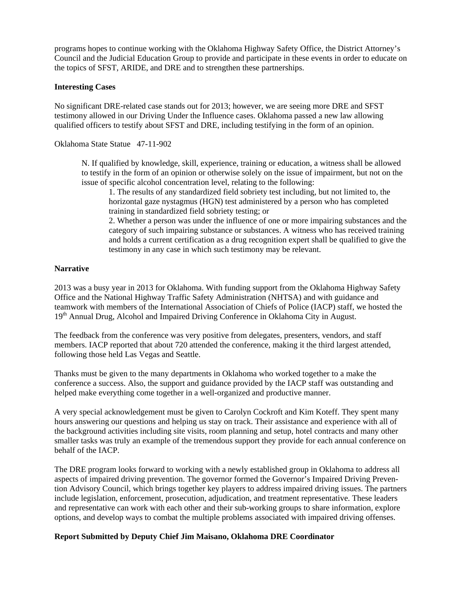programs hopes to continue working with the Oklahoma Highway Safety Office, the District Attorney's Council and the Judicial Education Group to provide and participate in these events in order to educate on the topics of SFST, ARIDE, and DRE and to strengthen these partnerships.

#### **Interesting Cases**

No significant DRE-related case stands out for 2013; however, we are seeing more DRE and SFST testimony allowed in our Driving Under the Influence cases. Oklahoma passed a new law allowing qualified officers to testify about SFST and DRE, including testifying in the form of an opinion.

Oklahoma State Statue 47-11-902

N. If qualified by knowledge, skill, experience, training or education, a witness shall be allowed to testify in the form of an opinion or otherwise solely on the issue of impairment, but not on the issue of specific alcohol concentration level, relating to the following:

1. The results of any standardized field sobriety test including, but not limited to, the horizontal gaze nystagmus (HGN) test administered by a person who has completed training in standardized field sobriety testing; or

2. Whether a person was under the influence of one or more impairing substances and the category of such impairing substance or substances. A witness who has received training and holds a current certification as a drug recognition expert shall be qualified to give the testimony in any case in which such testimony may be relevant.

#### **Narrative**

2013 was a busy year in 2013 for Oklahoma. With funding support from the Oklahoma Highway Safety Office and the National Highway Traffic Safety Administration (NHTSA) and with guidance and teamwork with members of the International Association of Chiefs of Police (IACP) staff, we hosted the 19<sup>th</sup> Annual Drug, Alcohol and Impaired Driving Conference in Oklahoma City in August.

The feedback from the conference was very positive from delegates, presenters, vendors, and staff members. IACP reported that about 720 attended the conference, making it the third largest attended, following those held Las Vegas and Seattle.

Thanks must be given to the many departments in Oklahoma who worked together to a make the conference a success. Also, the support and guidance provided by the IACP staff was outstanding and helped make everything come together in a well-organized and productive manner.

A very special acknowledgement must be given to Carolyn Cockroft and Kim Koteff. They spent many hours answering our questions and helping us stay on track. Their assistance and experience with all of the background activities including site visits, room planning and setup, hotel contracts and many other smaller tasks was truly an example of the tremendous support they provide for each annual conference on behalf of the IACP.

The DRE program looks forward to working with a newly established group in Oklahoma to address all aspects of impaired driving prevention. The governor formed the Governor's Impaired Driving Prevention Advisory Council, which brings together key players to address impaired driving issues. The partners include legislation, enforcement, prosecution, adjudication, and treatment representative. These leaders and representative can work with each other and their sub-working groups to share information, explore options, and develop ways to combat the multiple problems associated with impaired driving offenses.

#### **Report Submitted by Deputy Chief Jim Maisano, Oklahoma DRE Coordinator**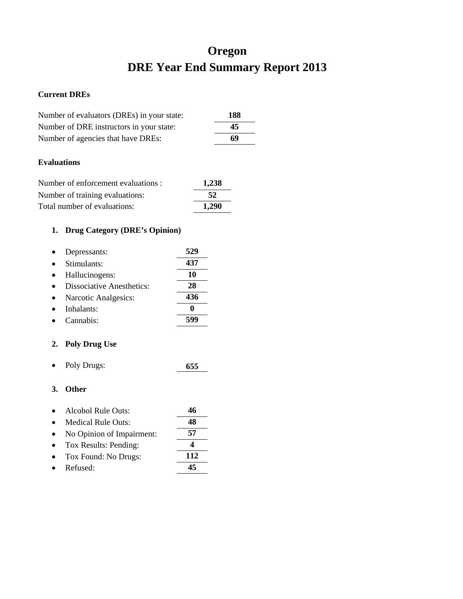# **Oregon DRE Year End Summary Report 2013**

## **Current DREs**

| Number of evaluators (DREs) in your state: | 188 |
|--------------------------------------------|-----|
| Number of DRE instructors in your state:   | 45  |
| Number of agencies that have DREs:         | 69  |
|                                            |     |

## **Evaluations**

| Number of enforcement evaluations : | 1,238 |
|-------------------------------------|-------|
| Number of training evaluations:     | 52    |
| Total number of evaluations:        | 1.290 |

# **1. Drug Category (DRE's Opinion)**

| Depressants:                     | 529 |
|----------------------------------|-----|
| Stimulants:                      | 437 |
| Hallucinogens:                   | 10  |
| <b>Dissociative Anesthetics:</b> | 28  |
| Narcotic Analgesics:             | 436 |
| Inhalants:                       |     |
| Cannabis <sup>.</sup>            |     |

# **2. Poly Drug Use**

• Poly Drugs: **655**

| $\bullet$ | Alcohol Rule Outs:        |     |
|-----------|---------------------------|-----|
|           | <b>Medical Rule Outs:</b> | 48  |
|           | No Opinion of Impairment: | 57  |
| $\bullet$ | Tox Results: Pending:     |     |
|           | Tox Found: No Drugs:      | 112 |
|           | Refused:                  |     |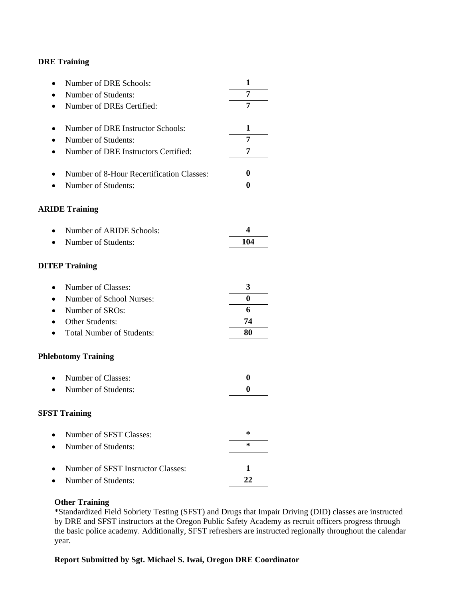| Number of DRE Schools:<br>$\bullet$               | 1                |
|---------------------------------------------------|------------------|
| Number of Students:                               | 7                |
| Number of DREs Certified:<br>$\bullet$            | 7                |
|                                                   |                  |
| Number of DRE Instructor Schools:<br>٠            | 1                |
| Number of Students:                               | 7                |
| Number of DRE Instructors Certified:<br>$\bullet$ | 7                |
| Number of 8-Hour Recertification Classes:<br>٠    | $\boldsymbol{0}$ |
| Number of Students:                               | $\bf{0}$         |
| <b>ARIDE Training</b>                             |                  |
|                                                   |                  |
| Number of ARIDE Schools:<br>$\bullet$             | 4                |
| Number of Students:<br>$\bullet$                  | 104              |
|                                                   |                  |
| <b>DITEP Training</b>                             |                  |
| Number of Classes:<br>$\bullet$                   | 3                |
| Number of School Nurses:<br>$\bullet$             | 0                |
| Number of SROs:<br>$\bullet$                      | 6                |
| <b>Other Students:</b>                            | 74               |
| <b>Total Number of Students:</b><br>$\bullet$     | 80               |
| <b>Phlebotomy Training</b>                        |                  |
| Number of Classes:<br>$\bullet$                   | $\boldsymbol{0}$ |
| Number of Students:                               | 0                |
| <b>SFST Training</b>                              |                  |
| Number of SFST Classes:                           | $\ast$           |
| Number of Students:                               | $\ast$           |
| Number of SFST Instructor Classes:                | 1                |
| Number of Students:                               | 22               |
|                                                   |                  |

#### **Other Training**

\*Standardized Field Sobriety Testing (SFST) and Drugs that Impair Driving (DID) classes are instructed by DRE and SFST instructors at the Oregon Public Safety Academy as recruit officers progress through the basic police academy. Additionally, SFST refreshers are instructed regionally throughout the calendar year.

#### **Report Submitted by Sgt. Michael S. Iwai, Oregon DRE Coordinator**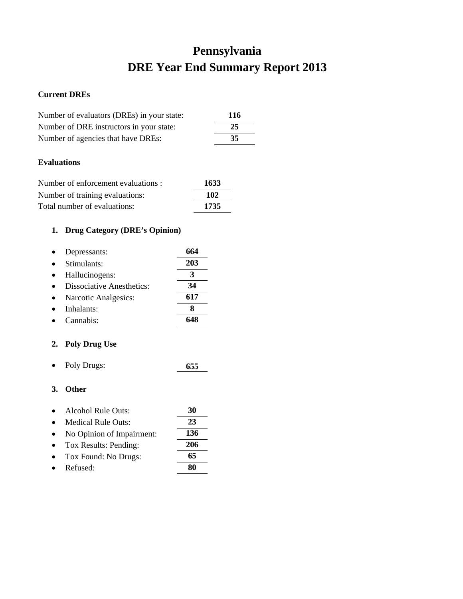# **Pennsylvania DRE Year End Summary Report 2013**

## **Current DREs**

| Number of evaluators (DREs) in your state: | 116 |
|--------------------------------------------|-----|
| Number of DRE instructors in your state:   | 25  |
| Number of agencies that have DREs:         | 35  |

## **Evaluations**

| Number of enforcement evaluations : | 1633 |
|-------------------------------------|------|
| Number of training evaluations:     | 102  |
| Total number of evaluations:        | 1735 |

# **1. Drug Category (DRE's Opinion)**

| Depressants:                     | 664 |
|----------------------------------|-----|
| Stimulants:                      | 203 |
| Hallucinogens:                   |     |
| <b>Dissociative Anesthetics:</b> | 34  |
| Narcotic Analgesics:             | 617 |
| Inhalants:                       |     |
| Cannabis:                        |     |

## **2. Poly Drug Use**

• Poly Drugs: **655**

| $\bullet$ | Alcohol Rule Outs:        | 30  |
|-----------|---------------------------|-----|
|           | <b>Medical Rule Outs:</b> | 23  |
|           | No Opinion of Impairment: | 136 |
| $\bullet$ | Tox Results: Pending:     | 206 |
|           | Tox Found: No Drugs:      | 65  |
|           | Refused:                  |     |
|           |                           |     |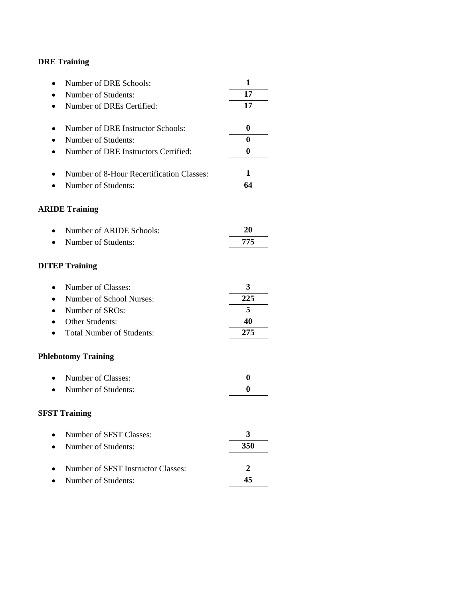| Number of DRE Schools:<br>$\bullet$               | 1              |
|---------------------------------------------------|----------------|
| Number of Students:                               | 17             |
| Number of DREs Certified:<br>$\bullet$            | 17             |
|                                                   |                |
| Number of DRE Instructor Schools:<br>٠            | 0              |
| Number of Students:<br>$\bullet$                  | 0              |
| Number of DRE Instructors Certified:<br>$\bullet$ | 0              |
| Number of 8-Hour Recertification Classes:<br>٠    | 1              |
| Number of Students:                               | 64             |
|                                                   |                |
| <b>ARIDE Training</b>                             |                |
| Number of ARIDE Schools:                          | 20             |
| Number of Students:                               | 775            |
|                                                   |                |
| <b>DITEP Training</b>                             |                |
| Number of Classes:<br>$\bullet$                   | 3              |
| Number of School Nurses:<br>$\bullet$             | 225            |
| Number of SROs:<br>$\bullet$                      | 5              |
| Other Students:                                   | 40             |
| <b>Total Number of Students:</b>                  | 275            |
| <b>Phlebotomy Training</b>                        |                |
| Number of Classes:<br>$\bullet$                   | 0              |
| Number of Students:                               | 0              |
|                                                   |                |
| <b>SFST Training</b>                              |                |
| Number of SFST Classes:                           | 3              |
| Number of Students:                               | 350            |
| Number of SFST Instructor Classes:                | $\overline{2}$ |
|                                                   | 45             |
| Number of Students:                               |                |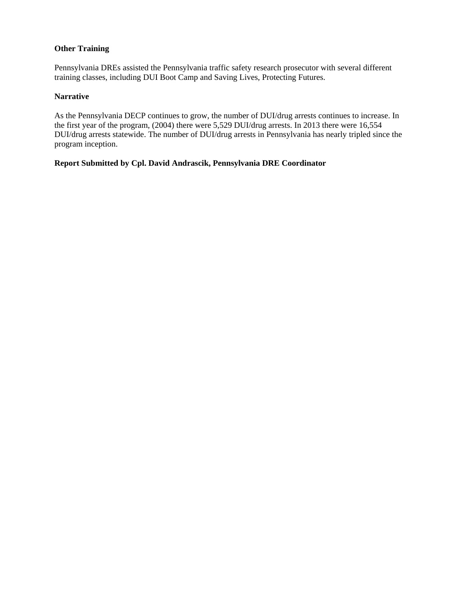### **Other Training**

Pennsylvania DREs assisted the Pennsylvania traffic safety research prosecutor with several different training classes, including DUI Boot Camp and Saving Lives, Protecting Futures.

#### **Narrative**

As the Pennsylvania DECP continues to grow, the number of DUI/drug arrests continues to increase. In the first year of the program, (2004) there were 5,529 DUI/drug arrests. In 2013 there were 16,554 DUI/drug arrests statewide. The number of DUI/drug arrests in Pennsylvania has nearly tripled since the program inception.

#### **Report Submitted by Cpl. David Andrascik, Pennsylvania DRE Coordinator**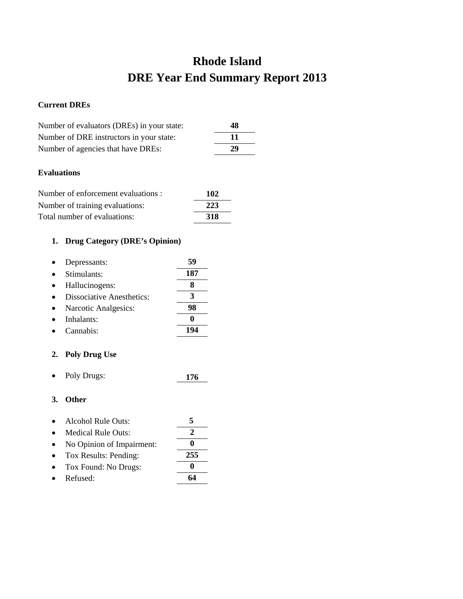# **Rhode Island DRE Year End Summary Report 2013**

## **Current DREs**

| Number of evaluators (DREs) in your state: | 48  |
|--------------------------------------------|-----|
| Number of DRE instructors in your state:   | -11 |
| Number of agencies that have DREs:         | 29  |

## **Evaluations**

| Number of enforcement evaluations : | 102        |
|-------------------------------------|------------|
| Number of training evaluations:     | 223        |
| Total number of evaluations:        | <b>318</b> |

## **1. Drug Category (DRE's Opinion)**

| Depressants:                     | 59  |
|----------------------------------|-----|
| Stimulants:                      | 187 |
| Hallucinogens:                   |     |
| <b>Dissociative Anesthetics:</b> |     |
| Narcotic Analgesics:             | 98  |
| Inhalants:                       |     |
| Cannabis <sup>.</sup>            |     |

## **2. Poly Drug Use**

• Poly Drugs: **176**

- Alcohol Rule Outs: **5**
- Medical Rule Outs: **2**
- No Opinion of Impairment: **0**
- Tox Results: Pending: **255**
- Tox Found: No Drugs: **0**
- Refused: **64**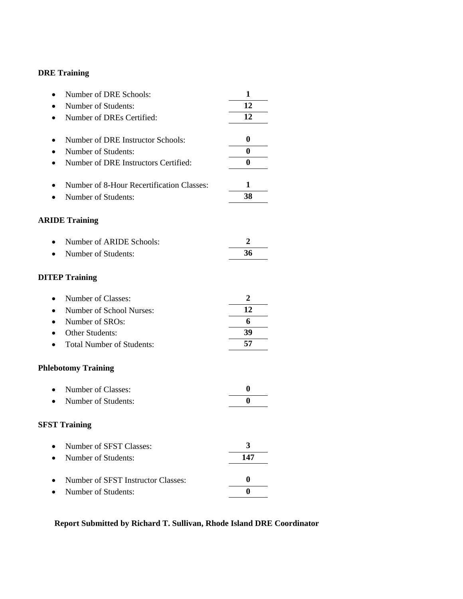| 12<br>Number of Students:                                     |  |
|---------------------------------------------------------------|--|
|                                                               |  |
| 12<br>Number of DREs Certified:                               |  |
|                                                               |  |
| Number of DRE Instructor Schools:<br>0                        |  |
| $\bf{0}$<br>Number of Students:                               |  |
| $\bf{0}$<br>Number of DRE Instructors Certified:<br>$\bullet$ |  |
| 1<br>Number of 8-Hour Recertification Classes:                |  |
| 38<br>Number of Students:                                     |  |
|                                                               |  |
| <b>ARIDE Training</b>                                         |  |
| 2<br>Number of ARIDE Schools:                                 |  |
| 36<br>Number of Students:                                     |  |
|                                                               |  |
| <b>DITEP Training</b>                                         |  |
| Number of Classes:<br>2<br>$\bullet$                          |  |
| 12<br>Number of School Nurses:                                |  |
| 6<br>Number of SROs:<br>$\bullet$                             |  |
| 39<br>Other Students:                                         |  |
| 57<br><b>Total Number of Students:</b>                        |  |
| <b>Phlebotomy Training</b>                                    |  |
| 0<br>Number of Classes:                                       |  |
| $\bf{0}$<br>Number of Students:                               |  |
|                                                               |  |
| <b>SFST Training</b>                                          |  |
| 3<br>Number of SFST Classes:                                  |  |
| 147<br>Number of Students:                                    |  |
| Number of SFST Instructor Classes:<br>0                       |  |
| $\bf{0}$<br>Number of Students:                               |  |

# **Report Submitted by Richard T. Sullivan, Rhode Island DRE Coordinator**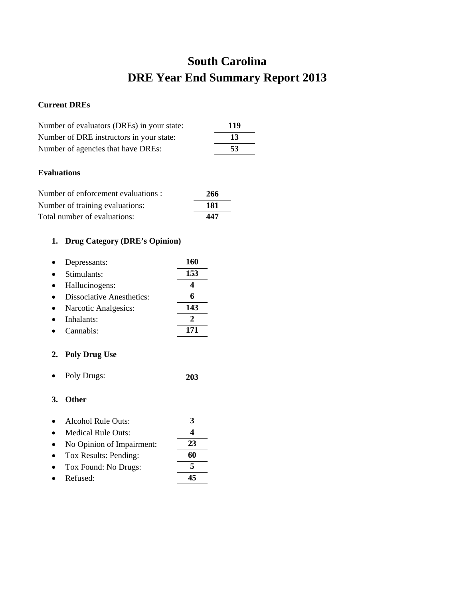# **South Carolina DRE Year End Summary Report 2013**

## **Current DREs**

| Number of evaluators (DREs) in your state: | 119 |
|--------------------------------------------|-----|
| Number of DRE instructors in your state:   | 13  |
| Number of agencies that have DREs:         | 53  |

## **Evaluations**

| Number of enforcement evaluations : | 266 |
|-------------------------------------|-----|
| Number of training evaluations:     | 181 |
| Total number of evaluations:        | 447 |

## **1. Drug Category (DRE's Opinion)**

| Depressants:                     | 160 |
|----------------------------------|-----|
| Stimulants:                      | 153 |
| Hallucinogens:                   |     |
| <b>Dissociative Anesthetics:</b> |     |
| Narcotic Analgesics:             | 143 |
| Inhalants:                       |     |
| Cannabis:                        |     |

## **2. Poly Drug Use**

• Poly Drugs: **203**

- Alcohol Rule Outs: **3**
- Medical Rule Outs: **4**
- No Opinion of Impairment: **23**
- Tox Results: Pending: **60**
- Tox Found: No Drugs: **5**
- Refused: **45**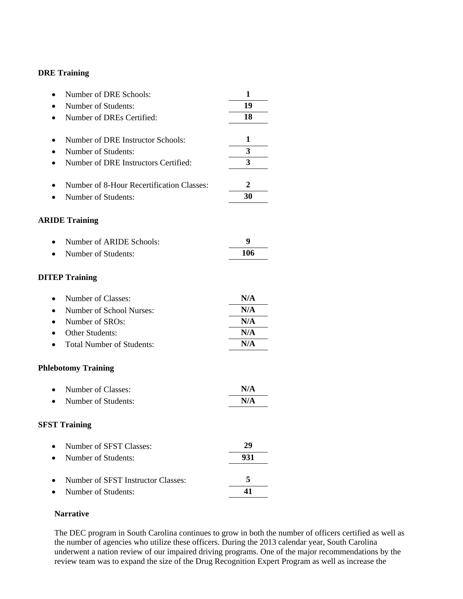| Number of DRE Schools:<br>$\bullet$       | 1   |
|-------------------------------------------|-----|
| Number of Students:                       | 19  |
| Number of DREs Certified:                 | 18  |
| Number of DRE Instructor Schools:         | 1   |
| Number of Students:                       | 3   |
| Number of DRE Instructors Certified:      | 3   |
| Number of 8-Hour Recertification Classes: | 2   |
| Number of Students:                       | 30  |
| <b>ARIDE Training</b>                     |     |
| Number of ARIDE Schools:                  | 9   |
| Number of Students:                       | 106 |
| <b>DITEP Training</b>                     |     |
| Number of Classes:<br>$\bullet$           | N/A |
| Number of School Nurses:                  | N/A |
| Number of SROs:                           | N/A |
| <b>Other Students:</b>                    | N/A |
| <b>Total Number of Students:</b>          | N/A |
| <b>Phlebotomy Training</b>                |     |
| Number of Classes:<br>$\bullet$           | N/A |
| Number of Students:                       | N/A |
| <b>SFST Training</b>                      |     |
| Number of SFST Classes:                   | 29  |
| Number of Students:                       | 931 |
| Number of SFST Instructor Classes:        | 5   |
| Number of Students:                       | 41  |

#### **Narrative**

The DEC program in South Carolina continues to grow in both the number of officers certified as well as the number of agencies who utilize these officers. During the 2013 calendar year, South Carolina underwent a nation review of our impaired driving programs. One of the major recommendations by the review team was to expand the size of the Drug Recognition Expert Program as well as increase the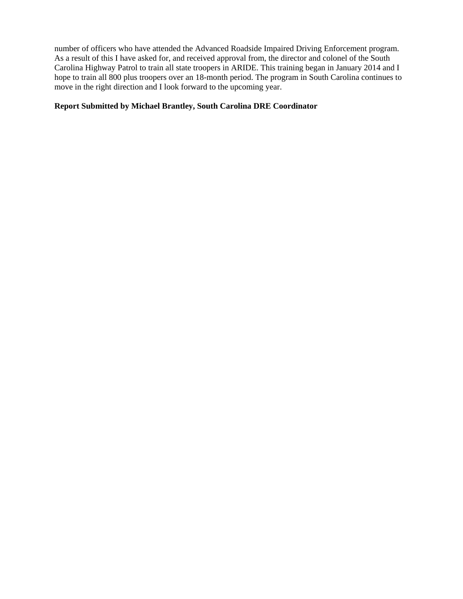number of officers who have attended the Advanced Roadside Impaired Driving Enforcement program. As a result of this I have asked for, and received approval from, the director and colonel of the South Carolina Highway Patrol to train all state troopers in ARIDE. This training began in January 2014 and I hope to train all 800 plus troopers over an 18-month period. The program in South Carolina continues to move in the right direction and I look forward to the upcoming year.

#### **Report Submitted by Michael Brantley, South Carolina DRE Coordinator**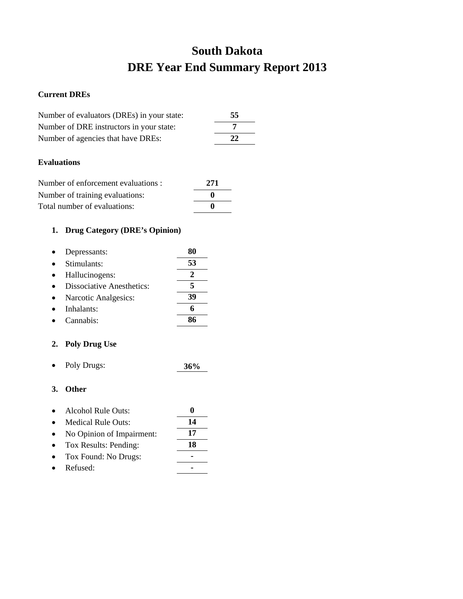# **South Dakota DRE Year End Summary Report 2013**

### **Current DREs**

| Number of evaluators (DREs) in your state: | 55 |
|--------------------------------------------|----|
| Number of DRE instructors in your state:   |    |
| Number of agencies that have DREs:         | 22 |
|                                            |    |

### **Evaluations**

| Number of enforcement evaluations : | 271          |
|-------------------------------------|--------------|
| Number of training evaluations:     | $\bullet$    |
| Total number of evaluations:        | $\mathbf{0}$ |

## **1. Drug Category (DRE's Opinion)**

| Depressants:                     | XU |
|----------------------------------|----|
| Stimulants:                      | 53 |
| Hallucinogens:                   | 2  |
| <b>Dissociative Anesthetics:</b> |    |
| Narcotic Analgesics:             | 39 |
| Inhalants:                       |    |
| Cannabis <sup>.</sup>            |    |

## **2. Poly Drug Use**

• Poly Drugs: **36%**

| Alcohol Rule Outs:        |    |
|---------------------------|----|
| <b>Medical Rule Outs:</b> | 14 |
| No Opinion of Impairment: | 17 |
| Tox Results: Pending:     | 18 |
| Tox Found: No Drugs:      |    |
| Refused:                  |    |
|                           |    |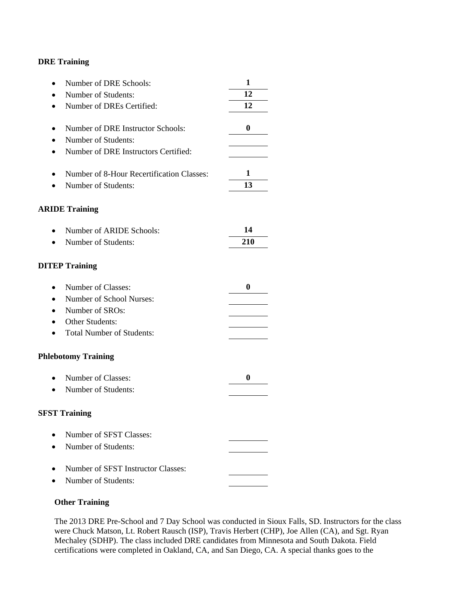| Number of DRE Schools:<br>$\bullet$               | 1        |
|---------------------------------------------------|----------|
| Number of Students:<br>$\bullet$                  | 12       |
| Number of DREs Certified:<br>$\bullet$            | 12       |
|                                                   |          |
| Number of DRE Instructor Schools:                 | $\bf{0}$ |
| Number of Students:<br>$\bullet$                  |          |
| Number of DRE Instructors Certified:<br>$\bullet$ |          |
| Number of 8-Hour Recertification Classes:<br>٠    | 1        |
| Number of Students:                               | 13       |
|                                                   |          |
| <b>ARIDE Training</b>                             |          |
| Number of ARIDE Schools:<br>$\bullet$             | 14       |
| Number of Students:<br>$\bullet$                  | 210      |
|                                                   |          |
| <b>DITEP Training</b>                             |          |
| Number of Classes:<br>$\bullet$                   | $\bf{0}$ |
| Number of School Nurses:<br>$\bullet$             |          |
| Number of SROs:<br>$\bullet$                      |          |
| Other Students:                                   |          |
| <b>Total Number of Students:</b><br>$\bullet$     |          |
|                                                   |          |
| <b>Phlebotomy Training</b>                        |          |
| Number of Classes:<br>$\bullet$                   | 0        |
| Number of Students:                               |          |
|                                                   |          |
| <b>SFST Training</b>                              |          |
|                                                   |          |
| Number of SFST Classes:                           |          |
| Number of Students:                               |          |
| Number of SFST Instructor Classes:                |          |
| Number of Students:                               |          |
|                                                   |          |

#### **Other Training**

The 2013 DRE Pre-School and 7 Day School was conducted in Sioux Falls, SD. Instructors for the class were Chuck Matson, Lt. Robert Rausch (ISP), Travis Herbert (CHP), Joe Allen (CA), and Sgt. Ryan Mechaley (SDHP). The class included DRE candidates from Minnesota and South Dakota. Field certifications were completed in Oakland, CA, and San Diego, CA. A special thanks goes to the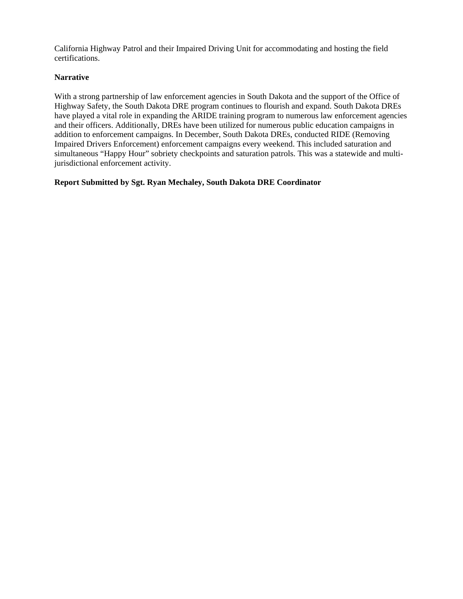California Highway Patrol and their Impaired Driving Unit for accommodating and hosting the field certifications.

#### **Narrative**

With a strong partnership of law enforcement agencies in South Dakota and the support of the Office of Highway Safety, the South Dakota DRE program continues to flourish and expand. South Dakota DREs have played a vital role in expanding the ARIDE training program to numerous law enforcement agencies and their officers. Additionally, DREs have been utilized for numerous public education campaigns in addition to enforcement campaigns. In December, South Dakota DREs, conducted RIDE (Removing Impaired Drivers Enforcement) enforcement campaigns every weekend. This included saturation and simultaneous "Happy Hour" sobriety checkpoints and saturation patrols. This was a statewide and multijurisdictional enforcement activity.

#### **Report Submitted by Sgt. Ryan Mechaley, South Dakota DRE Coordinator**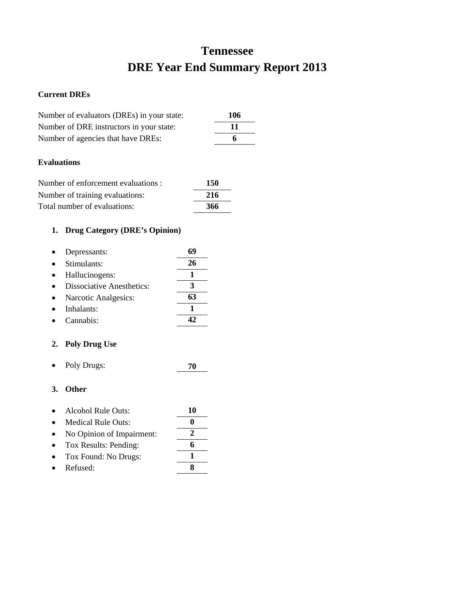# **Tennessee DRE Year End Summary Report 2013**

#### **Current DREs**

| Number of evaluators (DREs) in your state: | 106 |
|--------------------------------------------|-----|
| Number of DRE instructors in your state:   | -11 |
| Number of agencies that have DREs:         | 6   |

#### **Evaluations**

| Number of enforcement evaluations : | 150 |
|-------------------------------------|-----|
| Number of training evaluations:     | 216 |
| Total number of evaluations:        | 366 |

## **1. Drug Category (DRE's Opinion)**

| Depressants:                     |    |
|----------------------------------|----|
| Stimulants:                      | 26 |
| Hallucinogens:                   |    |
| <b>Dissociative Anesthetics:</b> | 3  |
| Narcotic Analgesics:             | 63 |
| Inhalants:                       |    |
| Cannabis:                        |    |

### **2. Poly Drug Use**

• Poly Drugs: **70**

| Alcohol Rule Outs: | 10 |
|--------------------|----|
|                    |    |

- Medical Rule Outs: **0** • No Opinion of Impairment: **2**
- Tox Results: Pending: **6** • Tox Found: No Drugs: **1**
- Refused: **8**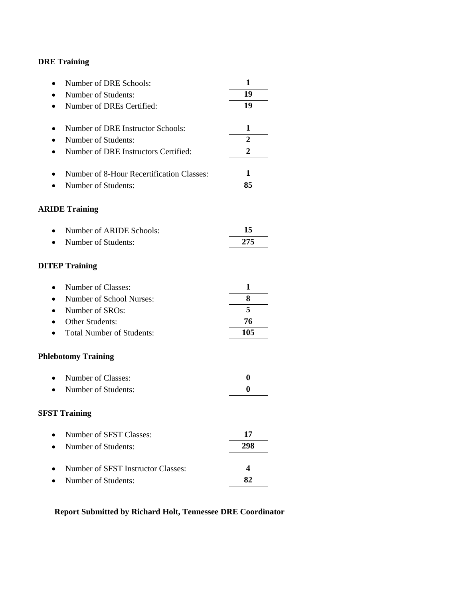| Number of DRE Schools:<br>$\bullet$               | 1            |
|---------------------------------------------------|--------------|
| Number of Students:                               | 19           |
| Number of DREs Certified:<br>$\bullet$            | 19           |
|                                                   |              |
| Number of DRE Instructor Schools:<br>٠            | 1            |
| Number of Students:                               | $\mathbf{2}$ |
| Number of DRE Instructors Certified:<br>$\bullet$ | 2            |
| Number of 8-Hour Recertification Classes:<br>٠    | 1            |
| Number of Students:                               | 85           |
| <b>ARIDE Training</b>                             |              |
| Number of ARIDE Schools:                          | 15           |
| Number of Students:                               | 275          |
| <b>DITEP Training</b>                             |              |
| Number of Classes:<br>$\bullet$                   | 1            |
| Number of School Nurses:                          | 8            |
| Number of SROs:<br>$\bullet$                      | 5            |
| Other Students:                                   | 76           |
| <b>Total Number of Students:</b>                  | 105          |
| <b>Phlebotomy Training</b>                        |              |
| Number of Classes:<br>$\bullet$                   | 0            |
| Number of Students:                               | 0            |
| <b>SFST Training</b>                              |              |
| Number of SFST Classes:                           | 17           |
| Number of Students:                               | 298          |
| Number of SFST Instructor Classes:                | 4            |
| Number of Students:                               | 82           |

## **Report Submitted by Richard Holt, Tennessee DRE Coordinator**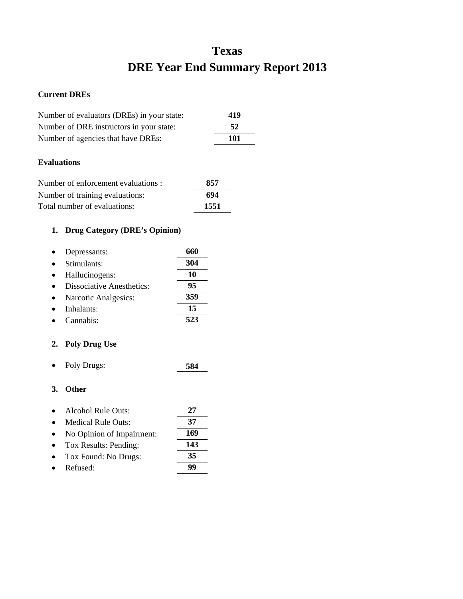# **Texas DRE Year End Summary Report 2013**

#### **Current DREs**

| Number of evaluators (DREs) in your state: | 419 |
|--------------------------------------------|-----|
| Number of DRE instructors in your state:   | 52  |
| Number of agencies that have DREs:         | 101 |

#### **Evaluations**

| Number of enforcement evaluations : | 857  |
|-------------------------------------|------|
| Number of training evaluations:     | 694  |
| Total number of evaluations:        | 1551 |

## **1. Drug Category (DRE's Opinion)**

| Depressants:                     | 660 |
|----------------------------------|-----|
| Stimulants:                      | 304 |
| Hallucinogens:                   | 10  |
| <b>Dissociative Anesthetics:</b> | 95  |
| Narcotic Analgesics:             | 359 |
| Inhalants:                       | 15  |
| Cannabis:                        | 523 |

## **2. Poly Drug Use**

• Poly Drugs: **584**

| 27                                                                                                                                        |
|-------------------------------------------------------------------------------------------------------------------------------------------|
| 37                                                                                                                                        |
| 169                                                                                                                                       |
| 143                                                                                                                                       |
| 35                                                                                                                                        |
|                                                                                                                                           |
| Alcohol Rule Outs:<br><b>Medical Rule Outs:</b><br>No Opinion of Impairment:<br>Tox Results: Pending:<br>Tox Found: No Drugs:<br>Refused: |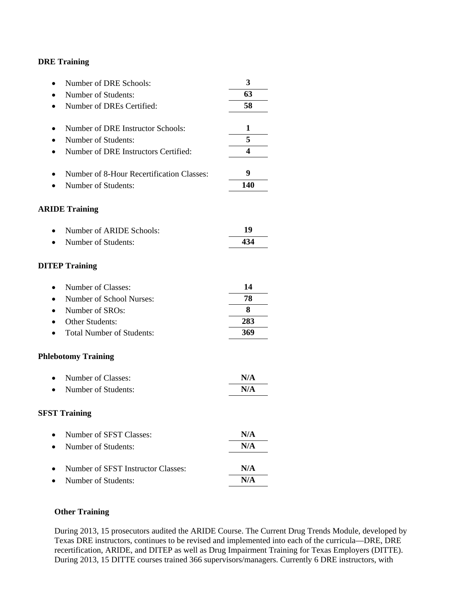| Number of DRE Schools:                    | 3   |
|-------------------------------------------|-----|
| Number of Students:                       | 63  |
| Number of DREs Certified:                 | 58  |
| Number of DRE Instructor Schools:         | 1   |
| Number of Students:                       | 5   |
| Number of DRE Instructors Certified:      | 4   |
|                                           |     |
| Number of 8-Hour Recertification Classes: | 9   |
| Number of Students:                       | 140 |
| <b>ARIDE Training</b>                     |     |
| Number of ARIDE Schools:                  | 19  |
| Number of Students:                       | 434 |
| <b>DITEP Training</b>                     |     |
| Number of Classes:<br>$\bullet$           | 14  |
| Number of School Nurses:                  | 78  |
| Number of SROs:                           | 8   |
| <b>Other Students:</b>                    | 283 |
| <b>Total Number of Students:</b>          | 369 |
| <b>Phlebotomy Training</b>                |     |
| Number of Classes:                        | N/A |
| Number of Students:                       | N/A |
| <b>SFST Training</b>                      |     |
| Number of SFST Classes:                   | N/A |
| Number of Students:                       | N/A |
| Number of SFST Instructor Classes:        | N/A |
| Number of Students:                       | N/A |
|                                           |     |

### **Other Training**

During 2013, 15 prosecutors audited the ARIDE Course. The Current Drug Trends Module, developed by Texas DRE instructors, continues to be revised and implemented into each of the curricula—DRE, DRE recertification, ARIDE, and DITEP as well as Drug Impairment Training for Texas Employers (DITTE). During 2013, 15 DITTE courses trained 366 supervisors/managers. Currently 6 DRE instructors, with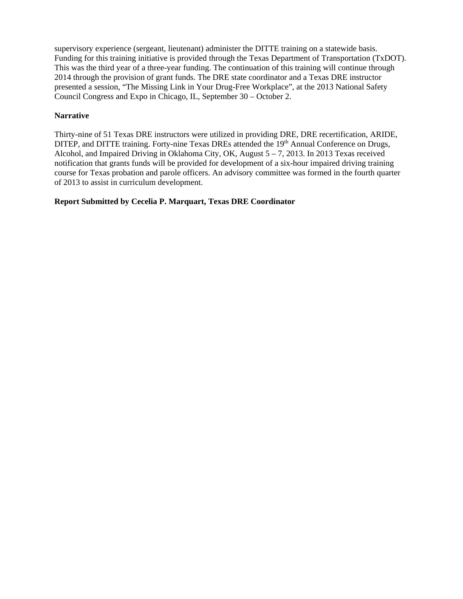supervisory experience (sergeant, lieutenant) administer the DITTE training on a statewide basis. Funding for this training initiative is provided through the Texas Department of Transportation (TxDOT). This was the third year of a three-year funding. The continuation of this training will continue through 2014 through the provision of grant funds. The DRE state coordinator and a Texas DRE instructor presented a session, "The Missing Link in Your Drug-Free Workplace", at the 2013 National Safety Council Congress and Expo in Chicago, IL, September 30 – October 2.

#### **Narrative**

Thirty-nine of 51 Texas DRE instructors were utilized in providing DRE, DRE recertification, ARIDE, DITEP, and DITTE training. Forty-nine Texas DREs attended the 19<sup>th</sup> Annual Conference on Drugs, Alcohol, and Impaired Driving in Oklahoma City, OK, August  $5 - 7$ , 2013. In 2013 Texas received notification that grants funds will be provided for development of a six-hour impaired driving training course for Texas probation and parole officers. An advisory committee was formed in the fourth quarter of 2013 to assist in curriculum development.

#### **Report Submitted by Cecelia P. Marquart, Texas DRE Coordinator**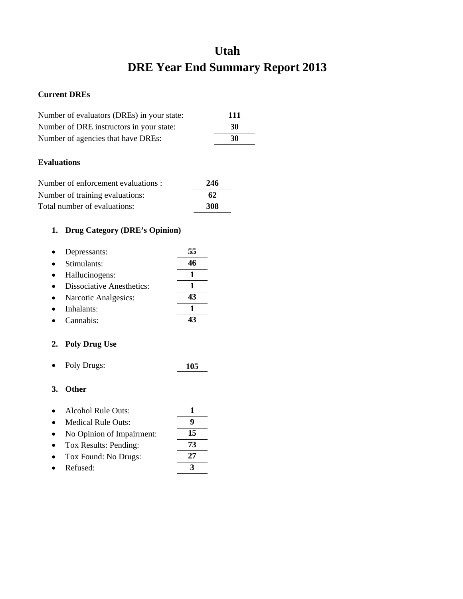# **Utah DRE Year End Summary Report 2013**

#### **Current DREs**

| Number of evaluators (DREs) in your state: | 111 |
|--------------------------------------------|-----|
| Number of DRE instructors in your state:   | 30  |
| Number of agencies that have DREs:         | 30  |

#### **Evaluations**

| Number of enforcement evaluations : | 246 |
|-------------------------------------|-----|
| Number of training evaluations:     | 62  |
| Total number of evaluations:        | 308 |

## **1. Drug Category (DRE's Opinion)**

| Depressants:                     | 55 |
|----------------------------------|----|
| Stimulants:                      | 46 |
| Hallucinogens:                   |    |
| <b>Dissociative Anesthetics:</b> |    |
| Narcotic Analgesics:             | 43 |
| Inhalants:                       |    |
| Cannabis:                        |    |

### **2. Poly Drug Use**

• Poly Drugs: **105**

- Alcohol Rule Outs: **1**
- Medical Rule Outs: **9** • No Opinion of Impairment: **15**
- Tox Results: Pending: **73**
- Tox Found: No Drugs: **27**
- Refused: **3**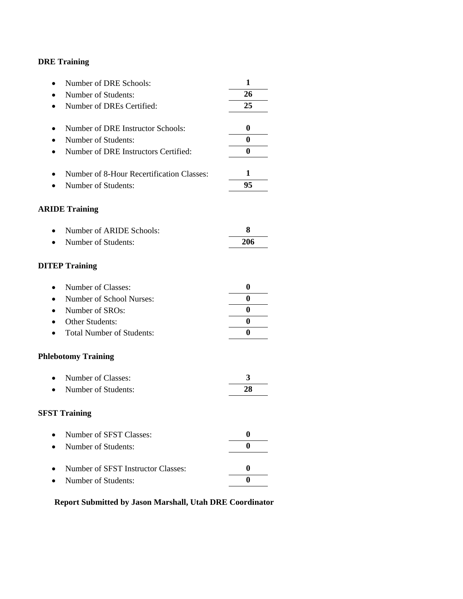| Number of DRE Schools:<br>٠                       | 1                |
|---------------------------------------------------|------------------|
| Number of Students:                               | 26               |
| Number of DREs Certified:<br>$\bullet$            | 25               |
|                                                   |                  |
| Number of DRE Instructor Schools:<br>٠            | $\boldsymbol{0}$ |
| Number of Students:                               | 0                |
| Number of DRE Instructors Certified:<br>$\bullet$ | 0                |
| Number of 8-Hour Recertification Classes:<br>٠    | 1                |
| Number of Students:                               | 95               |
| <b>ARIDE Training</b>                             |                  |
| Number of ARIDE Schools:<br>$\bullet$             | 8                |
| Number of Students:                               | 206              |
| <b>DITEP Training</b>                             |                  |
| Number of Classes:<br>$\bullet$                   | $\boldsymbol{0}$ |
| Number of School Nurses:                          | 0                |
| Number of SROs:<br>$\bullet$                      | $\boldsymbol{0}$ |
| Other Students:                                   | $\boldsymbol{0}$ |
| <b>Total Number of Students:</b>                  | 0                |
| <b>Phlebotomy Training</b>                        |                  |
| Number of Classes:<br>$\bullet$                   | 3                |
| Number of Students:                               | 28               |
| <b>SFST Training</b>                              |                  |
| Number of SFST Classes:                           | 0                |
| Number of Students:                               | 0                |
| Number of SFST Instructor Classes:                | $\boldsymbol{0}$ |
| Number of Students:                               | 0                |

## **Report Submitted by Jason Marshall, Utah DRE Coordinator**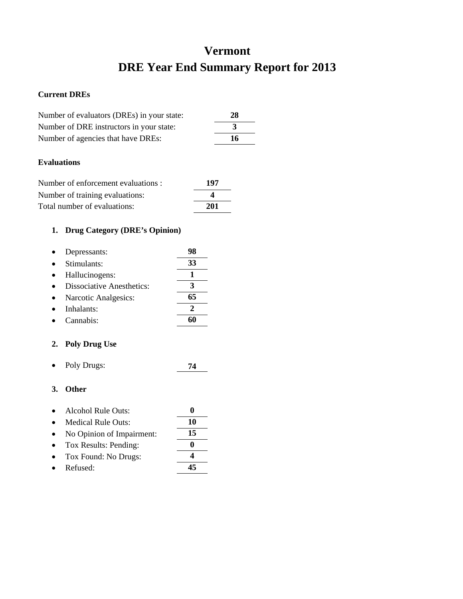## **Vermont DRE Year End Summary Report for 2013**

#### **Current DREs**

| Number of evaluators (DREs) in your state: | 28 |
|--------------------------------------------|----|
| Number of DRE instructors in your state:   | 3  |
| Number of agencies that have DREs:         | 16 |

### **Evaluations**

| Number of enforcement evaluations : | 197 |
|-------------------------------------|-----|
| Number of training evaluations:     | 4   |
| Total number of evaluations:        | 201 |

## **1. Drug Category (DRE's Opinion)**

| Depressants:                     |    |
|----------------------------------|----|
| Stimulants:                      | 33 |
| Hallucinogens:                   |    |
| <b>Dissociative Anesthetics:</b> | 3  |
| Narcotic Analgesics:             | 65 |
| Inhalants:                       | 2  |
| Cannabis:                        |    |

### **2. Poly Drug Use**

• Poly Drugs: **74**

- Alcohol Rule Outs: **0**
- Medical Rule Outs: **10** • No Opinion of Impairment: **15** • Tox Results: Pending: **0**
- Tox Found: No Drugs: **4**
- Refused: **45**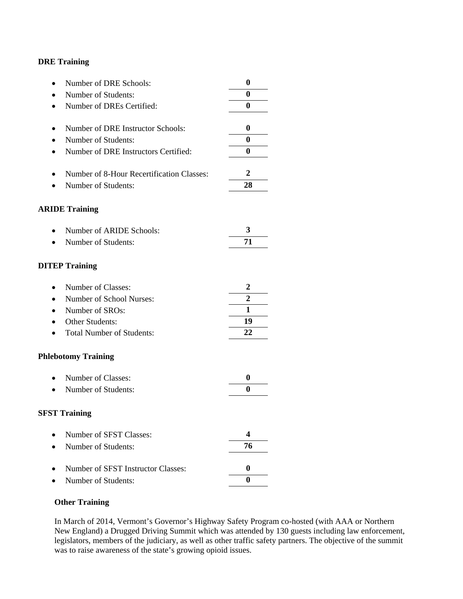| Number of DRE Schools:<br>$\bullet$           | $\bf{0}$         |
|-----------------------------------------------|------------------|
| Number of Students:                           | 0                |
| Number of DREs Certified:<br>$\bullet$        | 0                |
|                                               |                  |
| Number of DRE Instructor Schools:             | 0                |
| Number of Students:<br>$\bullet$              | 0                |
| Number of DRE Instructors Certified:<br>٠     | 0                |
|                                               |                  |
| Number of 8-Hour Recertification Classes:     | 2                |
| Number of Students:                           | 28               |
|                                               |                  |
| <b>ARIDE Training</b>                         |                  |
|                                               |                  |
| Number of ARIDE Schools:                      | 3                |
| Number of Students:<br>$\bullet$              | 71               |
|                                               |                  |
| <b>DITEP Training</b>                         |                  |
| Number of Classes:<br>$\bullet$               | 2                |
| Number of School Nurses:<br>$\bullet$         | 2                |
| Number of SROs:<br>$\bullet$                  | 1                |
| Other Students:                               | 19               |
| <b>Total Number of Students:</b><br>$\bullet$ | 22               |
|                                               |                  |
| <b>Phlebotomy Training</b>                    |                  |
|                                               |                  |
| Number of Classes:<br>$\bullet$               | $\boldsymbol{0}$ |
| Number of Students:                           | 0                |
|                                               |                  |
| <b>SFST Training</b>                          |                  |
|                                               |                  |
| Number of SFST Classes:                       | 4                |
| Number of Students:                           | 76               |
|                                               |                  |
| Number of SFST Instructor Classes:            | $\boldsymbol{0}$ |
| Number of Students:                           | 0                |

#### **Other Training**

In March of 2014, Vermont's Governor's Highway Safety Program co-hosted (with AAA or Northern New England) a Drugged Driving Summit which was attended by 130 guests including law enforcement, legislators, members of the judiciary, as well as other traffic safety partners. The objective of the summit was to raise awareness of the state's growing opioid issues.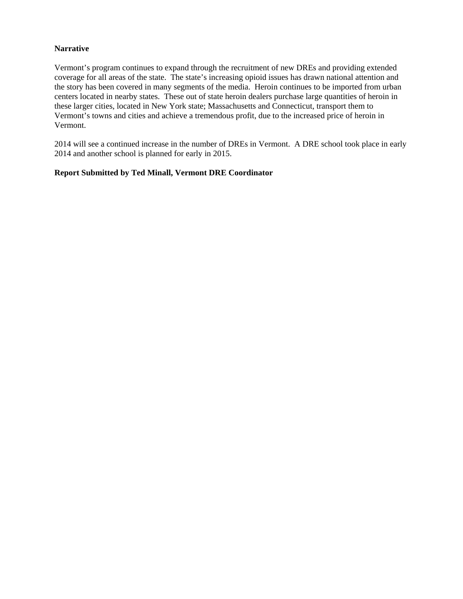#### **Narrative**

Vermont's program continues to expand through the recruitment of new DREs and providing extended coverage for all areas of the state. The state's increasing opioid issues has drawn national attention and the story has been covered in many segments of the media. Heroin continues to be imported from urban centers located in nearby states. These out of state heroin dealers purchase large quantities of heroin in these larger cities, located in New York state; Massachusetts and Connecticut, transport them to Vermont's towns and cities and achieve a tremendous profit, due to the increased price of heroin in Vermont.

2014 will see a continued increase in the number of DREs in Vermont. A DRE school took place in early 2014 and another school is planned for early in 2015.

#### **Report Submitted by Ted Minall, Vermont DRE Coordinator**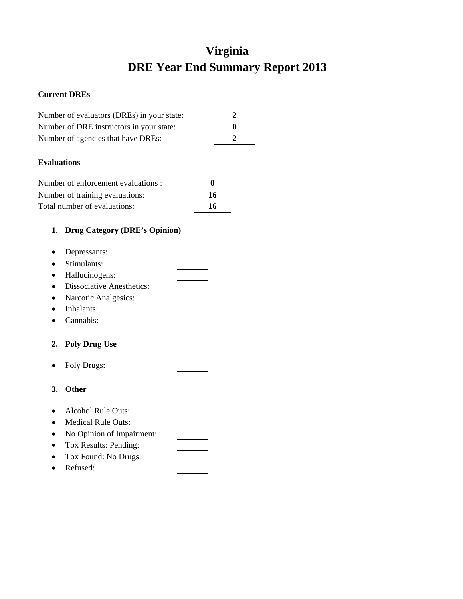# **Virginia DRE Year End Summary Report 2013**

#### **Current DREs**

| Number of evaluators (DREs) in your state: |              |
|--------------------------------------------|--------------|
| Number of DRE instructors in your state:   | $\mathbf{a}$ |
| Number of agencies that have DREs:         |              |

#### **Evaluations**

| Number of enforcement evaluations : |    |
|-------------------------------------|----|
| Number of training evaluations:     | 16 |
| Total number of evaluations:        | 16 |

## **1. Drug Category (DRE's Opinion)**

| • Depressants:              |  |
|-----------------------------|--|
| • Stimulants:               |  |
| • Hallucinogens:            |  |
| • Dissociative Anesthetics: |  |
| • Narcotic Analgesics:      |  |
| <b>TII</b>                  |  |

- Inhalants:
- Cannabis:

### **2. Poly Drug Use**

- Poly Drugs:
- **3. Other**
- Alcohol Rule Outs:
- Medical Rule Outs:
- No Opinion of Impairment:  $\overline{\phantom{a}}$
- Tox Results: Pending:
- Tox Found: No Drugs:
- Refused: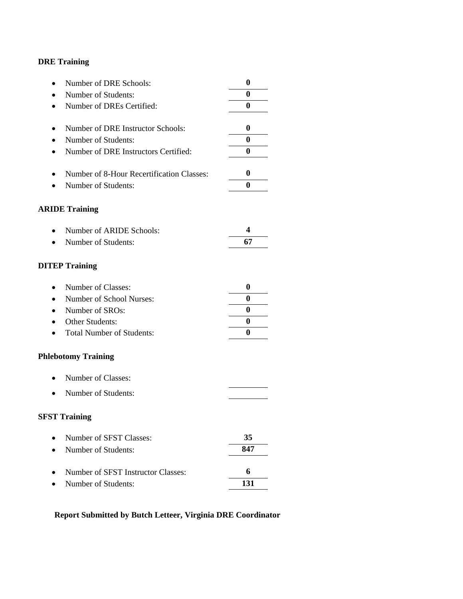| Number of DRE Schools:<br>$\bullet$               | $\boldsymbol{0}$ |
|---------------------------------------------------|------------------|
| Number of Students:                               | 0                |
| Number of DREs Certified:<br>$\bullet$            | 0                |
|                                                   |                  |
| Number of DRE Instructor Schools:<br>$\bullet$    | $\boldsymbol{0}$ |
| Number of Students:                               | 0                |
| Number of DRE Instructors Certified:<br>$\bullet$ | 0                |
| Number of 8-Hour Recertification Classes:<br>٠    | $\boldsymbol{0}$ |
| Number of Students:                               | 0                |
| <b>ARIDE Training</b>                             |                  |
| Number of ARIDE Schools:                          | 4                |
| Number of Students:                               | 67               |
| <b>DITEP Training</b>                             |                  |
| Number of Classes:<br>$\bullet$                   | $\boldsymbol{0}$ |
| Number of School Nurses:                          | 0                |
| Number of SROs:<br>$\bullet$                      | 0                |
| Other Students:                                   | 0                |
| <b>Total Number of Students:</b>                  | 0                |
| <b>Phlebotomy Training</b>                        |                  |
| Number of Classes:<br>$\bullet$                   |                  |
| Number of Students:<br>$\bullet$                  |                  |
| <b>SFST Training</b>                              |                  |
| Number of SFST Classes:                           | 35               |
| Number of Students:                               | 847              |
| Number of SFST Instructor Classes:                | 6                |
| Number of Students:                               | 131              |

## **Report Submitted by Butch Letteer, Virginia DRE Coordinator**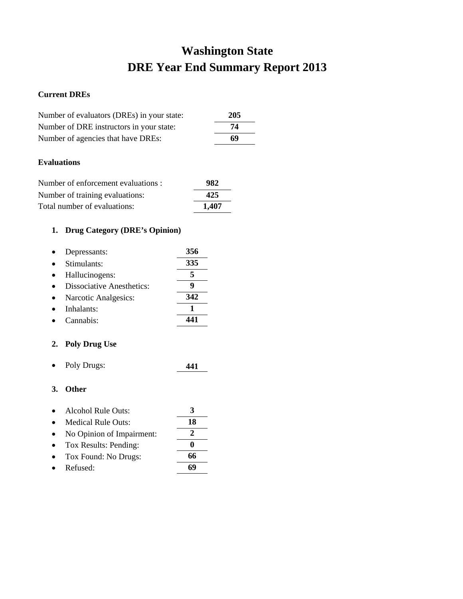# **Washington State DRE Year End Summary Report 2013**

### **Current DREs**

| Number of evaluators (DREs) in your state: | 205 |
|--------------------------------------------|-----|
| Number of DRE instructors in your state:   | 74  |
| Number of agencies that have DREs:         | 69  |
|                                            |     |

### **Evaluations**

| Number of enforcement evaluations : | 982   |
|-------------------------------------|-------|
| Number of training evaluations:     | 425   |
| Total number of evaluations:        | 1.407 |

## **1. Drug Category (DRE's Opinion)**

| Depressants:                     | 356 |
|----------------------------------|-----|
| Stimulants:                      | 335 |
| Hallucinogens:                   | 5   |
| <b>Dissociative Anesthetics:</b> | g   |
| Narcotic Analgesics:             | 342 |
| Inhalants:                       |     |
| Cannabis <sup>.</sup>            |     |

### **2. Poly Drug Use**

• Poly Drugs: **441**

## **3. Other**

| Alcohol Rule Outs:        |    |
|---------------------------|----|
| Medical Rule Outs:        | 18 |
| No Opinion of Impairment: | 2  |
| Tox Results: Pending:     | O  |
| Tox Found: No Drugs:      | 66 |
|                           | ╭  |

• Refused: **69**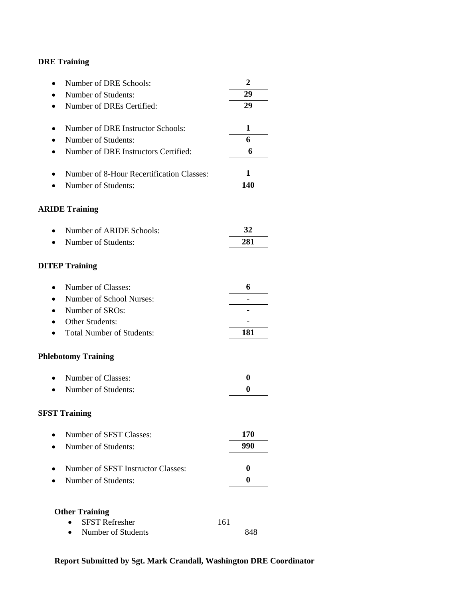| Number of DRE Schools:                    | $\overline{2}$ |
|-------------------------------------------|----------------|
| Number of Students:                       | 29             |
| Number of DREs Certified:                 | 29             |
|                                           |                |
| Number of DRE Instructor Schools:         | 1              |
| Number of Students:                       | 6              |
| Number of DRE Instructors Certified:      | 6              |
| Number of 8-Hour Recertification Classes: | 1              |
| Number of Students:                       | 140            |
| <b>ARIDE Training</b>                     |                |
|                                           |                |
| Number of ARIDE Schools:                  | 32             |
| Number of Students:                       | 281            |
| <b>DITEP Training</b>                     |                |
| Number of Classes:<br>$\bullet$           | 6              |
| Number of School Nurses:                  |                |
| Number of SROs:                           |                |
| Other Students:                           |                |
| <b>Total Number of Students:</b>          | 181            |
| <b>Phlebotomy Training</b>                |                |
| Number of Classes:                        | 0              |
| Number of Students:                       | $\bf{0}$       |
| <b>SFST Training</b>                      |                |
| Number of SFST Classes:                   | 170            |
| Number of Students:                       | 990            |
| Number of SFST Instructor Classes:        | 0              |
|                                           |                |
| Number of Students:                       | $\bf{0}$       |
| <b>Other Training</b>                     |                |
| <b>SFST Refresher</b>                     | 161            |
| Number of Students                        | 848            |

## **Report Submitted by Sgt. Mark Crandall, Washington DRE Coordinator**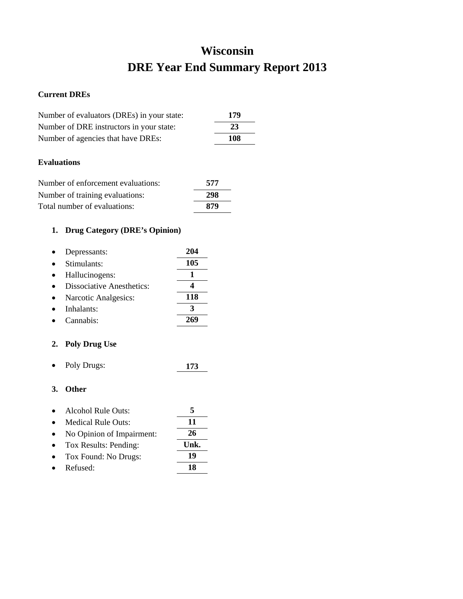# **Wisconsin DRE Year End Summary Report 2013**

### **Current DREs**

| Number of evaluators (DREs) in your state: |     | 179 |
|--------------------------------------------|-----|-----|
| Number of DRE instructors in your state:   |     | 23  |
| Number of agencies that have DREs:         |     | 108 |
| <b>Evaluations</b>                         |     |     |
| Number of enforcement evaluations:         | 577 |     |
| Number of training evaluations:            | 298 |     |

## **1. Drug Category (DRE's Opinion)**

| Depressants:                     | 204 |
|----------------------------------|-----|
| Stimulants:                      | 105 |
| Hallucinogens:                   |     |
| <b>Dissociative Anesthetics:</b> |     |
| Narcotic Analgesics:             | 118 |
| Inhalants:                       |     |
| Cannabis:                        |     |

Total number of evaluations: **879**

## **2. Poly Drug Use**

• Poly Drugs: **173**

| Alcohol Rule Outs:        |      |
|---------------------------|------|
| <b>Medical Rule Outs:</b> | 11   |
| No Opinion of Impairment: | 26   |
| Tox Results: Pending:     | Unk. |
| Tox Found: No Drugs:      | 19   |
| Refused:                  | 18   |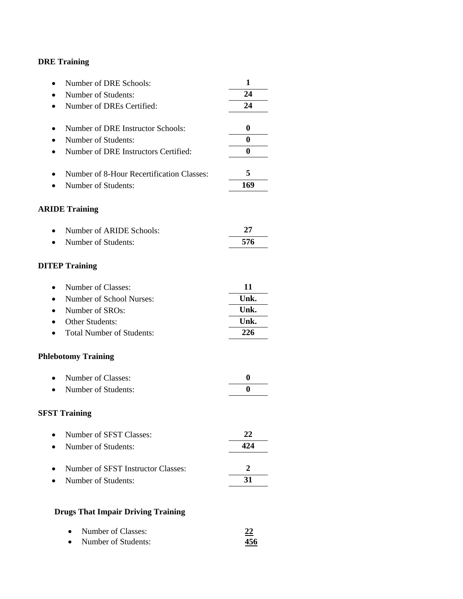| Number of DRE Schools:<br>$\bullet$               | 1                |
|---------------------------------------------------|------------------|
| Number of Students:                               | 24               |
| Number of DREs Certified:<br>$\bullet$            | 24               |
|                                                   |                  |
| Number of DRE Instructor Schools:<br>٠            | $\boldsymbol{0}$ |
| Number of Students:<br>٠                          | $\bf{0}$         |
| Number of DRE Instructors Certified:<br>$\bullet$ | 0                |
| Number of 8-Hour Recertification Classes:<br>٠    | 5                |
| Number of Students:                               | 169              |
| <b>ARIDE Training</b>                             |                  |
| Number of ARIDE Schools:                          | 27               |
| Number of Students:<br>$\bullet$                  | 576              |
| <b>DITEP Training</b>                             |                  |
| Number of Classes:<br>$\bullet$                   | 11               |
| Number of School Nurses:<br>$\bullet$             | Unk.             |
| Number of SROs:<br>$\bullet$                      | Unk.             |
| Other Students:                                   | Unk.             |
| <b>Total Number of Students:</b><br>٠             | 226              |
| <b>Phlebotomy Training</b>                        |                  |
| Number of Classes:<br>$\bullet$                   | $\bf{0}$         |
| Number of Students:                               | 0                |
| <b>SFST Training</b>                              |                  |
| Number of SFST Classes:                           | 22               |
| Number of Students:                               | 424              |
| Number of SFST Instructor Classes:                | 2                |
| Number of Students:                               | 31               |
|                                                   |                  |
| <b>Drugs That Impair Driving Training</b>         |                  |

| $\bullet$ | Number of Classes:  | ---- |
|-----------|---------------------|------|
| $\bullet$ | Number of Students: | 456  |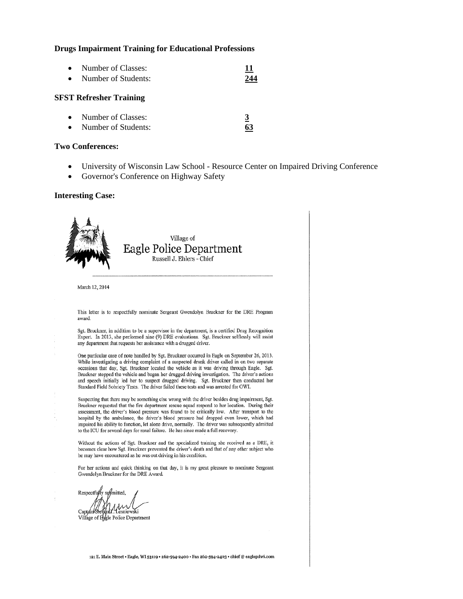#### **Drugs Impairment Training for Educational Professions**

• Number of Classes: **11**  • Number of Students: **244**

#### **SFST Refresher Training**

| $\bullet$ | Number of Classes:  |    |
|-----------|---------------------|----|
|           | Number of Students: | 63 |

#### **Two Conferences:**

- University of Wisconsin Law School Resource Center on Impaired Driving Conference
- Governor's Conference on Highway Safety

#### **Interesting Case:**



**Respectfully** submitted . Lesniewski

Villáge of Eggle Police Department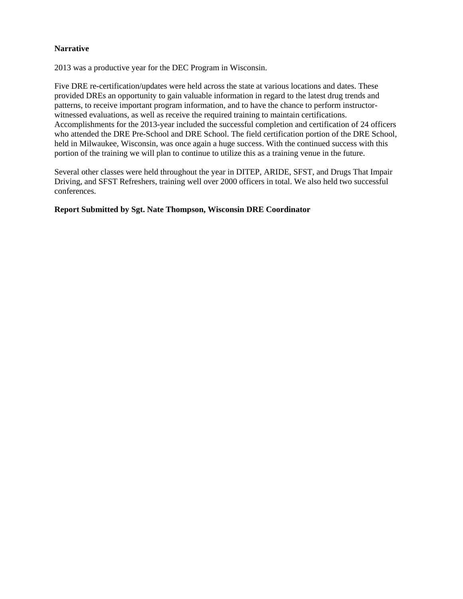#### **Narrative**

2013 was a productive year for the DEC Program in Wisconsin.

Five DRE re-certification/updates were held across the state at various locations and dates. These provided DREs an opportunity to gain valuable information in regard to the latest drug trends and patterns, to receive important program information, and to have the chance to perform instructorwitnessed evaluations, as well as receive the required training to maintain certifications. Accomplishments for the 2013-year included the successful completion and certification of 24 officers who attended the DRE Pre-School and DRE School. The field certification portion of the DRE School, held in Milwaukee, Wisconsin, was once again a huge success. With the continued success with this portion of the training we will plan to continue to utilize this as a training venue in the future.

Several other classes were held throughout the year in DITEP, ARIDE, SFST, and Drugs That Impair Driving, and SFST Refreshers, training well over 2000 officers in total. We also held two successful conferences.

#### **Report Submitted by Sgt. Nate Thompson, Wisconsin DRE Coordinator**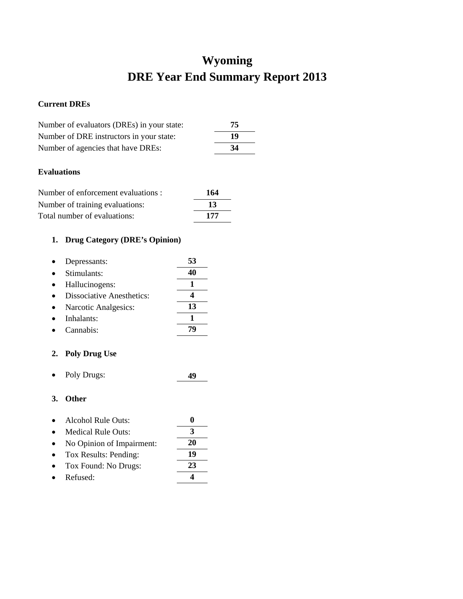# **Wyoming DRE Year End Summary Report 2013**

### **Current DREs**

| Number of evaluators (DREs) in your state: | 75 |
|--------------------------------------------|----|
| Number of DRE instructors in your state:   | 19 |
| Number of agencies that have DREs:         | 34 |

#### **Evaluations**

| Number of enforcement evaluations : | 164 |
|-------------------------------------|-----|
| Number of training evaluations:     | -13 |
| Total number of evaluations:        | 177 |

## **1. Drug Category (DRE's Opinion)**

| Depressants:                     | 53 |
|----------------------------------|----|
| Stimulants:                      |    |
| Hallucinogens:                   |    |
| <b>Dissociative Anesthetics:</b> |    |
| Narcotic Analgesics:             | 13 |
| Inhalants:                       |    |
| Cannabis:                        |    |

### **2. Poly Drug Use**

• Poly Drugs: **49**

- Alcohol Rule Outs: **0**
- Medical Rule Outs: **3**
- No Opinion of Impairment: **20**
- Tox Results: Pending: **19**
- Tox Found: No Drugs: **23**
- Refused: **4**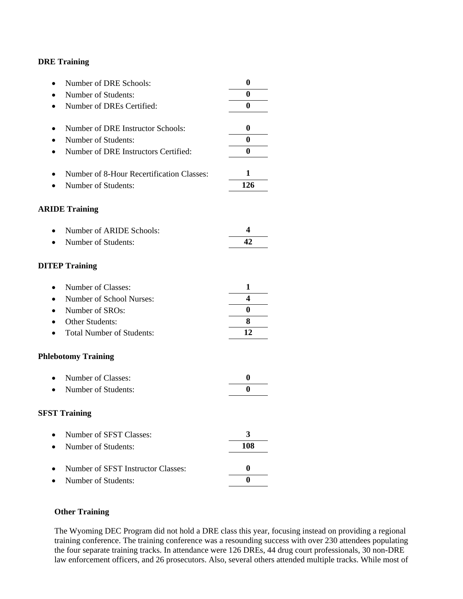| Number of DRE Schools:                    | $\boldsymbol{0}$ |
|-------------------------------------------|------------------|
| Number of Students:                       | $\bf{0}$         |
| Number of DREs Certified:                 | $\bf{0}$         |
| Number of DRE Instructor Schools:         | 0                |
| Number of Students:                       | $\bf{0}$         |
| Number of DRE Instructors Certified:      | $\bf{0}$         |
|                                           |                  |
| Number of 8-Hour Recertification Classes: | 1                |
| Number of Students:                       | 126              |
| <b>ARIDE Training</b>                     |                  |
| Number of ARIDE Schools:                  | 4                |
| Number of Students:                       | 42               |
| <b>DITEP Training</b>                     |                  |
| Number of Classes:                        | 1                |
| Number of School Nurses:                  | 4                |
| Number of SROs:                           | $\bf{0}$         |
| Other Students:                           | 8                |
| <b>Total Number of Students:</b>          | 12               |
| <b>Phlebotomy Training</b>                |                  |
| Number of Classes:                        | 0                |
| Number of Students:                       | $\mathbf{0}$     |
| <b>SFST Training</b>                      |                  |
| Number of SFST Classes:                   | 3                |
| Number of Students:                       | 108              |
| Number of SFST Instructor Classes:        | 0                |
|                                           | $\bf{0}$         |
| Number of Students:                       |                  |

### **Other Training**

The Wyoming DEC Program did not hold a DRE class this year, focusing instead on providing a regional training conference. The training conference was a resounding success with over 230 attendees populating the four separate training tracks. In attendance were 126 DREs, 44 drug court professionals, 30 non-DRE law enforcement officers, and 26 prosecutors. Also, several others attended multiple tracks. While most of